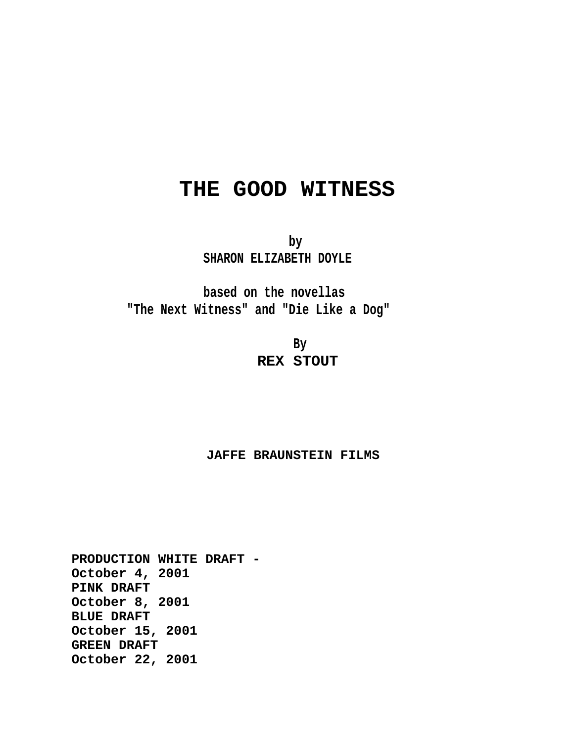# **THE GOOD WITNESS**

**by SHARON ELIZABETH DOYLE**

**based on the novellas "The Next Witness" and "Die Like a Dog"**

> **By REX STOUT**

# **JAFFE BRAUNSTEIN FILMS**

**PRODUCTION WHITE DRAFT - October 4, 2001 PINK DRAFT October 8, 2001 BLUE DRAFT October 15, 2001 GREEN DRAFT October 22, 2001**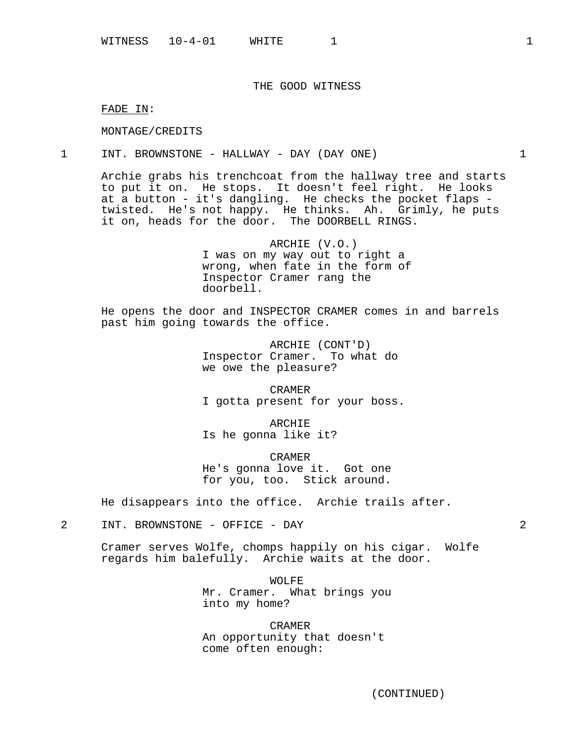# THE GOOD WITNESS

FADE IN:

MONTAGE/CREDITS

1 INT. BROWNSTONE - HALLWAY - DAY (DAY ONE) 1

Archie grabs his trenchcoat from the hallway tree and starts to put it on. He stops. It doesn't feel right. He looks at a button - it's dangling. He checks the pocket flaps twisted. He's not happy. He thinks. Ah. Grimly, he puts it on, heads for the door. The DOORBELL RINGS.

> ARCHIE (V.O.) I was on my way out to right a wrong, when fate in the form of Inspector Cramer rang the doorbell.

He opens the door and INSPECTOR CRAMER comes in and barrels past him going towards the office.

> ARCHIE (CONT'D) Inspector Cramer. To what do we owe the pleasure?

CRAMER I gotta present for your boss.

ARCHIE Is he gonna like it?

CRAMER He's gonna love it. Got one for you, too. Stick around.

He disappears into the office. Archie trails after.

2 INT. BROWNSTONE - OFFICE - DAY 2

Cramer serves Wolfe, chomps happily on his cigar. Wolfe regards him balefully. Archie waits at the door.

> WOLFE Mr. Cramer. What brings you into my home?

CRAMER An opportunity that doesn't come often enough: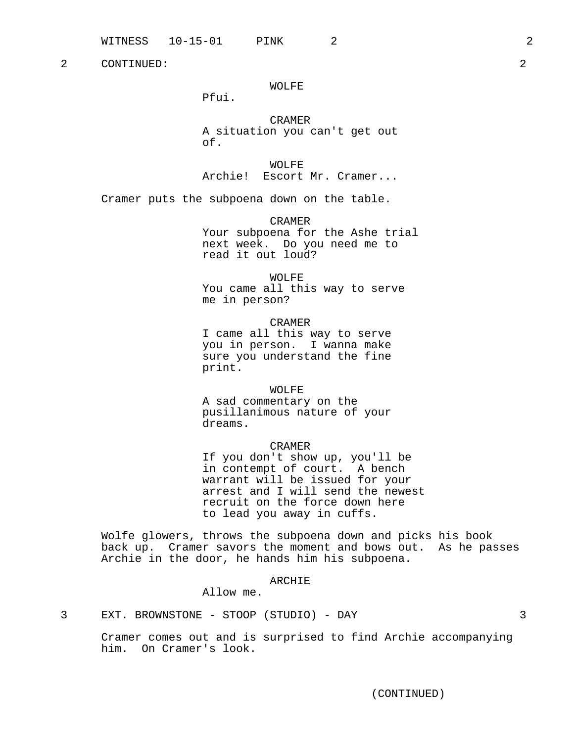# WOLFE

Pfui.

CRAMER A situation you can't get out of.

WOLFE Archie! Escort Mr. Cramer...

Cramer puts the subpoena down on the table.

CRAMER Your subpoena for the Ashe trial next week. Do you need me to read it out loud?

WOLFE You came all this way to serve me in person?

CRAMER I came all this way to serve you in person. I wanna make sure you understand the fine print.

WOLFE A sad commentary on the

pusillanimous nature of your dreams.

CRAMER

If you don't show up, you'll be in contempt of court. A bench warrant will be issued for your arrest and I will send the newest recruit on the force down here to lead you away in cuffs.

Wolfe glowers, throws the subpoena down and picks his book back up. Cramer savors the moment and bows out. As he passes Archie in the door, he hands him his subpoena.

## ARCHIE

Allow me.

3 EXT. BROWNSTONE - STOOP (STUDIO) - DAY 3

Cramer comes out and is surprised to find Archie accompanying him. On Cramer's look.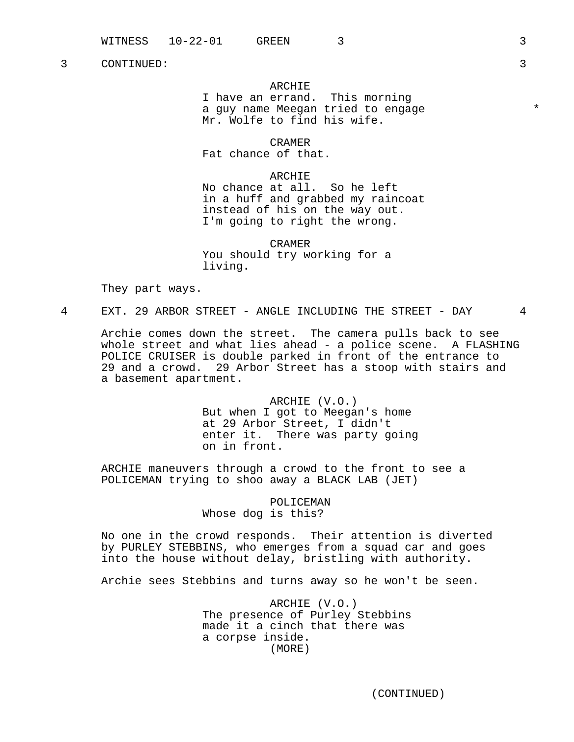### ARCHIE

I have an errand. This morning a guy name Meegan tried to engage  $*$ Mr. Wolfe to find his wife.

CRAMER Fat chance of that.

ARCHIE No chance at all. So he left in a huff and grabbed my raincoat instead of his on the way out. I'm going to right the wrong.

CRAMER You should try working for a living.

They part ways.

4 EXT. 29 ARBOR STREET - ANGLE INCLUDING THE STREET - DAY 4

Archie comes down the street. The camera pulls back to see whole street and what lies ahead - a police scene. A FLASHING POLICE CRUISER is double parked in front of the entrance to 29 and a crowd. 29 Arbor Street has a stoop with stairs and a basement apartment.

> ARCHIE (V.O.) But when I got to Meegan's home at 29 Arbor Street, I didn't enter it. There was party going on in front.

ARCHIE maneuvers through a crowd to the front to see a POLICEMAN trying to shoo away a BLACK LAB (JET)

> POLICEMAN Whose dog is this?

No one in the crowd responds. Their attention is diverted by PURLEY STEBBINS, who emerges from a squad car and goes into the house without delay, bristling with authority.

Archie sees Stebbins and turns away so he won't be seen.

ARCHIE (V.O.) The presence of Purley Stebbins made it a cinch that there was a corpse inside. (MORE)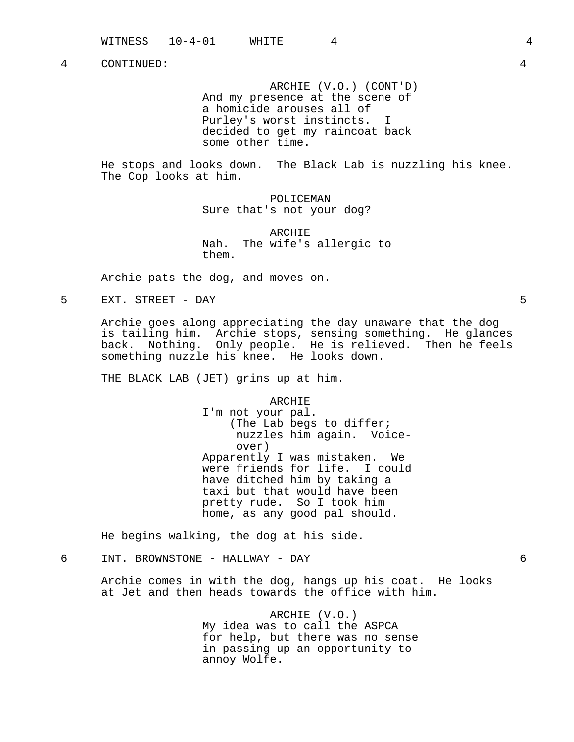ARCHIE (V.O.) (CONT'D) And my presence at the scene of a homicide arouses all of Purley's worst instincts. I decided to get my raincoat back some other time.

He stops and looks down. The Black Lab is nuzzling his knee. The Cop looks at him.

> POLICEMAN Sure that's not your dog?

ARCHIE Nah. The wife's allergic to them.

Archie pats the dog, and moves on.

5 EXT. STREET - DAY 5

Archie goes along appreciating the day unaware that the dog is tailing him. Archie stops, sensing something. He glances back. Nothing. Only people. He is relieved. Then he feels something nuzzle his knee. He looks down.

THE BLACK LAB (JET) grins up at him.

ARCHIE

I'm not your pal. (The Lab begs to differ; nuzzles him again. Voiceover) Apparently I was mistaken. We were friends for life. I could have ditched him by taking a taxi but that would have been pretty rude. So I took him home, as any good pal should.

He begins walking, the dog at his side.

# 6 INT. BROWNSTONE - HALLWAY - DAY 6

Archie comes in with the dog, hangs up his coat. He looks at Jet and then heads towards the office with him.

> ARCHIE (V.O.) My idea was to call the ASPCA for help, but there was no sense in passing up an opportunity to annoy Wolfe.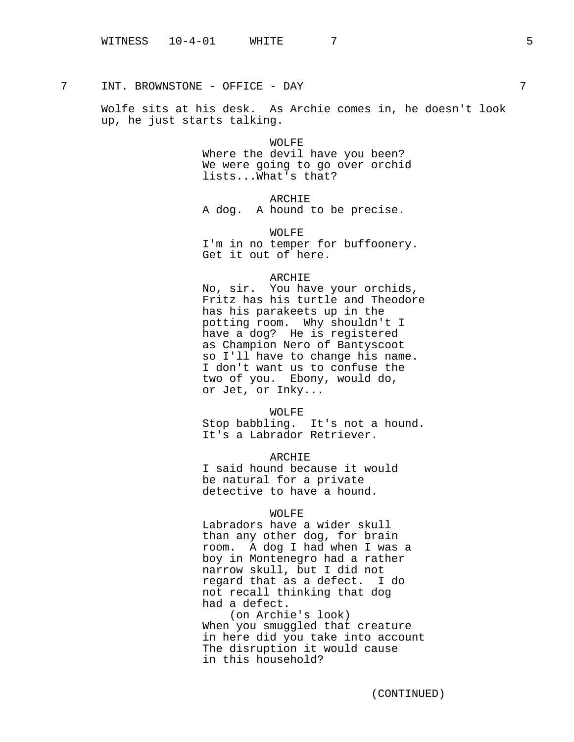7 INT. BROWNSTONE - OFFICE - DAY 7

Wolfe sits at his desk. As Archie comes in, he doesn't look up, he just starts talking.

> WOLFE Where the devil have you been? We were going to go over orchid lists...What's that?

> > ARCHIE

A dog. A hound to be precise.

WOLFE I'm in no temper for buffoonery. Get it out of here.

# ARCHIE

No, sir. You have your orchids, Fritz has his turtle and Theodore has his parakeets up in the potting room. Why shouldn't I have a dog? He is registered as Champion Nero of Bantyscoot so I'll have to change his name. I don't want us to confuse the two of you. Ebony, would do, or Jet, or Inky...

WOLFE

Stop babbling. It's not a hound. It's a Labrador Retriever.

ARCHIE I said hound because it would be natural for a private detective to have a hound.

### WOLFE

Labradors have a wider skull than any other dog, for brain room. A dog I had when I was a boy in Montenegro had a rather narrow skull, but I did not regard that as a defect. I do not recall thinking that dog had a defect.

(on Archie's look) When you smuggled that creature in here did you take into account The disruption it would cause in this household?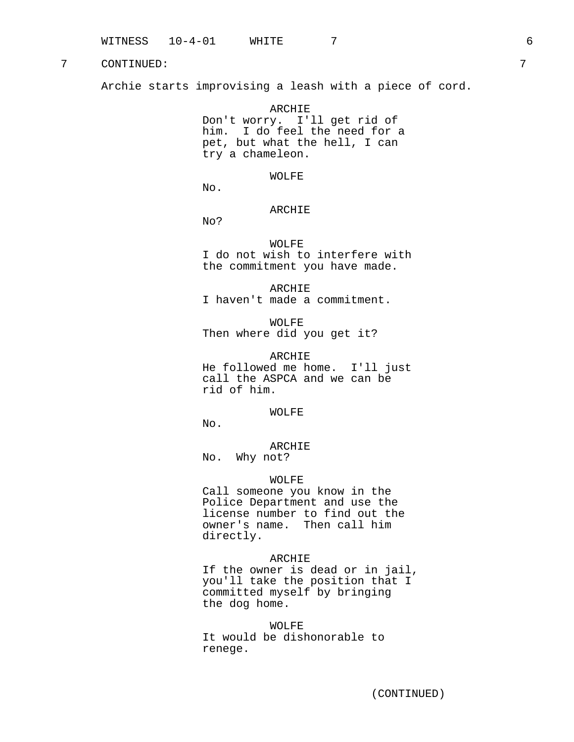Archie starts improvising a leash with a piece of cord.

ARCHIE Don't worry. I'll get rid of him. I do feel the need for a pet, but what the hell, I can try a chameleon.

WOLFE

No.

# ARCHIE

No?

WOLFE I do not wish to interfere with the commitment you have made.

ARCHIE I haven't made a commitment.

WOLFE Then where did you get it?

ARCHIE He followed me home. I'll just call the ASPCA and we can be rid of him.

WOLFE

No.

ARCHIE No. Why not?

### WOLFE

Call someone you know in the Police Department and use the license number to find out the owner's name. Then call him directly.

## ARCHIE

If the owner is dead or in jail, you'll take the position that I committed myself by bringing the dog home.

WOLFF. It would be dishonorable to renege.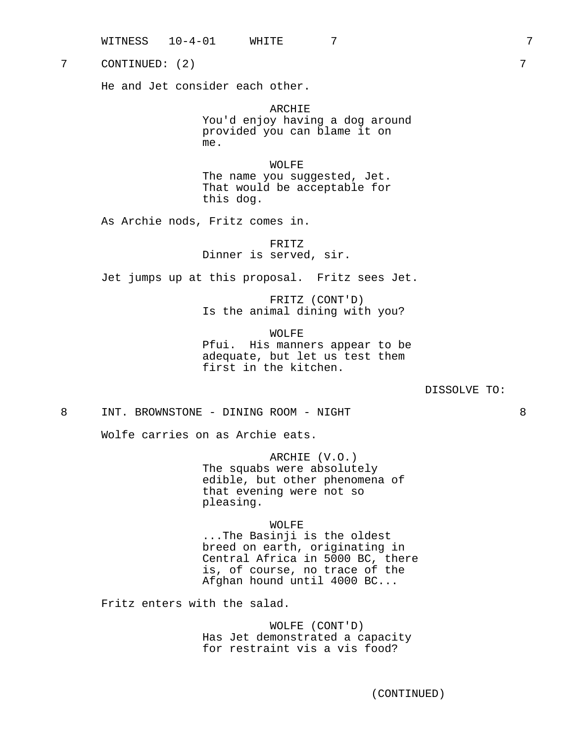| WITNESS | $10 - 4 - 01$ | WHITE |  |  |  |
|---------|---------------|-------|--|--|--|
|---------|---------------|-------|--|--|--|

7 CONTINUED: (2) 7

He and Jet consider each other.

ARCHIE You'd enjoy having a dog around provided you can blame it on me.

WOLFE The name you suggested, Jet. That would be acceptable for this dog.

As Archie nods, Fritz comes in.

FRITZ Dinner is served, sir.

Jet jumps up at this proposal. Fritz sees Jet.

FRITZ (CONT'D) Is the animal dining with you?

WOLFE Pfui. His manners appear to be adequate, but let us test them first in the kitchen.

DISSOLVE TO:

8 INT. BROWNSTONE - DINING ROOM - NIGHT 8

Wolfe carries on as Archie eats.

ARCHIE (V.O.) The squabs were absolutely edible, but other phenomena of that evening were not so pleasing.

WOLFE

...The Basinji is the oldest breed on earth, originating in Central Africa in 5000 BC, there is, of course, no trace of the Afghan hound until 4000 BC...

Fritz enters with the salad.

WOLFE (CONT'D) Has Jet demonstrated a capacity for restraint vis a vis food?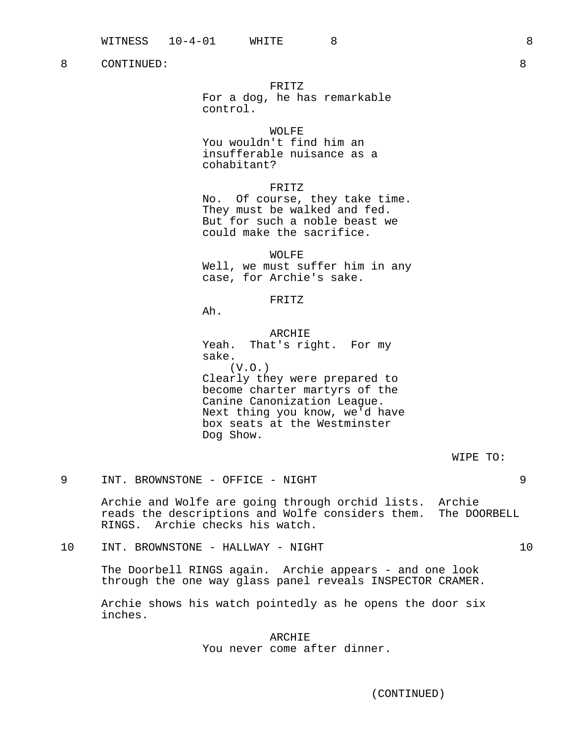# FRITZ

For a dog, he has remarkable control.

### WOLFE

You wouldn't find him an insufferable nuisance as a cohabitant?

### FRITZ

No. Of course, they take time. They must be walked and fed. But for such a noble beast we could make the sacrifice.

WOLFE

Well, we must suffer him in any case, for Archie's sake.

# FRITZ

Ah.

ARCHIE Yeah. That's right. For my sake.  $(V.O.)$ Clearly they were prepared to become charter martyrs of the Canine Canonization League. Next thing you know, we'd have box seats at the Westminster Dog Show.

9 INT. BROWNSTONE - OFFICE - NIGHT 9

Archie and Wolfe are going through orchid lists. Archie reads the descriptions and Wolfe considers them. The DOORBELL RINGS. Archie checks his watch.

10 INT. BROWNSTONE - HALLWAY - NIGHT 10

The Doorbell RINGS again. Archie appears - and one look through the one way glass panel reveals INSPECTOR CRAMER.

Archie shows his watch pointedly as he opens the door six inches.

# ARCHIE You never come after dinner.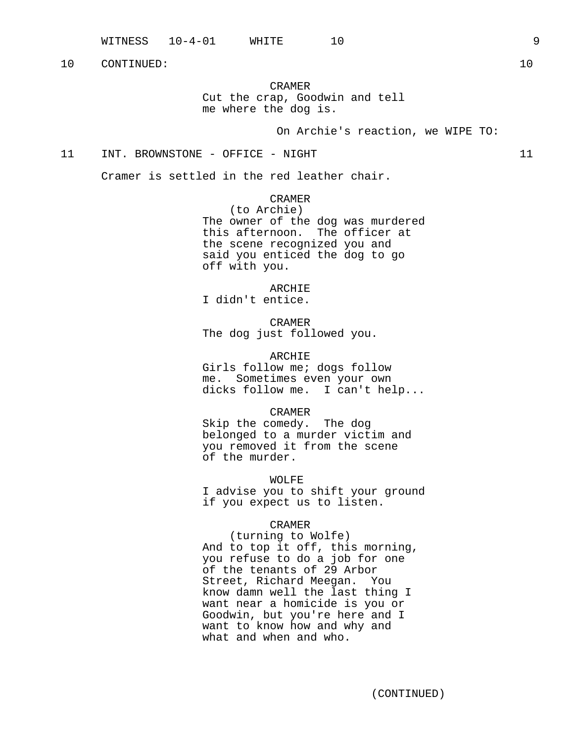CRAMER Cut the crap, Goodwin and tell me where the dog is.

On Archie's reaction, we WIPE TO:

# 11 INT. BROWNSTONE - OFFICE - NIGHT 11

Cramer is settled in the red leather chair.

CRAMER (to Archie) The owner of the dog was murdered this afternoon. The officer at the scene recognized you and said you enticed the dog to go off with you.

ARCHIE I didn't entice.

CRAMER The dog just followed you.

ARCHIE Girls follow me; dogs follow me. Sometimes even your own dicks follow me. I can't help...

CRAMER Skip the comedy. The dog belonged to a murder victim and you removed it from the scene of the murder.

WOLFE I advise you to shift your ground if you expect us to listen.

## CRAMER

(turning to Wolfe) And to top it off, this morning, you refuse to do a job for one of the tenants of 29 Arbor Street, Richard Meegan. You know damn well the last thing I want near a homicide is you or Goodwin, but you're here and I want to know how and why and what and when and who.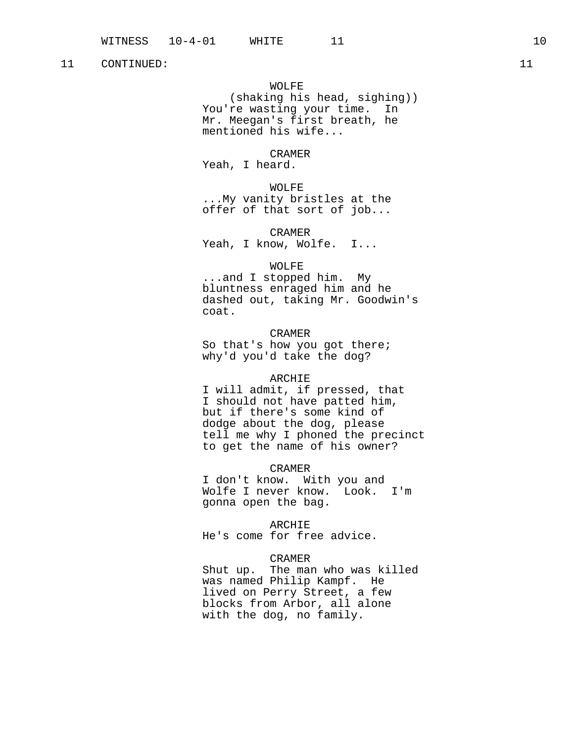WOLFE (shaking his head, sighing)) You're wasting your time. In Mr. Meegan's first breath, he mentioned his wife...

CRAMER Yeah, I heard.

WOLFE ...My vanity bristles at the offer of that sort of job...

CRAMER Yeah, I know, Wolfe. I...

### WOLFE

...and I stopped him. My bluntness enraged him and he dashed out, taking Mr. Goodwin's coat.

### CRAMER

So that's how you got there; why'd you'd take the dog?

#### ARCHIE

I will admit, if pressed, that I should not have patted him, but if there's some kind of dodge about the dog, please tell me why I phoned the precinct to get the name of his owner?

CRAMER

I don't know. With you and Wolfe I never know. Look. I'm gonna open the bag.

ARCHIE

He's come for free advice.

## CRAMER

Shut up. The man who was killed was named Philip Kampf. He lived on Perry Street, a few blocks from Arbor, all alone with the dog, no family.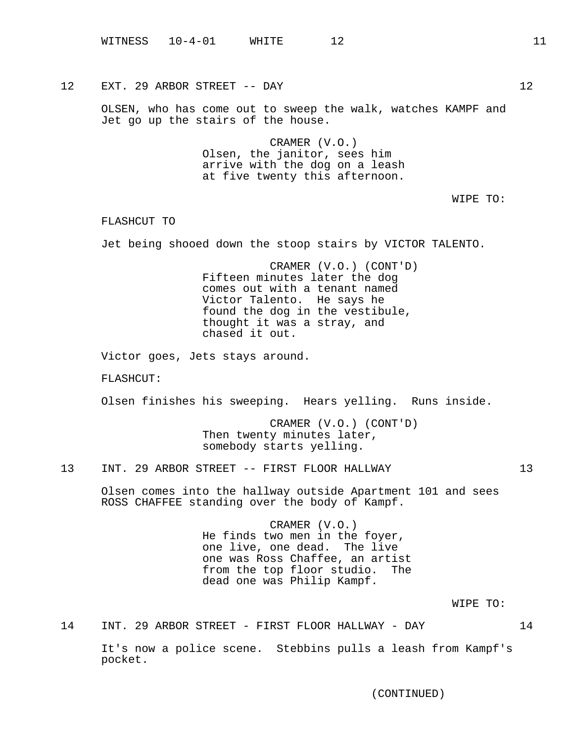12 EXT. 29 ARBOR STREET -- DAY 12

OLSEN, who has come out to sweep the walk, watches KAMPF and Jet go up the stairs of the house.

> CRAMER (V.O.) Olsen, the janitor, sees him arrive with the dog on a leash at five twenty this afternoon.

> > WIPE TO:

FLASHCUT TO

Jet being shooed down the stoop stairs by VICTOR TALENTO.

CRAMER (V.O.) (CONT'D) Fifteen minutes later the dog comes out with a tenant named Victor Talento. He says he found the dog in the vestibule, thought it was a stray, and chased it out.

Victor goes, Jets stays around.

FLASHCUT:

Olsen finishes his sweeping. Hears yelling. Runs inside.

CRAMER (V.O.) (CONT'D) Then twenty minutes later, somebody starts yelling.

13 INT. 29 ARBOR STREET -- FIRST FLOOR HALLWAY 13

Olsen comes into the hallway outside Apartment 101 and sees ROSS CHAFFEE standing over the body of Kampf.

> CRAMER (V.O.) He finds two men in the foyer, one live, one dead. The live one was Ross Chaffee, an artist from the top floor studio. The dead one was Philip Kampf.

> > WIPE TO:

14 INT. 29 ARBOR STREET - FIRST FLOOR HALLWAY - DAY 14

It's now a police scene. Stebbins pulls a leash from Kampf's pocket.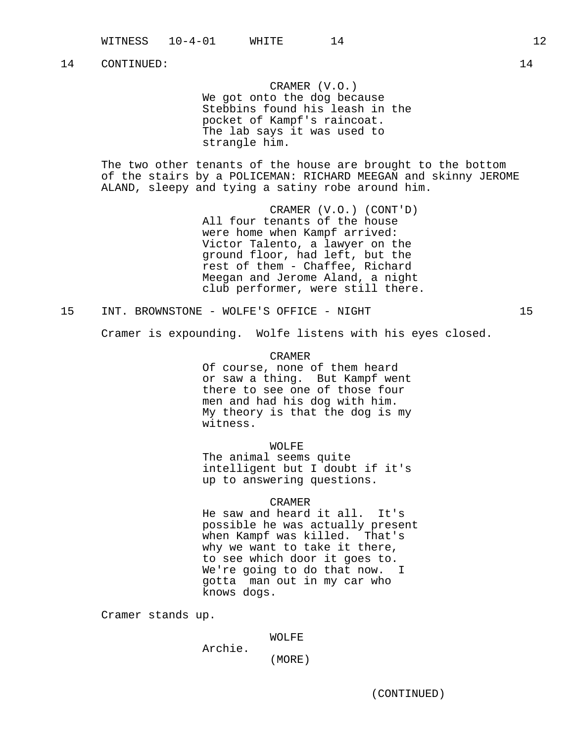CRAMER (V.O.) We got onto the dog because Stebbins found his leash in the pocket of Kampf's raincoat. The lab says it was used to strangle him.

The two other tenants of the house are brought to the bottom of the stairs by a POLICEMAN: RICHARD MEEGAN and skinny JEROME ALAND, sleepy and tying a satiny robe around him.

> CRAMER (V.O.) (CONT'D) All four tenants of the house were home when Kampf arrived: Victor Talento, a lawyer on the ground floor, had left, but the rest of them - Chaffee, Richard Meegan and Jerome Aland, a night club performer, were still there.

15 INT. BROWNSTONE - WOLFE'S OFFICE - NIGHT 15

Cramer is expounding. Wolfe listens with his eyes closed.

CRAMER

Of course, none of them heard or saw a thing. But Kampf went there to see one of those four men and had his dog with him. My theory is that the dog is my witness.

WOLFE

The animal seems quite intelligent but I doubt if it's up to answering questions.

#### CRAMER

He saw and heard it all. It's possible he was actually present when Kampf was killed. That's why we want to take it there, to see which door it goes to. We're going to do that now. I gotta man out in my car who knows dogs.

Cramer stands up.

WOLFE

Archie.

(MORE)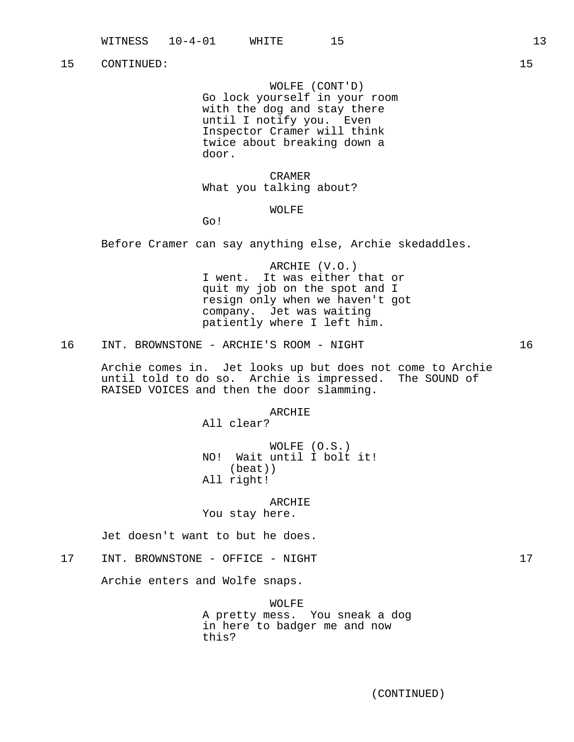WOLFE (CONT'D) Go lock yourself in your room with the dog and stay there until I notify you. Even Inspector Cramer will think twice about breaking down a door.

CRAMER What you talking about?

## WOLFE

Go!

Before Cramer can say anything else, Archie skedaddles.

ARCHIE (V.O.) I went. It was either that or quit my job on the spot and I resign only when we haven't got company. Jet was waiting patiently where I left him.

16 INT. BROWNSTONE - ARCHIE'S ROOM - NIGHT 16

Archie comes in. Jet looks up but does not come to Archie until told to do so. Archie is impressed. The SOUND of RAISED VOICES and then the door slamming.

ARCHIE

All clear?

WOLFE (O.S.) NO! Wait until I bolt it! (beat)) All right!

ARCHIE

You stay here.

Jet doesn't want to but he does.

# 17 INT. BROWNSTONE - OFFICE - NIGHT 17

Archie enters and Wolfe snaps.

WOLFE A pretty mess. You sneak a dog in here to badger me and now this?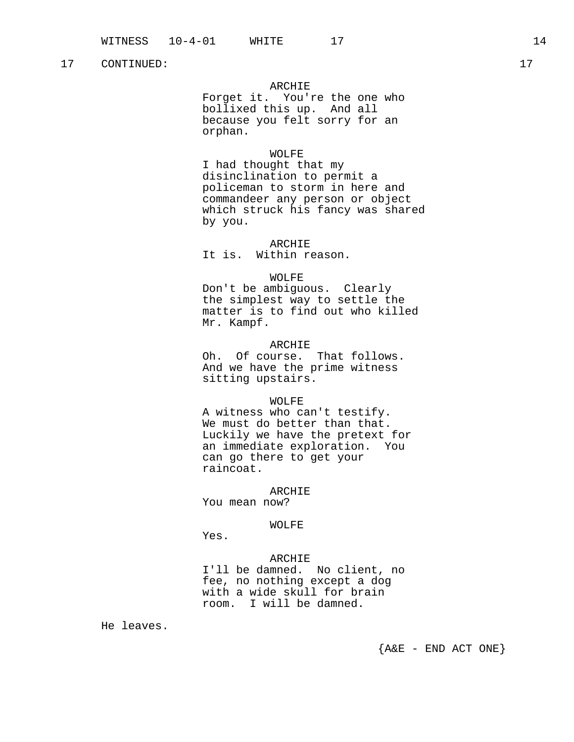# ARCHIE

Forget it. You're the one who bollixed this up. And all because you felt sorry for an orphan.

# WOLFE

I had thought that my disinclination to permit a policeman to storm in here and commandeer any person or object which struck his fancy was shared by you.

ARCHIE It is. Within reason.

# WOLFE

Don't be ambiguous. Clearly the simplest way to settle the matter is to find out who killed Mr. Kampf.

### ARCHIE

Oh. Of course. That follows. And we have the prime witness sitting upstairs.

### WOLFE

A witness who can't testify. We must do better than that. Luckily we have the pretext for an immediate exploration. You can go there to get your raincoat.

#### ARCHIE

You mean now?

# WOLFE

Yes.

### ARCHIE

I'll be damned. No client, no fee, no nothing except a dog with a wide skull for brain room. I will be damned.

He leaves.

 ${A\&E$  - END ACT ONE }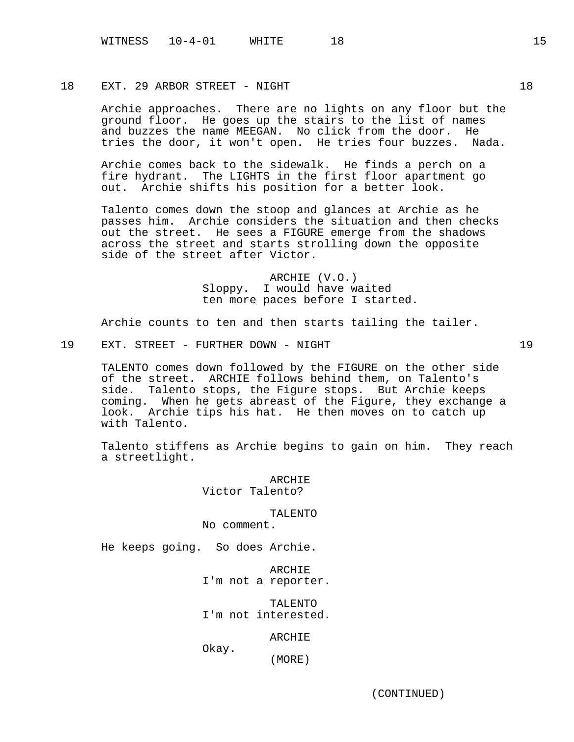# 18 EXT. 29 ARBOR STREET - NIGHT 18

Archie approaches. There are no lights on any floor but the ground floor. He goes up the stairs to the list of names and buzzes the name MEEGAN. No click from the door. He tries the door, it won't open. He tries four buzzes. Nada.

Archie comes back to the sidewalk. He finds a perch on a fire hydrant. The LIGHTS in the first floor apartment go out. Archie shifts his position for a better look.

Talento comes down the stoop and glances at Archie as he passes him. Archie considers the situation and then checks out the street. He sees a FIGURE emerge from the shadows across the street and starts strolling down the opposite side of the street after Victor.

> ARCHIE (V.O.) Sloppy. I would have waited ten more paces before I started.

Archie counts to ten and then starts tailing the tailer.

19 EXT. STREET - FURTHER DOWN - NIGHT 19

TALENTO comes down followed by the FIGURE on the other side of the street. ARCHIE follows behind them, on Talento's side. Talento stops, the Figure stops. But Archie keeps coming. When he gets abreast of the Figure, they exchange a look. Archie tips his hat. He then moves on to catch up with Talento.

Talento stiffens as Archie begins to gain on him. They reach a streetlight.

> ARCHIE Victor Talento?

> > TALENTO

No comment.

He keeps going. So does Archie.

ARCHIE I'm not a reporter.

TALENTO I'm not interested.

ARCHIE

Okay.

(MORE)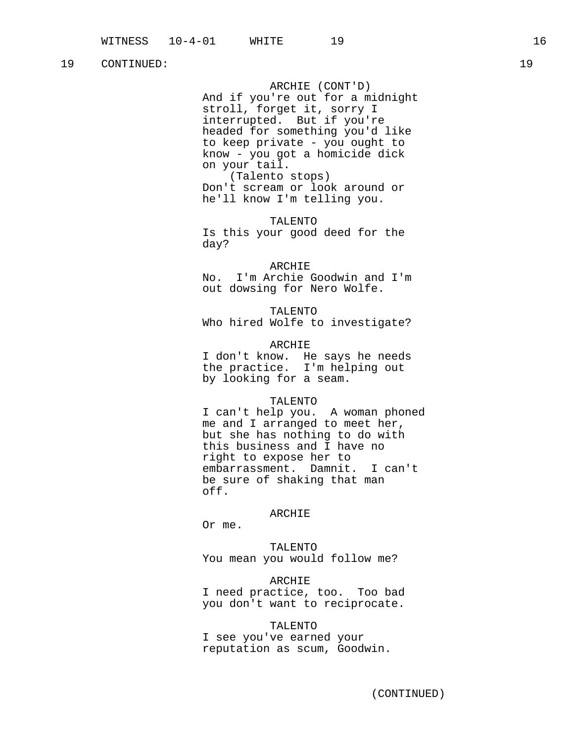ARCHIE (CONT'D) And if you're out for a midnight stroll, forget it, sorry I interrupted. But if you're headed for something you'd like to keep private - you ought to know - you got a homicide dick on your tail. (Talento stops) Don't scream or look around or

he'll know I'm telling you. TALENTO

Is this your good deed for the day?

ARCHIE No. I'm Archie Goodwin and I'm out dowsing for Nero Wolfe.

TALENTO Who hired Wolfe to investigate?

ARCHIE I don't know. He says he needs the practice. I'm helping out by looking for a seam.

### TALENTO

I can't help you. A woman phoned me and I arranged to meet her, but she has nothing to do with this business and I have no right to expose her to embarrassment. Damnit. I can't be sure of shaking that man off.

#### ARCHIE

Or me.

TALENTO You mean you would follow me?

# ARCHIE

I need practice, too. Too bad you don't want to reciprocate.

### TALENTO

I see you've earned your reputation as scum, Goodwin.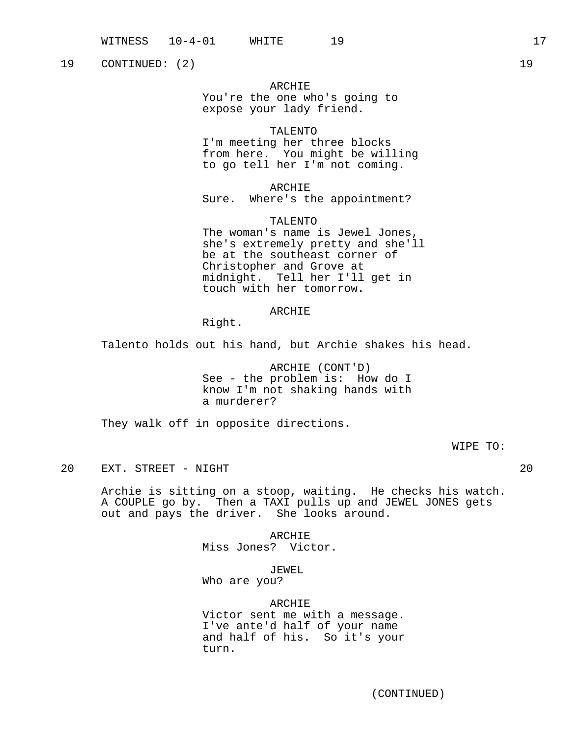19 CONTINUED: (2) 19

ARCHIE You're the one who's going to expose your lady friend.

### TALENTO

I'm meeting her three blocks from here. You might be willing to go tell her I'm not coming.

ARCHIE Sure. Where's the appointment?

TALENTO The woman's name is Jewel Jones, she's extremely pretty and she'll be at the southeast corner of Christopher and Grove at midnight. Tell her I'll get in touch with her tomorrow.

### ARCHIE

Right.

Talento holds out his hand, but Archie shakes his head.

ARCHIE (CONT'D) See - the problem is: How do I know I'm not shaking hands with a murderer?

They walk off in opposite directions.

WIPE TO:

20 EXT. STREET - NIGHT 20

Archie is sitting on a stoop, waiting. He checks his watch. A COUPLE go by. Then a TAXI pulls up and JEWEL JONES gets out and pays the driver. She looks around.

> ARCHIE Miss Jones? Victor.

> > JEWEL

Who are you?

### ARCHIE

Victor sent me with a message. I've ante'd half of your name and half of his. So it's your turn.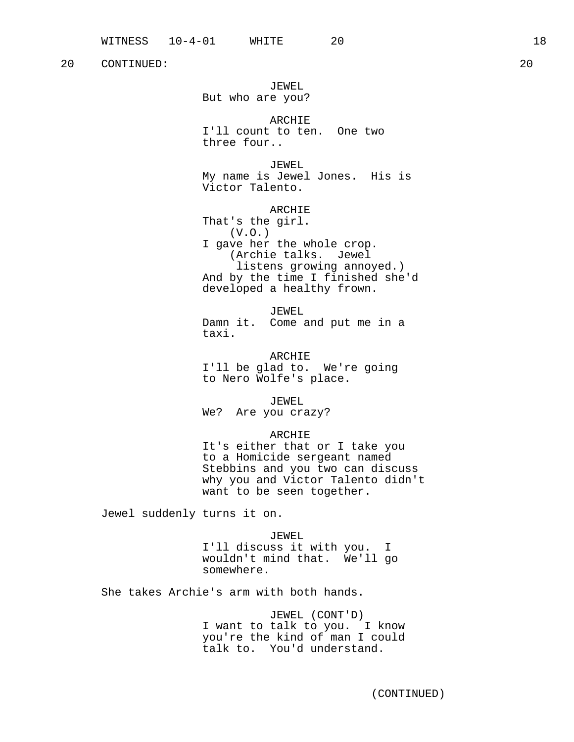JEWEL But who are you?

ARCHIE I'll count to ten. One two three four..

JEWEL My name is Jewel Jones. His is Victor Talento.

ARCHIE That's the girl. (V.O.) I gave her the whole crop. (Archie talks. Jewel listens growing annoyed.) And by the time I finished she'd developed a healthy frown.

JEWEL Damn it. Come and put me in a taxi.

ARCHIE I'll be glad to. We're going to Nero Wolfe's place.

JEWEL We? Are you crazy?

#### ARCHIE

It's either that or I take you to a Homicide sergeant named Stebbins and you two can discuss why you and Victor Talento didn't want to be seen together.

Jewel suddenly turns it on.

JEWEL

I'll discuss it with you. I wouldn't mind that. We'll go somewhere.

She takes Archie's arm with both hands.

JEWEL (CONT'D) I want to talk to you. I know you're the kind of man I could talk to. You'd understand.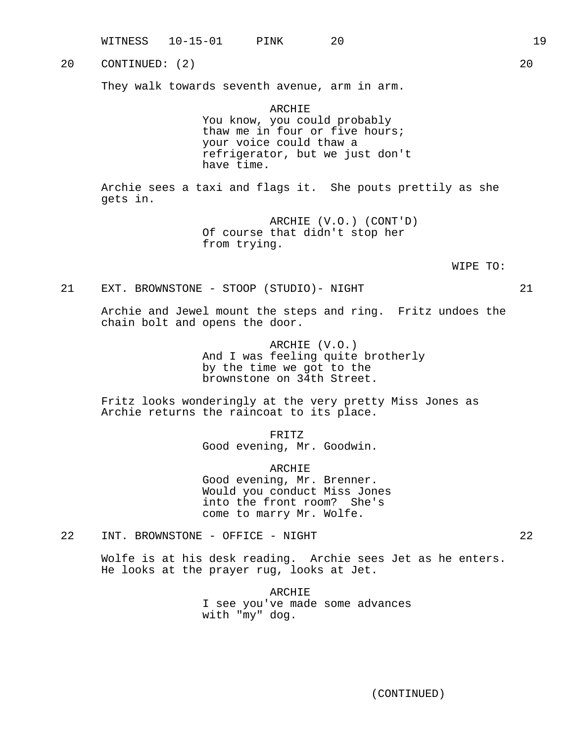WITNESS 10-15-01 PINK 20 19 20 CONTINUED: (2) 20 They walk towards seventh avenue, arm in arm. ARCHIE You know, you could probably thaw me in four or five hours; your voice could thaw a refrigerator, but we just don't have time. Archie sees a taxi and flags it. She pouts prettily as she gets in. ARCHIE (V.O.) (CONT'D) Of course that didn't stop her from trying. WIPE TO: 21 EXT. BROWNSTONE - STOOP (STUDIO)- NIGHT 21 Archie and Jewel mount the steps and ring. Fritz undoes the chain bolt and opens the door. ARCHIE (V.O.) And I was feeling quite brotherly by the time we got to the brownstone on 34th Street. Fritz looks wonderingly at the very pretty Miss Jones as Archie returns the raincoat to its place. FRITZ Good evening, Mr. Goodwin. ARCHIE Good evening, Mr. Brenner. Would you conduct Miss Jones into the front room? She's come to marry Mr. Wolfe. 22 INT. BROWNSTONE - OFFICE - NIGHT 22 Wolfe is at his desk reading. Archie sees Jet as he enters. He looks at the prayer rug, looks at Jet.

> ARCHIE I see you've made some advances with "my" dog.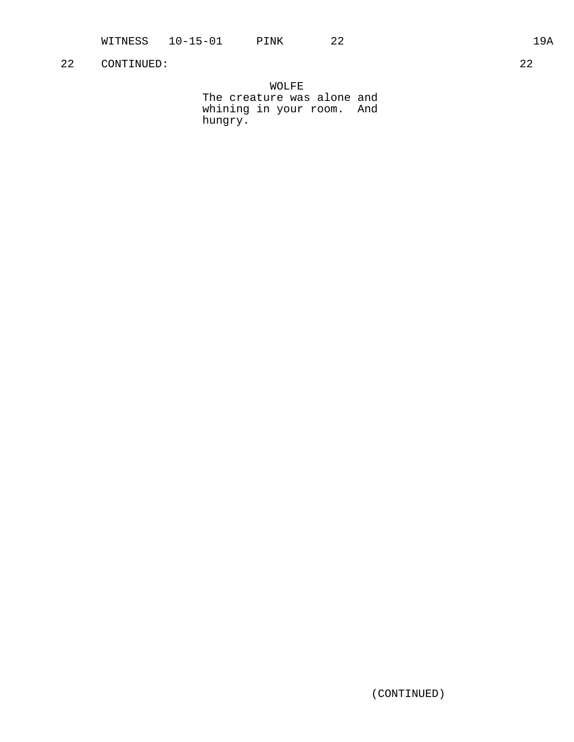WOLFE The creature was alone and whining in your room. And hungry.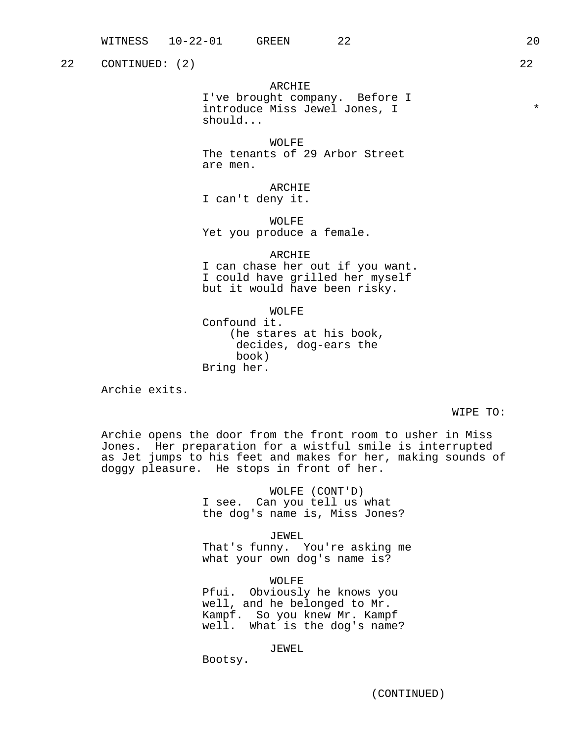22 CONTINUED: (2) 22

ARCHIE

I've brought company. Before I introduce Miss Jewel Jones, I  $*$ should...

WOLFE The tenants of 29 Arbor Street are men.

ARCHIE I can't deny it.

WOLFE Yet you produce a female.

ARCHIE

I can chase her out if you want. I could have grilled her myself but it would have been risky.

WOLFE Confound it. (he stares at his book, decides, dog-ears the book) Bring her.

Archie exits.

WIPE TO:

Archie opens the door from the front room to usher in Miss Jones. Her preparation for a wistful smile is interrupted as Jet jumps to his feet and makes for her, making sounds of doggy pleasure. He stops in front of her.

> WOLFE (CONT'D) I see. Can you tell us what the dog's name is, Miss Jones?

JEWEL That's funny. You're asking me what your own dog's name is?

WOLFE Pfui. Obviously he knows you well, and he belonged to Mr. Kampf. So you knew Mr. Kampf well. What is the dog's name?

JEWEL

Bootsy.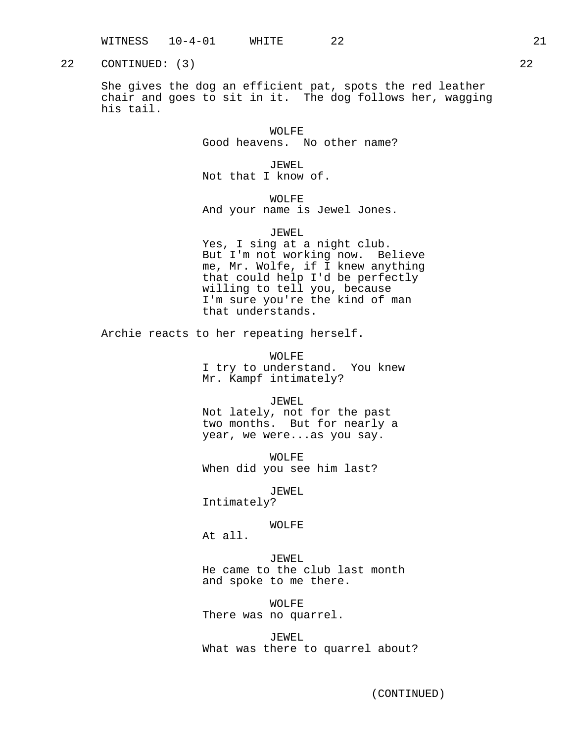22 CONTINUED: (3) 22

She gives the dog an efficient pat, spots the red leather chair and goes to sit in it. The dog follows her, wagging his tail.

> WOLFE Good heavens. No other name?

JEWEL Not that I know of.

WOLFE And your name is Jewel Jones.

### JEWEL

Yes, I sing at a night club. But I'm not working now. Believe me, Mr. Wolfe, if I knew anything that could help I'd be perfectly willing to tell you, because I'm sure you're the kind of man that understands.

Archie reacts to her repeating herself.

WOLFE I try to understand. You knew Mr. Kampf intimately?

### JEWEL

Not lately, not for the past two months. But for nearly a year, we were...as you say.

WOLFE When did you see him last?

JEWEL

Intimately?

# WOLFE

At all.

### JEWEL

He came to the club last month and spoke to me there.

WOLFE There was no quarrel.

JEWEL What was there to quarrel about?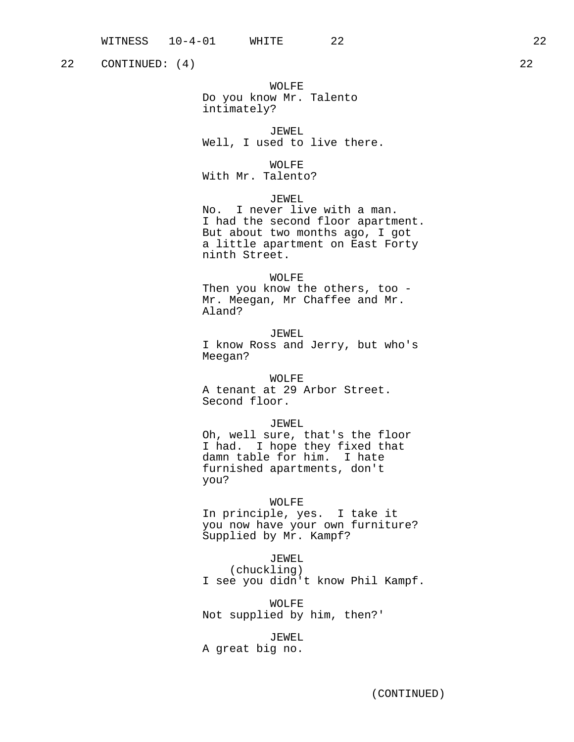22 CONTINUED: (4) 22

WOLFE Do you know Mr. Talento intimately?

JEWEL Well, I used to live there.

WOLFE With Mr. Talento?

JEWEL No. I never live with a man. I had the second floor apartment. But about two months ago, I got a little apartment on East Forty ninth Street.

WOLFE Then you know the others, too - Mr. Meegan, Mr Chaffee and Mr. Aland?

JEWEL I know Ross and Jerry, but who's Meegan?

WOLFE A tenant at 29 Arbor Street. Second floor.

JEWEL Oh, well sure, that's the floor I had. I hope they fixed that damn table for him. I hate furnished apartments, don't you?

### WOLFE

In principle, yes. I take it you now have your own furniture? Supplied by Mr. Kampf?

# JEWEL

(chuckling) I see you didn't know Phil Kampf.

WOLFE Not supplied by him, then?'

JEWEL

A great big no.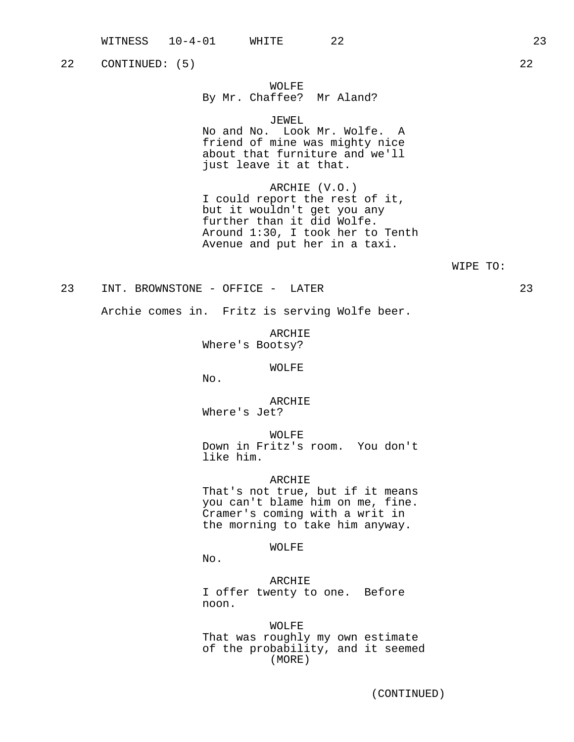22 CONTINUED: (5) 22

# WOLFE

# By Mr. Chaffee? Mr Aland?

JEWEL

No and No. Look Mr. Wolfe. A friend of mine was mighty nice about that furniture and we'll just leave it at that.

ARCHIE (V.O.) I could report the rest of it, but it wouldn't get you any further than it did Wolfe. Around 1:30, I took her to Tenth Avenue and put her in a taxi.

### WIPE TO:

### 23 INT. BROWNSTONE - OFFICE - LATER 23

Archie comes in. Fritz is serving Wolfe beer.

ARCHIE Where's Bootsy?

#### WOLFE

No.

ARCHIE Where's Jet?

WOLFE

Down in Fritz's room. You don't like him.

### ARCHIE

That's not true, but if it means you can't blame him on me, fine. Cramer's coming with a writ in the morning to take him anyway.

WOLFE

No.

ARCHIE I offer twenty to one. Before noon.

WOLFE That was roughly my own estimate of the probability, and it seemed (MORE)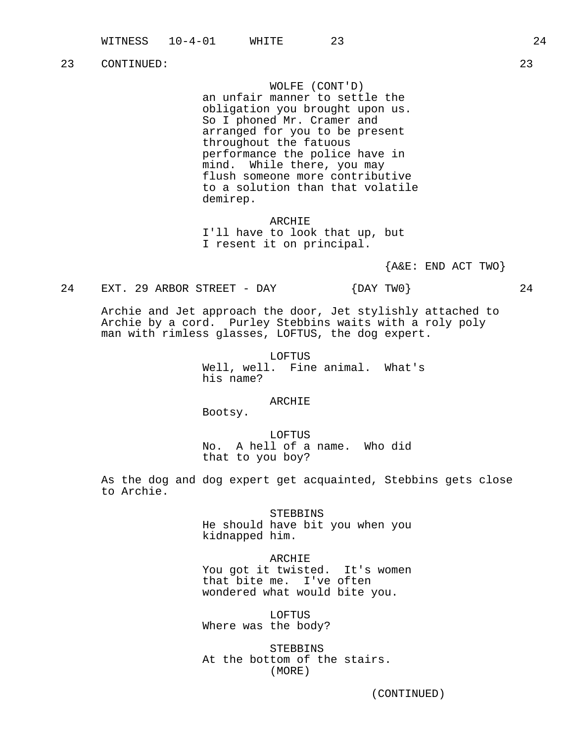WOLFE (CONT'D)

an unfair manner to settle the obligation you brought upon us. So I phoned Mr. Cramer and arranged for you to be present throughout the fatuous performance the police have in mind. While there, you may flush someone more contributive to a solution than that volatile demirep.

ARCHIE I'll have to look that up, but I resent it on principal.

 ${A&E: END ACT TWO}$ 

24 EXT. 29 ARBOR STREET - DAY  ${DAY}$  TWO  $24$ 

Archie and Jet approach the door, Jet stylishly attached to Archie by a cord. Purley Stebbins waits with a roly poly man with rimless glasses, LOFTUS, the dog expert.

> LOFTUS Well, well. Fine animal. What's his name?

> > ARCHIE

Bootsy.

LOFTUS No. A hell of a name. Who did that to you boy?

As the dog and dog expert get acquainted, Stebbins gets close to Archie.

> STEBBINS He should have bit you when you kidnapped him.

> > ARCHIE

You got it twisted. It's women that bite me. I've often wondered what would bite you.

LOFTUS Where was the body?

STEBBINS At the bottom of the stairs. (MORE)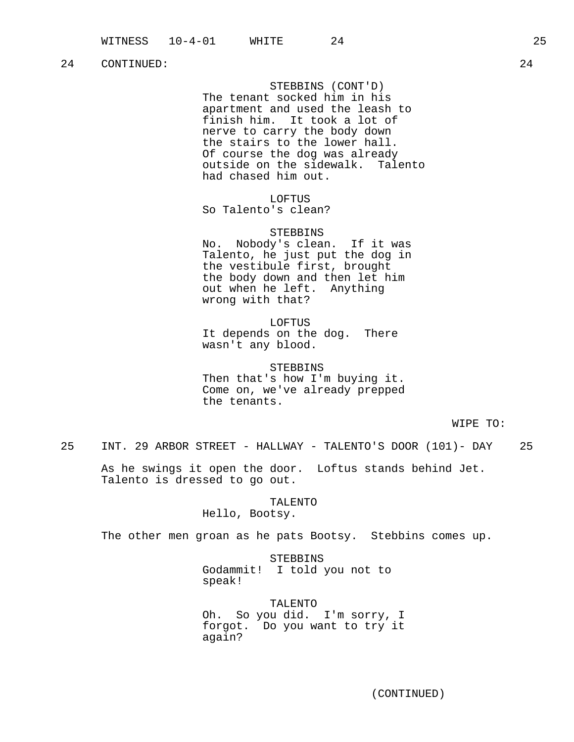STEBBINS (CONT'D) The tenant socked him in his apartment and used the leash to finish him. It took a lot of nerve to carry the body down the stairs to the lower hall. Of course the dog was already outside on the sidewalk. Talento had chased him out.

LOFTUS So Talento's clean?

STEBBINS No. Nobody's clean. If it was Talento, he just put the dog in the vestibule first, brought the body down and then let him out when he left. Anything wrong with that?

LOFTUS It depends on the dog. There wasn't any blood.

STEBBINS Then that's how I'm buying it. Come on, we've already prepped the tenants.

WIPE TO:

25 INT. 29 ARBOR STREET - HALLWAY - TALENTO'S DOOR (101)- DAY 25

As he swings it open the door. Loftus stands behind Jet. Talento is dressed to go out.

> TALENTO Hello, Bootsy.

The other men groan as he pats Bootsy. Stebbins comes up.

STEBBINS Godammit! I told you not to speak!

TALENTO Oh. So you did. I'm sorry, I forgot. Do you want to try it again?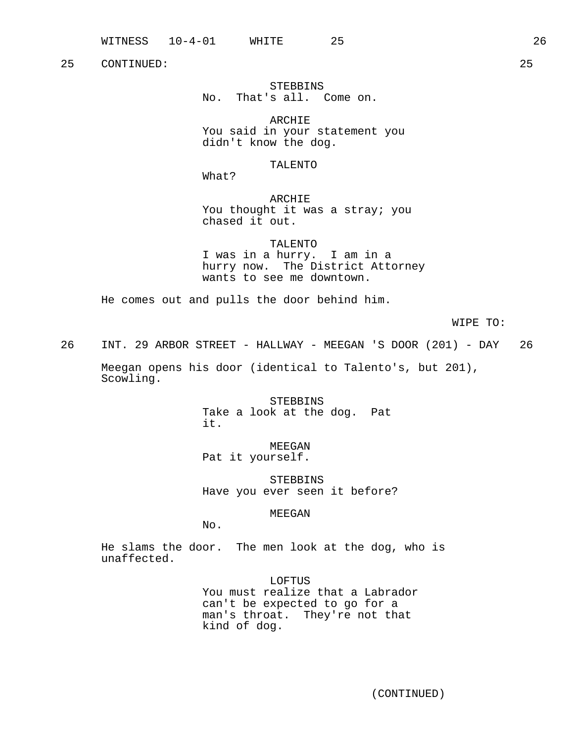# STEBBINS No. That's all. Come on.

ARCHIE You said in your statement you didn't know the dog.

# TALENTO

What?

ARCHIE You thought it was a stray; you chased it out.

TALENTO

I was in a hurry. I am in a hurry now. The District Attorney wants to see me downtown.

He comes out and pulls the door behind him.

WIPE TO:

26 INT. 29 ARBOR STREET - HALLWAY - MEEGAN 'S DOOR (201) - DAY 26

Meegan opens his door (identical to Talento's, but 201), Scowling.

> STEBBINS Take a look at the dog. Pat it.

> > MEEGAN

Pat it yourself.

STEBBINS Have you ever seen it before?

MEEGAN

No.

He slams the door. The men look at the dog, who is unaffected.

> LOFTUS You must realize that a Labrador can't be expected to go for a man's throat. They're not that kind of dog.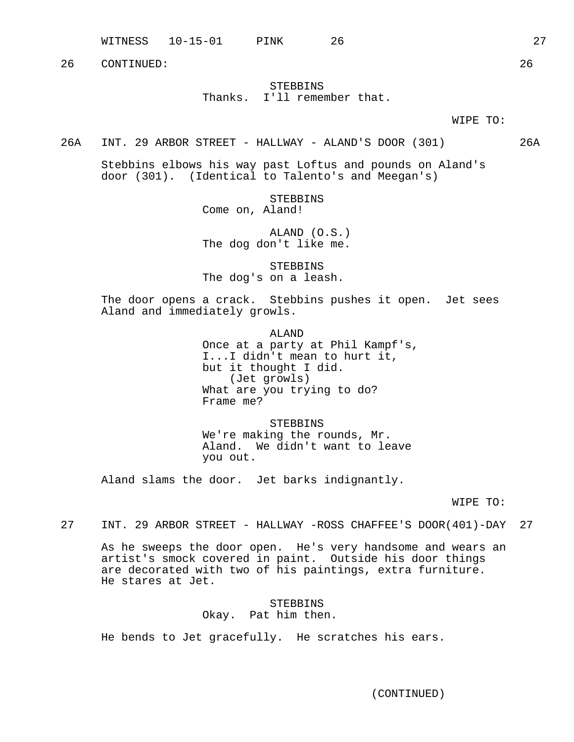WITNESS 10-15-01 PINK 26 27

26 CONTINUED: 26

# STEBBINS Thanks. I'll remember that.

WIPE TO:

26A INT. 29 ARBOR STREET - HALLWAY - ALAND'S DOOR (301) 26A

Stebbins elbows his way past Loftus and pounds on Aland's door (301). (Identical to Talento's and Meegan's)

> STEBBINS Come on, Aland!

ALAND (O.S.) The dog don't like me.

STEBBINS The dog's on a leash.

The door opens a crack. Stebbins pushes it open. Jet sees Aland and immediately growls.

> ALAND Once at a party at Phil Kampf's, I...I didn't mean to hurt it, but it thought I did. (Jet growls) What are you trying to do? Frame me?

STEBBINS We're making the rounds, Mr. Aland. We didn't want to leave you out.

Aland slams the door. Jet barks indignantly.

WIPE TO:

27 INT. 29 ARBOR STREET - HALLWAY -ROSS CHAFFEE'S DOOR(401)-DAY 27

As he sweeps the door open. He's very handsome and wears an artist's smock covered in paint. Outside his door things are decorated with two of his paintings, extra furniture. He stares at Jet.

# STEBBINS Okay. Pat him then.

He bends to Jet gracefully. He scratches his ears.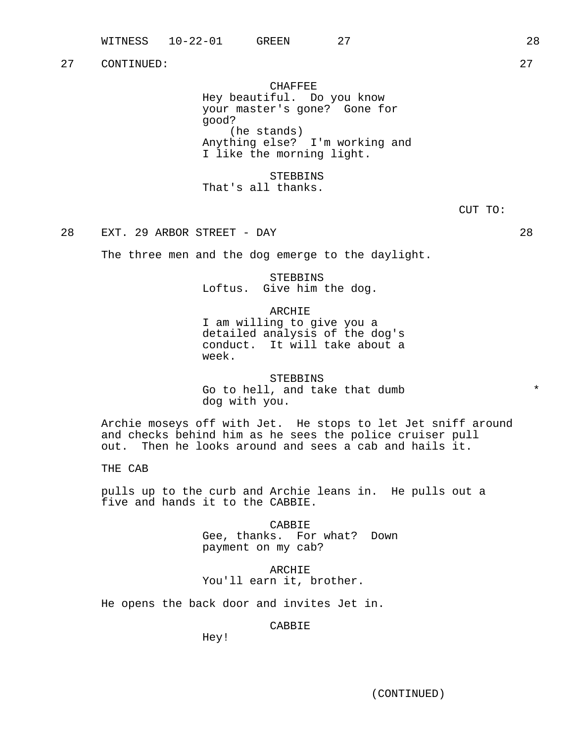CHAFFEE Hey beautiful. Do you know your master's gone? Gone for good? (he stands) Anything else? I'm working and I like the morning light.

STEBBINS That's all thanks.

28 EXT. 29 ARBOR STREET - DAY 28

The three men and the dog emerge to the daylight.

# STEBBINS Loftus. Give him the dog.

ARCHIE

I am willing to give you a detailed analysis of the dog's conduct. It will take about a week.

**STEBBINS** Go to hell, and take that dumb  $*$ dog with you.

Archie moseys off with Jet. He stops to let Jet sniff around and checks behind him as he sees the police cruiser pull out. Then he looks around and sees a cab and hails it.

THE CAB

pulls up to the curb and Archie leans in. He pulls out a five and hands it to the CABBIE.

> CABBIE Gee, thanks. For what? Down payment on my cab?

ARCHIE You'll earn it, brother.

He opens the back door and invites Jet in.

CABBIE

Hey!

(CONTINUED)

CUT TO: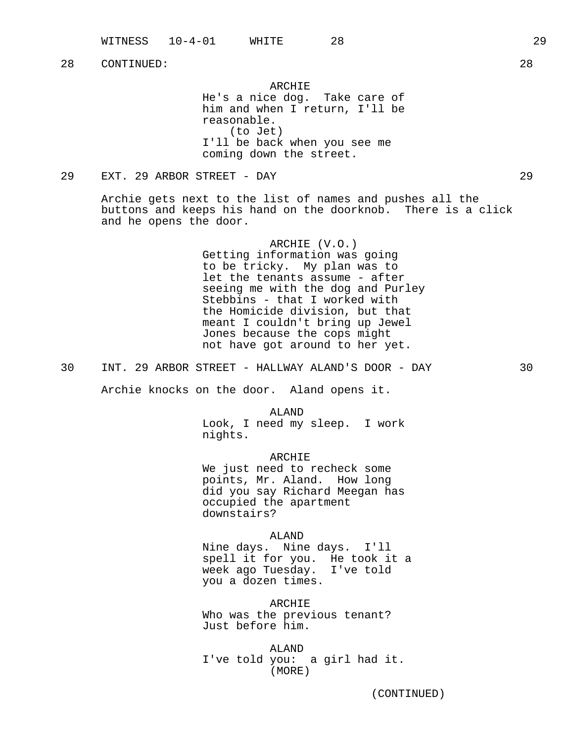ARCHIE He's a nice dog. Take care of him and when I return, I'll be reasonable. (to Jet) I'll be back when you see me coming down the street.

29 EXT. 29 ARBOR STREET - DAY 29

Archie gets next to the list of names and pushes all the buttons and keeps his hand on the doorknob. There is a click and he opens the door.

> ARCHIE (V.O.) Getting information was going to be tricky. My plan was to let the tenants assume - after seeing me with the dog and Purley Stebbins - that I worked with the Homicide division, but that meant I couldn't bring up Jewel Jones because the cops might not have got around to her yet.

30 INT. 29 ARBOR STREET - HALLWAY ALAND'S DOOR - DAY 30

Archie knocks on the door. Aland opens it.

ALAND Look, I need my sleep. I work nights.

ARCHIE We just need to recheck some points, Mr. Aland. How long did you say Richard Meegan has occupied the apartment downstairs?

ALAND Nine days. Nine days. I'll spell it for you. He took it a week ago Tuesday. I've told you a dozen times.

ARCHIE Who was the previous tenant? Just before him.

ALAND I've told you: a girl had it. (MORE)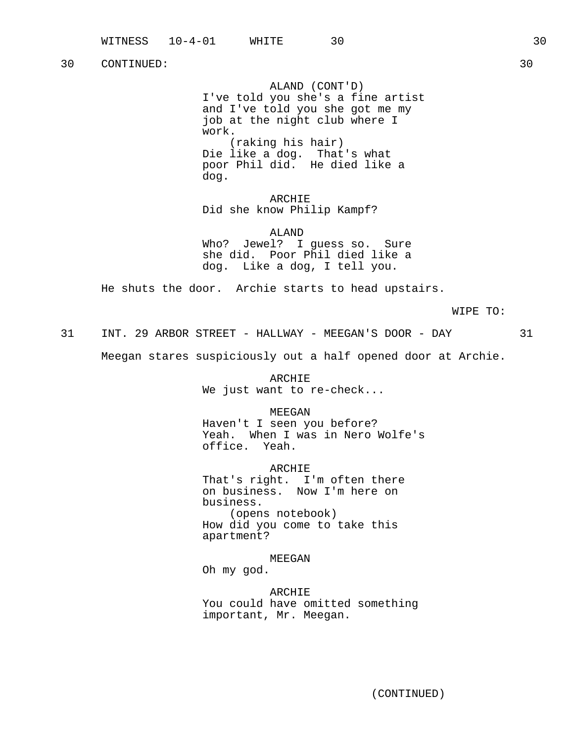ALAND (CONT'D) I've told you she's a fine artist and I've told you she got me my job at the night club where I work. (raking his hair) Die like a dog. That's what poor Phil did. He died like a dog.

ARCHIE Did she know Philip Kampf?

ALAND Who? Jewel? I guess so. Sure she did. Poor Phil died like a dog. Like a dog, I tell you.

He shuts the door. Archie starts to head upstairs.

WIPE TO:

31 INT. 29 ARBOR STREET - HALLWAY - MEEGAN'S DOOR - DAY 31

Meegan stares suspiciously out a half opened door at Archie.

ARCHIE We just want to re-check...

MEEGAN

Haven't I seen you before? Yeah. When I was in Nero Wolfe's office. Yeah.

ARCHIE That's right. I'm often there on business. Now I'm here on business. (opens notebook) How did you come to take this apartment?

MEEGAN

Oh my god.

ARCHIE You could have omitted something important, Mr. Meegan.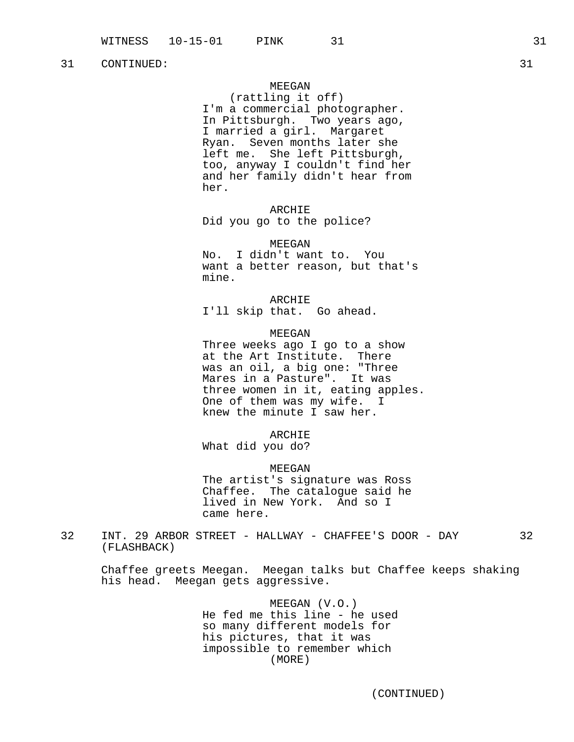# MEEGAN

(rattling it off) I'm a commercial photographer. In Pittsburgh. Two years ago, I married a girl. Margaret Ryan. Seven months later she left me. She left Pittsburgh, too, anyway I couldn't find her and her family didn't hear from her.

ARCHIE Did you go to the police?

MEEGAN

No. I didn't want to. You want a better reason, but that's mine.

ARCHIE I'll skip that. Go ahead.

### MEEGAN

Three weeks ago I go to a show at the Art Institute. There was an oil, a big one: "Three Mares in a Pasture". It was three women in it, eating apples. One of them was my wife. I knew the minute I saw her.

ARCHIE

What did you do?

MEEGAN

The artist's signature was Ross Chaffee. The catalogue said he lived in New York. And so I came here.

32 INT. 29 ARBOR STREET - HALLWAY - CHAFFEE'S DOOR - DAY 32 (FLASHBACK)

Chaffee greets Meegan. Meegan talks but Chaffee keeps shaking his head. Meegan gets aggressive.

> MEEGAN (V.O.) He fed me this line - he used so many different models for his pictures, that it was impossible to remember which (MORE)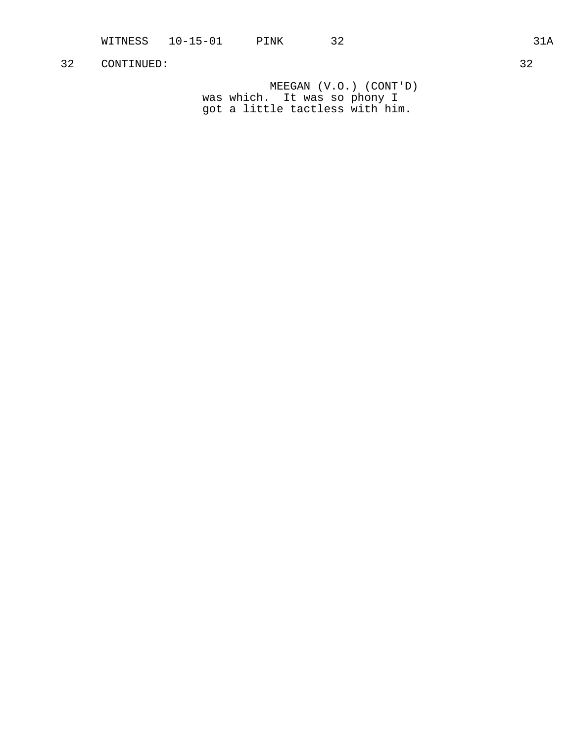MEEGAN (V.O.) (CONT'D) was which. It was so phony I got a little tactless with him.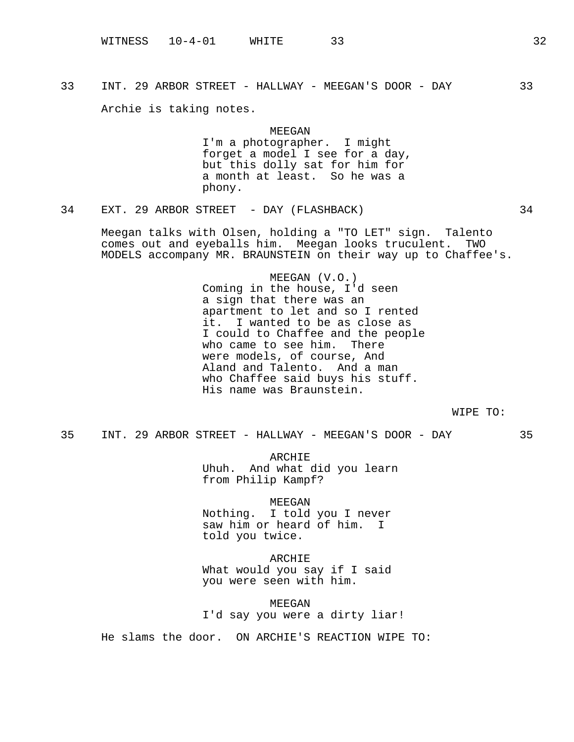Archie is taking notes.

MEEGAN I'm a photographer. I might forget a model I see for a day, but this dolly sat for him for a month at least. So he was a phony.

34 EXT. 29 ARBOR STREET - DAY (FLASHBACK) 34

Meegan talks with Olsen, holding a "TO LET" sign. Talento comes out and eyeballs him. Meegan looks truculent. TWO MODELS accompany MR. BRAUNSTEIN on their way up to Chaffee's.

> MEEGAN (V.O.) Coming in the house, I'd seen a sign that there was an apartment to let and so I rented it. I wanted to be as close as I could to Chaffee and the people who came to see him. There were models, of course, And Aland and Talento. And a man who Chaffee said buys his stuff. His name was Braunstein.

> > WIPE TO:

35 INT. 29 ARBOR STREET - HALLWAY - MEEGAN'S DOOR - DAY 35

ARCHIE Uhuh. And what did you learn from Philip Kampf?

MEEGAN

Nothing. I told you I never saw him or heard of him. I told you twice.

ARCHIE What would you say if I said you were seen with him.

MEEGAN I'd say you were a dirty liar!

He slams the door. ON ARCHIE'S REACTION WIPE TO: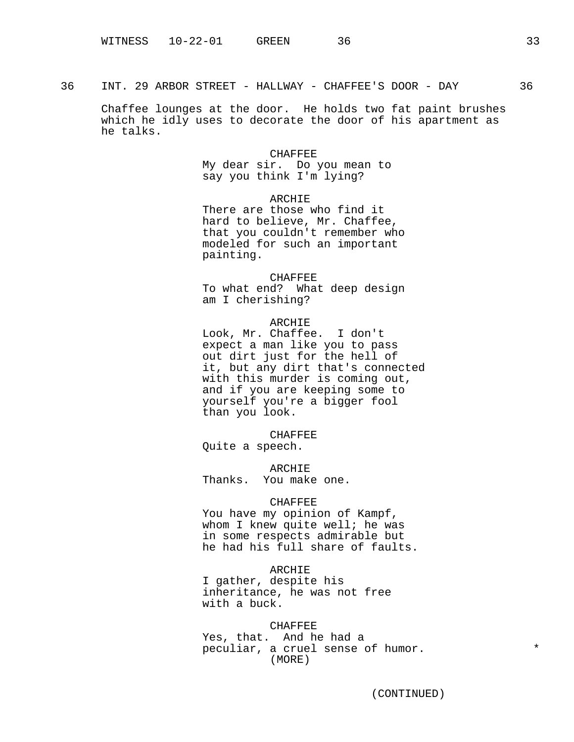Chaffee lounges at the door. He holds two fat paint brushes which he idly uses to decorate the door of his apartment as he talks.

### CHAFFEE

My dear sir. Do you mean to say you think I'm lying?

ARCHIE

There are those who find it hard to believe, Mr. Chaffee, that you couldn't remember who modeled for such an important painting.

CHAFFEE To what end? What deep design am I cherishing?

ARCHIE Look, Mr. Chaffee. I don't expect a man like you to pass out dirt just for the hell of it, but any dirt that's connected with this murder is coming out, and if you are keeping some to yourself you're a bigger fool than you look.

CHAFFEE Quite a speech.

ARCHIE Thanks. You make one.

### **CHAFFEE**

You have my opinion of Kampf, whom I knew quite well; he was in some respects admirable but he had his full share of faults.

#### ARCHIE

I gather, despite his inheritance, he was not free with a buck.

### **CHAFFEE**

Yes, that. And he had a peculiar, a cruel sense of humor.  $*$ (MORE)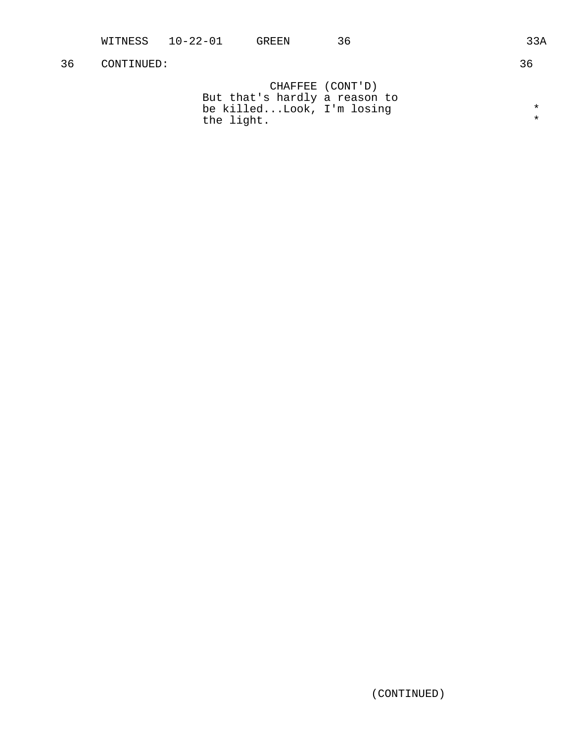|                               | CHAFFEE (CONT'D) |         |
|-------------------------------|------------------|---------|
| But that's hardly a reason to |                  |         |
| be killedLook, I'm losing     |                  | $\star$ |
| the light.                    |                  | $\star$ |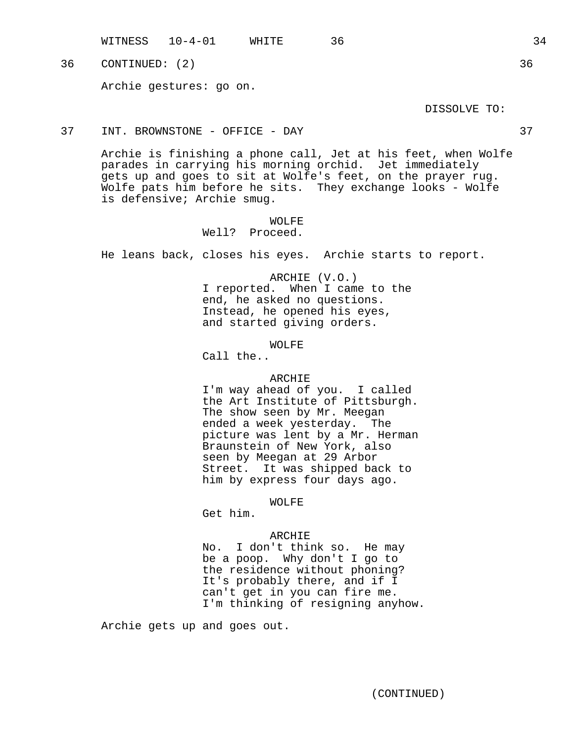WITNESS 10-4-01 WHITE 36 34

36 CONTINUED: (2) 36

Archie gestures: go on.

DISSOLVE TO:

37 INT. BROWNSTONE - OFFICE - DAY 37

Archie is finishing a phone call, Jet at his feet, when Wolfe parades in carrying his morning orchid. Jet immediately gets up and goes to sit at Wolfe's feet, on the prayer rug. Wolfe pats him before he sits. They exchange looks - Wolfe is defensive; Archie smug.

> WOLFE Well? Proceed.

He leans back, closes his eyes. Archie starts to report.

ARCHIE (V.O.) I reported. When I came to the end, he asked no questions. Instead, he opened his eyes, and started giving orders.

WOLFE

Call the..

### ARCHIE

I'm way ahead of you. I called the Art Institute of Pittsburgh. The show seen by Mr. Meegan ended a week yesterday. The picture was lent by a Mr. Herman Braunstein of New York, also seen by Meegan at 29 Arbor Street. It was shipped back to him by express four days ago.

### WOLFE

Get him.

### ARCHIE

No. I don't think so. He may be a poop. Why don't I go to the residence without phoning? It's probably there, and if I can't get in you can fire me. I'm thinking of resigning anyhow.

Archie gets up and goes out.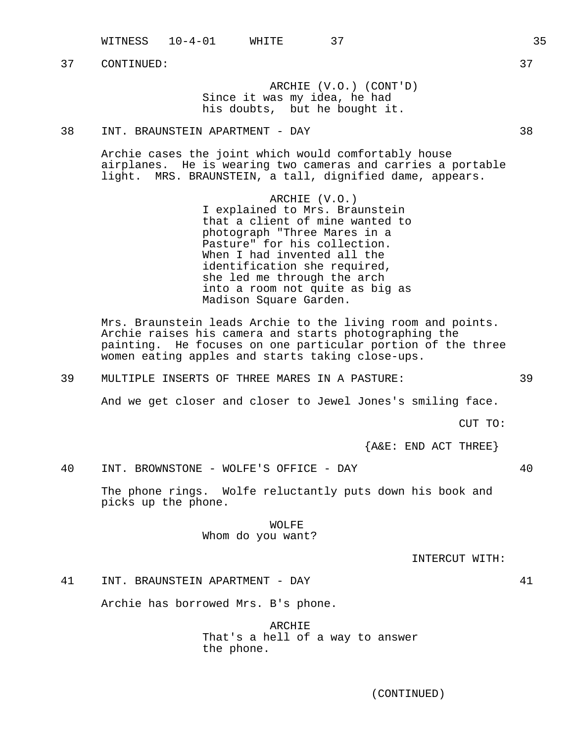WITNESS 10-4-01 WHITE 37 35

37 CONTINUED: 37

ARCHIE (V.O.) (CONT'D) Since it was my idea, he had his doubts, but he bought it.

38 INT. BRAUNSTEIN APARTMENT - DAY 38

Archie cases the joint which would comfortably house airplanes. He is wearing two cameras and carries a portable light. MRS. BRAUNSTEIN, a tall, dignified dame, appears.

> ARCHIE (V.O.) I explained to Mrs. Braunstein that a client of mine wanted to photograph "Three Mares in a Pasture" for his collection. When I had invented all the identification she required, she led me through the arch into a room not quite as big as Madison Square Garden.

Mrs. Braunstein leads Archie to the living room and points. Archie raises his camera and starts photographing the painting. He focuses on one particular portion of the three women eating apples and starts taking close-ups.

39 MULTIPLE INSERTS OF THREE MARES IN A PASTURE: 39

And we get closer and closer to Jewel Jones's smiling face.

CUT TO:

 ${A@E: END ACT THEN}$ 

40 INT. BROWNSTONE - WOLFE'S OFFICE - DAY 40

The phone rings. Wolfe reluctantly puts down his book and picks up the phone.

> WOLFE Whom do you want?

> > INTERCUT WITH:

41 INT. BRAUNSTEIN APARTMENT - DAY 41

Archie has borrowed Mrs. B's phone.

ARCHIE That's a hell of a way to answer the phone.

(CONTINUED)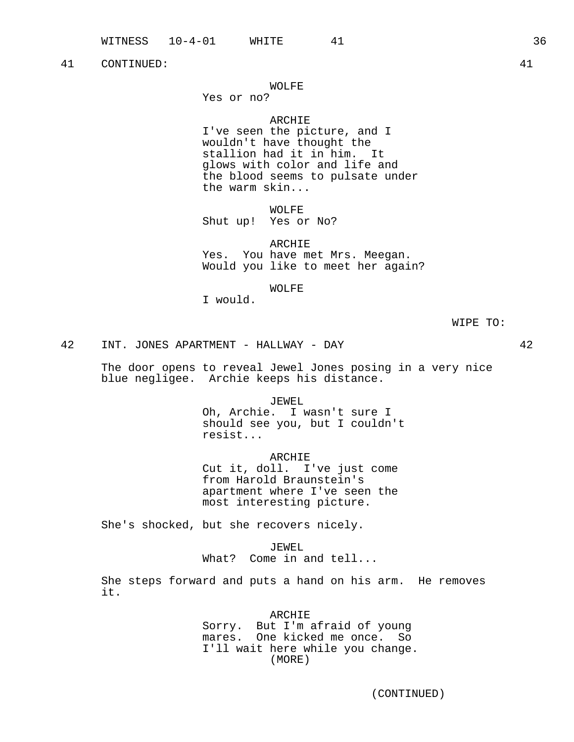# WOLFE

Yes or no?

# ARCHIE

I've seen the picture, and I wouldn't have thought the stallion had it in him. It glows with color and life and the blood seems to pulsate under the warm skin...

WOLFE

Shut up! Yes or No?

ARCHIE Yes. You have met Mrs. Meegan. Would you like to meet her again?

# WOLFE

I would.

WIPE TO:

42 INT. JONES APARTMENT - HALLWAY - DAY 42

The door opens to reveal Jewel Jones posing in a very nice blue negligee. Archie keeps his distance.

JEWEL

Oh, Archie. I wasn't sure I should see you, but I couldn't resist...

ARCHIE

Cut it, doll. I've just come from Harold Braunstein's apartment where I've seen the most interesting picture.

She's shocked, but she recovers nicely.

JEWEL

What? Come in and tell...

She steps forward and puts a hand on his arm. He removes it.

> ARCHIE Sorry. But I'm afraid of young mares. One kicked me once. So I'll wait here while you change. (MORE)

(CONTINUED)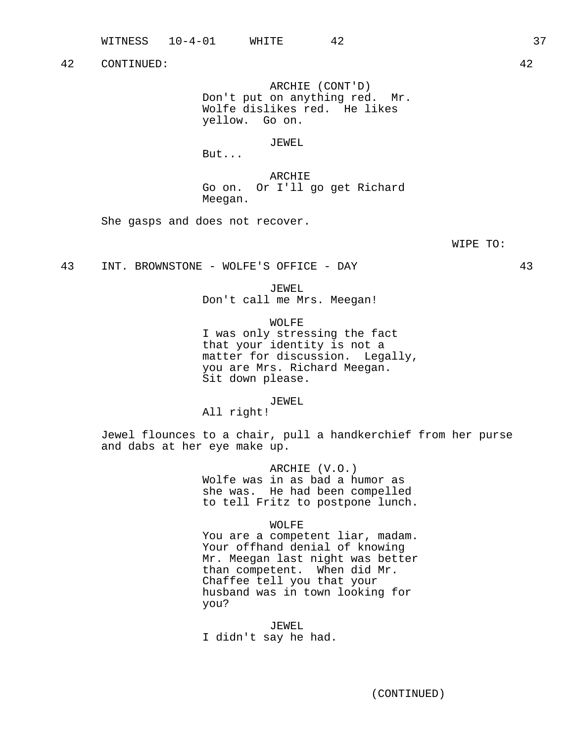ARCHIE (CONT'D) Don't put on anything red. Mr. Wolfe dislikes red. He likes yellow. Go on.

### JEWEL

But...

ARCHIE Go on. Or I'll go get Richard Meegan.

She gasps and does not recover.

WIPE TO:

43 INT. BROWNSTONE - WOLFE'S OFFICE - DAY 43

JEWEL

Don't call me Mrs. Meegan!

WOLFE

I was only stressing the fact that your identity is not a matter for discussion. Legally, you are Mrs. Richard Meegan. Sit down please.

JEWEL

All right!

Jewel flounces to a chair, pull a handkerchief from her purse and dabs at her eye make up.

> ARCHIE (V.O.) Wolfe was in as bad a humor as she was. He had been compelled to tell Fritz to postpone lunch.

> > WOLFE

You are a competent liar, madam. Your offhand denial of knowing Mr. Meegan last night was better than competent. When did Mr. Chaffee tell you that your husband was in town looking for you?

JEWEL I didn't say he had.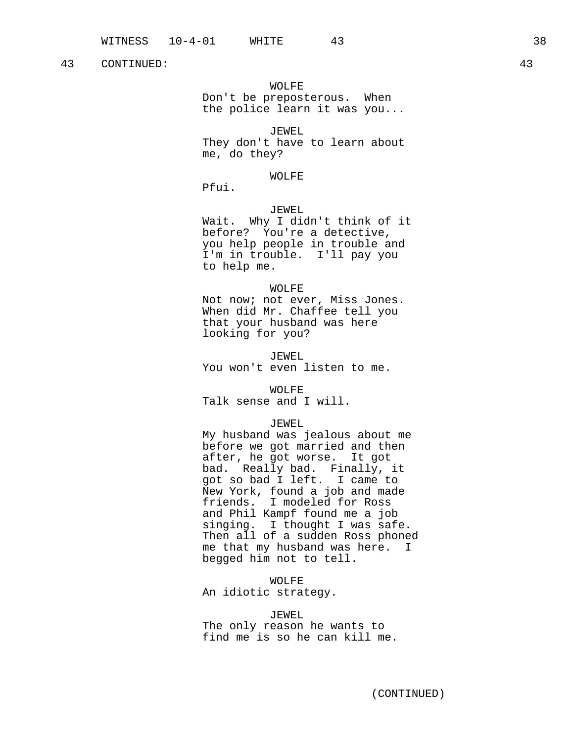### WOLFE

Don't be preposterous. When the police learn it was you...

### JEWEL

They don't have to learn about me, do they?

### WOLFE

Pfui.

# JEWEL

Wait. Why I didn't think of it before? You're a detective, you help people in trouble and I'm in trouble. I'll pay you to help me.

### WOLFE

Not now; not ever, Miss Jones. When did Mr. Chaffee tell you that your husband was here looking for you?

JEWEL You won't even listen to me.

WOLFE Talk sense and I will.

# JEWEL

My husband was jealous about me before we got married and then after, he got worse. It got bad. Really bad. Finally, it got so bad I left. I came to New York, found a job and made friends. I modeled for Ross and Phil Kampf found me a job singing. I thought I was safe. Then all of a sudden Ross phoned me that my husband was here. I begged him not to tell.

WOLFE

An idiotic strategy.

### JEWEL

The only reason he wants to find me is so he can kill me.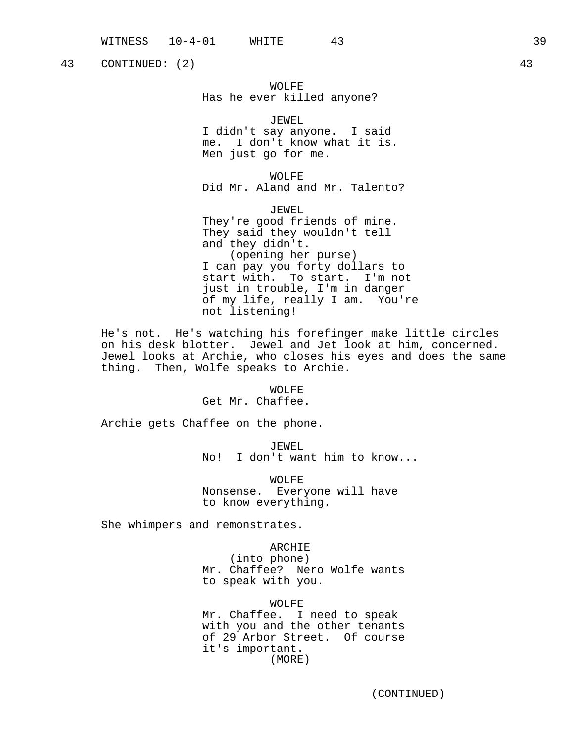43 CONTINUED: (2) 43

# WOLFE Has he ever killed anyone?

JEWEL I didn't say anyone. I said me. I don't know what it is. Men just go for me.

WOLFE Did Mr. Aland and Mr. Talento?

JEWEL They're good friends of mine. They said they wouldn't tell and they didn't. (opening her purse) I can pay you forty dollars to start with. To start. I'm not just in trouble, I'm in danger of my life, really I am. You're not listening!

He's not. He's watching his forefinger make little circles on his desk blotter. Jewel and Jet look at him, concerned. Jewel looks at Archie, who closes his eyes and does the same thing. Then, Wolfe speaks to Archie.

> WOLFE Get Mr. Chaffee.

Archie gets Chaffee on the phone.

JEWEL No! I don't want him to know...

WOLFE Nonsense. Everyone will have to know everything.

She whimpers and remonstrates.

ARCHIE (into phone) Mr. Chaffee? Nero Wolfe wants to speak with you.

WOLFE Mr. Chaffee. I need to speak with you and the other tenants of 29 Arbor Street. Of course it's important.

(MORE)

(CONTINUED)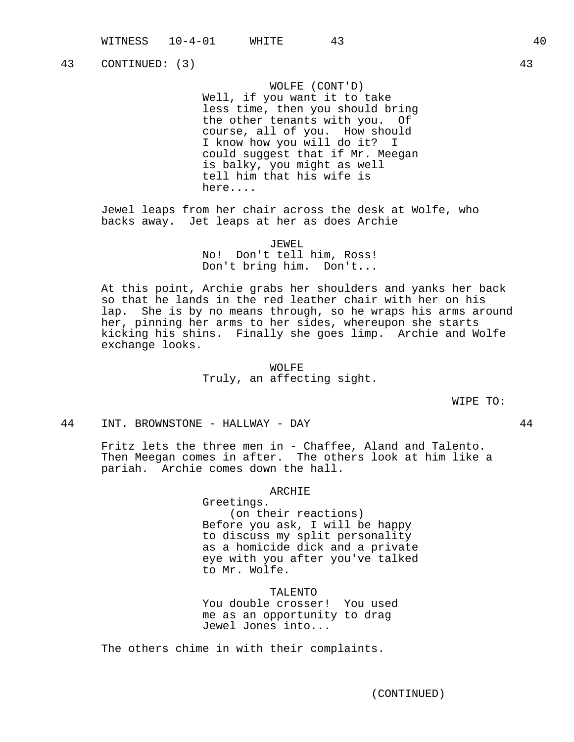43 CONTINUED: (3) 43

WOLFE (CONT'D)

Well, if you want it to take less time, then you should bring the other tenants with you. Of course, all of you. How should I know how you will do it? I could suggest that if Mr. Meegan is balky, you might as well tell him that his wife is here....

Jewel leaps from her chair across the desk at Wolfe, who backs away. Jet leaps at her as does Archie

> JEWEL No! Don't tell him, Ross! Don't bring him. Don't...

At this point, Archie grabs her shoulders and yanks her back so that he lands in the red leather chair with her on his lap. She is by no means through, so he wraps his arms around her, pinning her arms to her sides, whereupon she starts kicking his shins. Finally she goes limp. Archie and Wolfe exchange looks.

> WOLFE Truly, an affecting sight.

> > WIPE TO:

44 INT. BROWNSTONE - HALLWAY - DAY 44

Fritz lets the three men in - Chaffee, Aland and Talento. Then Meegan comes in after. The others look at him like a pariah. Archie comes down the hall.

### ARCHIE

Greetings. (on their reactions) Before you ask, I will be happy to discuss my split personality as a homicide dick and a private eye with you after you've talked to Mr. Wolfe.

TALENTO You double crosser! You used me as an opportunity to drag Jewel Jones into...

The others chime in with their complaints.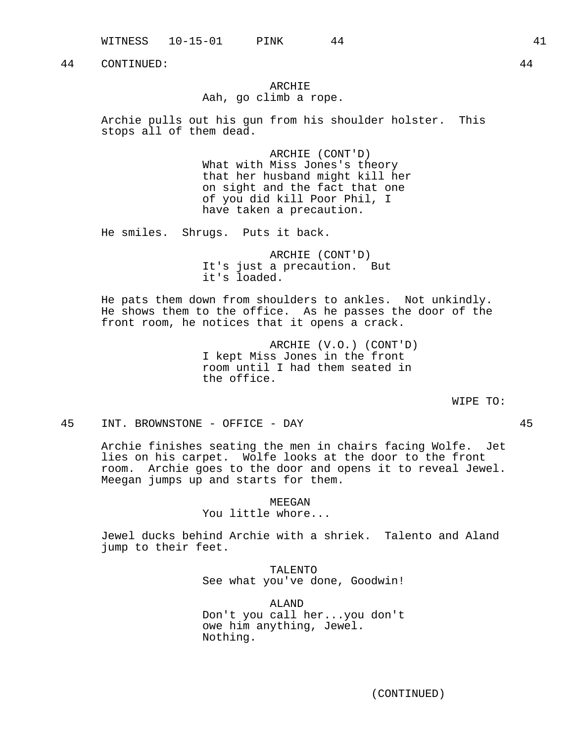WITNESS 10-15-01 PINK 44 41 41 41

44 CONTINUED: 44

# ARCHIE Aah, go climb a rope.

Archie pulls out his gun from his shoulder holster. This stops all of them dead.

> ARCHIE (CONT'D) What with Miss Jones's theory that her husband might kill her on sight and the fact that one of you did kill Poor Phil, I have taken a precaution.

He smiles. Shrugs. Puts it back.

ARCHIE (CONT'D) It's just a precaution. But it's loaded.

He pats them down from shoulders to ankles. Not unkindly. He shows them to the office. As he passes the door of the front room, he notices that it opens a crack.

> ARCHIE (V.O.) (CONT'D) I kept Miss Jones in the front room until I had them seated in the office.

> > WIPE TO:

45 INT. BROWNSTONE - OFFICE - DAY 45

Archie finishes seating the men in chairs facing Wolfe. Jet lies on his carpet. Wolfe looks at the door to the front room. Archie goes to the door and opens it to reveal Jewel. Meegan jumps up and starts for them.

MEEGAN

You little whore...

Jewel ducks behind Archie with a shriek. Talento and Aland jump to their feet.

> TALENTO See what you've done, Goodwin!

> ALAND Don't you call her...you don't owe him anything, Jewel. Nothing.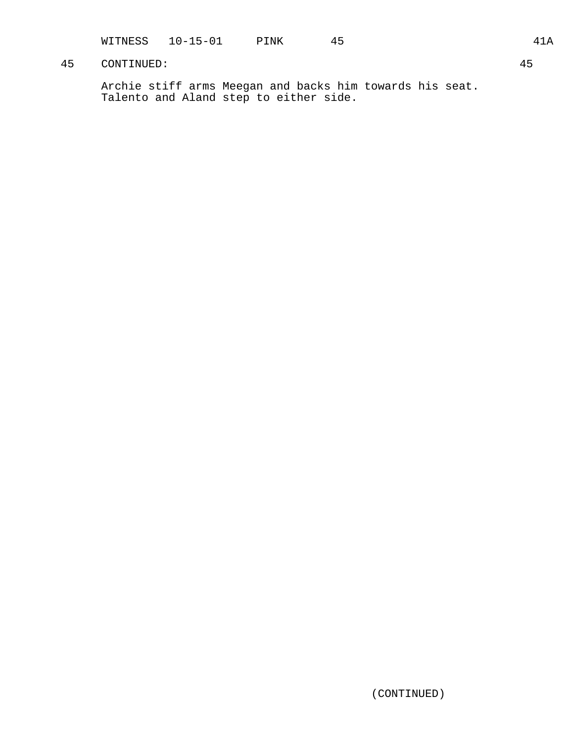WITNESS 10-15-01 PINK 45 41A

# 45 CONTINUED: 45

Archie stiff arms Meegan and backs him towards his seat. Talento and Aland step to either side.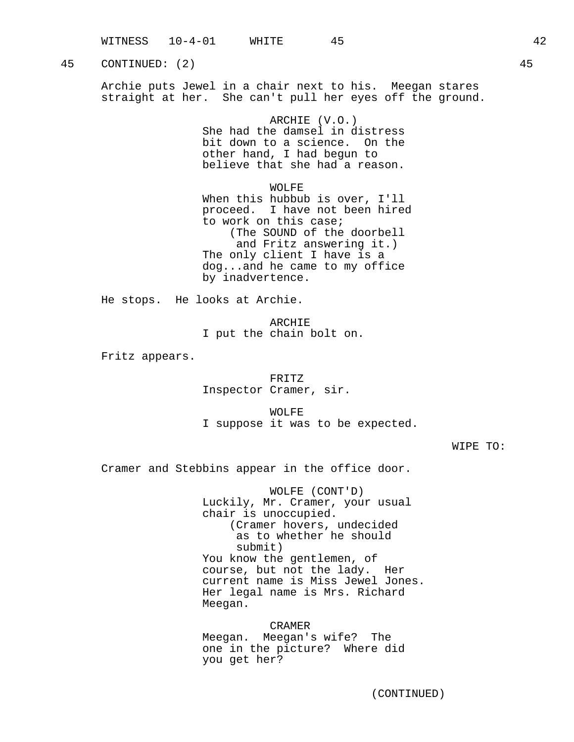45 CONTINUED: (2) 45

Archie puts Jewel in a chair next to his. Meegan stares straight at her. She can't pull her eyes off the ground.

### ARCHIE (V.O.)

She had the damsel in distress bit down to a science. On the other hand, I had begun to believe that she had a reason.

WOLFF.

When this hubbub is over, I'll proceed. I have not been hired to work on this case; (The SOUND of the doorbell and Fritz answering it.) The only client I have is a dog...and he came to my office by inadvertence.

He stops. He looks at Archie.

ARCHIE I put the chain bolt on.

Fritz appears.

# FRITZ Inspector Cramer, sir.

WOLFE I suppose it was to be expected.

WIPE TO:

Cramer and Stebbins appear in the office door.

WOLFE (CONT'D) Luckily, Mr. Cramer, your usual chair is unoccupied. (Cramer hovers, undecided as to whether he should submit) You know the gentlemen, of course, but not the lady. Her current name is Miss Jewel Jones. Her legal name is Mrs. Richard Meegan.

CRAMER Meegan. Meegan's wife? The one in the picture? Where did you get her?

(CONTINUED)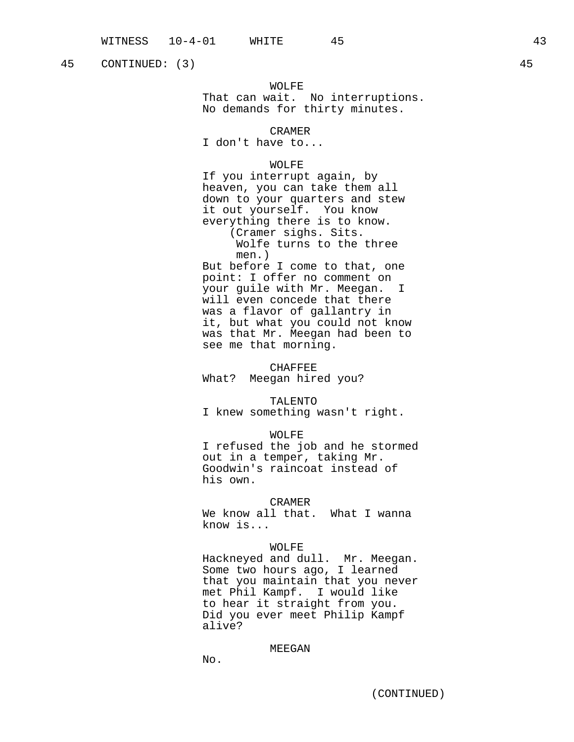45 CONTINUED: (3) 45

# WOLFE

That can wait. No interruptions. No demands for thirty minutes.

### CRAMER

I don't have to...

# WOLFE

If you interrupt again, by heaven, you can take them all down to your quarters and stew it out yourself. You know everything there is to know. (Cramer sighs. Sits. Wolfe turns to the three

men.)

But before I come to that, one point: I offer no comment on your guile with Mr. Meegan. I will even concede that there was a flavor of gallantry in it, but what you could not know was that Mr. Meegan had been to see me that morning.

### CHAFFEE

What? Meegan hired you?

### TALENTO

I knew something wasn't right.

### WOLFE

I refused the job and he stormed out in a temper, taking Mr. Goodwin's raincoat instead of his own.

### CRAMER

We know all that. What I wanna know is...

### WOLFE

Hackneyed and dull. Mr. Meegan. Some two hours ago, I learned that you maintain that you never met Phil Kampf. I would like to hear it straight from you. Did you ever meet Philip Kampf alive?

# MEEGAN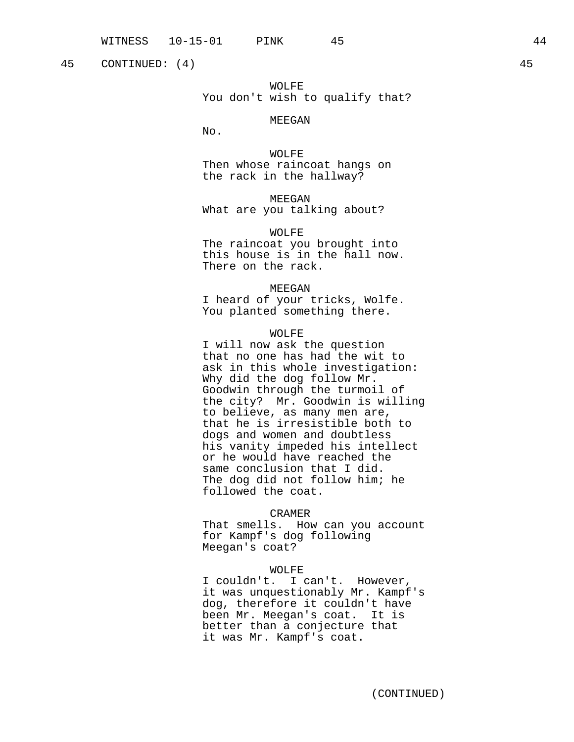45 CONTINUED: (4) 45

WOLFE You don't wish to qualify that?

### MEEGAN

No.

WOLFE Then whose raincoat hangs on the rack in the hallway?

MEEGAN What are you talking about?

WOLFE The raincoat you brought into this house is in the hall now. There on the rack.

MEEGAN

I heard of your tricks, Wolfe. You planted something there.

# WOLFE

I will now ask the question that no one has had the wit to ask in this whole investigation: Why did the dog follow Mr. Goodwin through the turmoil of the city? Mr. Goodwin is willing to believe, as many men are, that he is irresistible both to dogs and women and doubtless his vanity impeded his intellect or he would have reached the same conclusion that I did. The dog did not follow him; he followed the coat.

### CRAMER

That smells. How can you account for Kampf's dog following Meegan's coat?

### WOLFE

I couldn't. I can't. However, it was unquestionably Mr. Kampf's dog, therefore it couldn't have been Mr. Meegan's coat. It is better than a conjecture that it was Mr. Kampf's coat.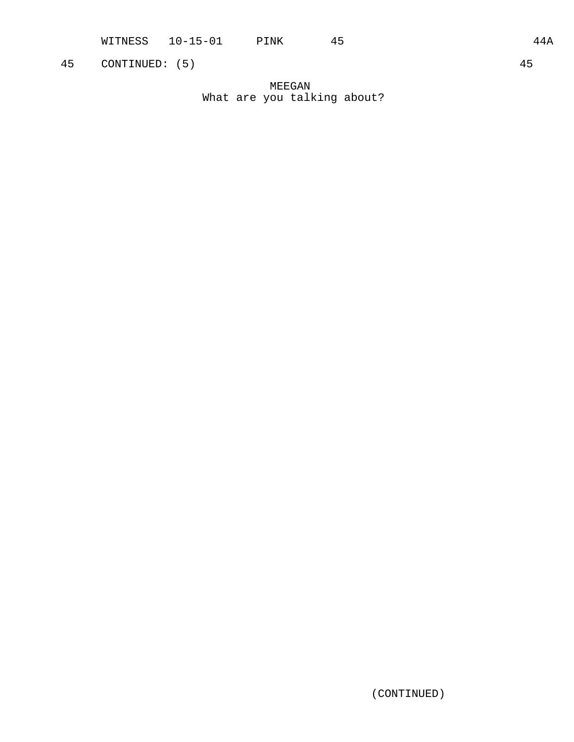MEEGAN What are you talking about?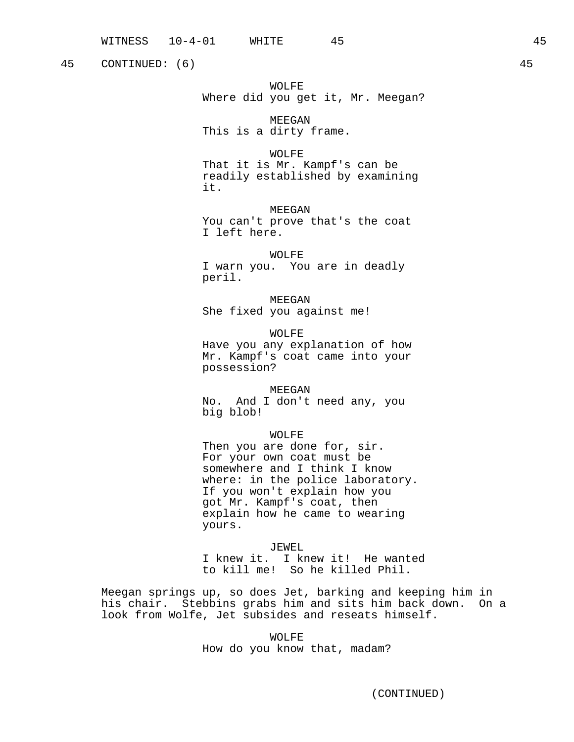45 CONTINUED: (6) 45

WOLFE Where did you get it, Mr. Meegan?

MEEGAN This is a dirty frame.

# WOLFE

That it is Mr. Kampf's can be readily established by examining it.

MEEGAN You can't prove that's the coat I left here.

WOLFE I warn you. You are in deadly peril.

MEEGAN She fixed you against me!

WOLFE Have you any explanation of how Mr. Kampf's coat came into your possession?

MEEGAN No. And I don't need any, you big blob!

### WOLFE

Then you are done for, sir. For your own coat must be somewhere and I think I know where: in the police laboratory. If you won't explain how you got Mr. Kampf's coat, then explain how he came to wearing yours.

### JEWEL

I knew it. I knew it! He wanted to kill me! So he killed Phil.

Meegan springs up, so does Jet, barking and keeping him in his chair. Stebbins grabs him and sits him back down. On a look from Wolfe, Jet subsides and reseats himself.

> WOLFE How do you know that, madam?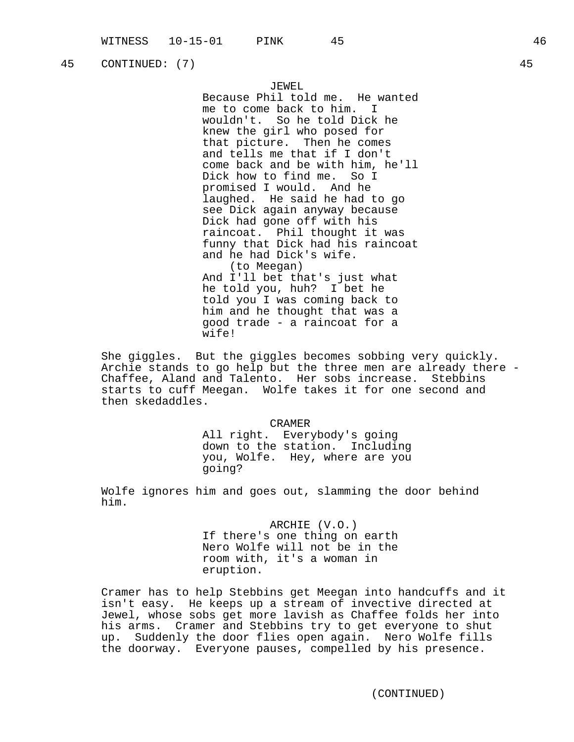45 CONTINUED: (7) 45

# JEWEL

Because Phil told me. He wanted me to come back to him. wouldn't. So he told Dick he knew the girl who posed for that picture. Then he comes and tells me that if I don't come back and be with him, he'll Dick how to find me. So I promised I would. And he laughed. He said he had to go see Dick again anyway because Dick had gone off with his raincoat. Phil thought it was funny that Dick had his raincoat and he had Dick's wife. (to Meegan) And I'll bet that's just what he told you, huh? I bet he told you I was coming back to him and he thought that was a good trade - a raincoat for a wife!

She giggles. But the giggles becomes sobbing very quickly. Archie stands to go help but the three men are already there - Chaffee, Aland and Talento. Her sobs increase. Stebbins starts to cuff Meegan. Wolfe takes it for one second and then skedaddles.

> CRAMER All right. Everybody's going down to the station. Including you, Wolfe. Hey, where are you going?

Wolfe ignores him and goes out, slamming the door behind him.

> ARCHIE (V.O.) If there's one thing on earth Nero Wolfe will not be in the room with, it's a woman in eruption.

Cramer has to help Stebbins get Meegan into handcuffs and it isn't easy. He keeps up a stream of invective directed at Jewel, whose sobs get more lavish as Chaffee folds her into his arms. Cramer and Stebbins try to get everyone to shut up. Suddenly the door flies open again. Nero Wolfe fills the doorway. Everyone pauses, compelled by his presence.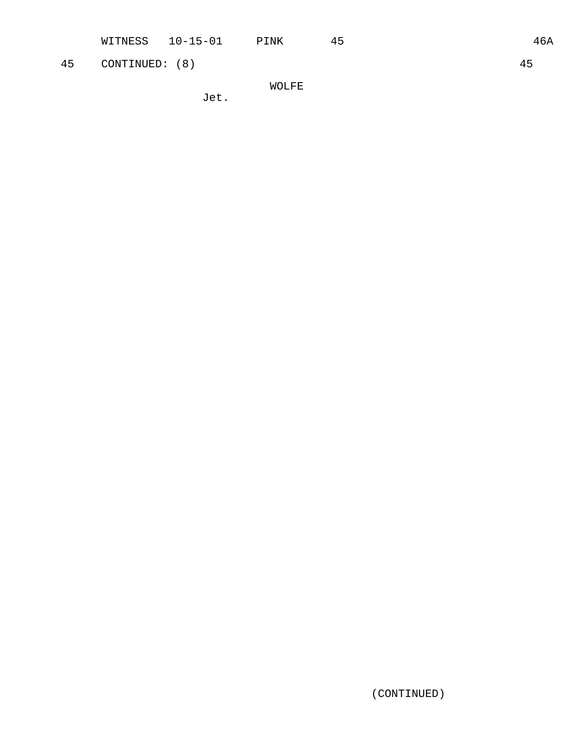45 CONTINUED: (8) 45

WOLFE

Jet.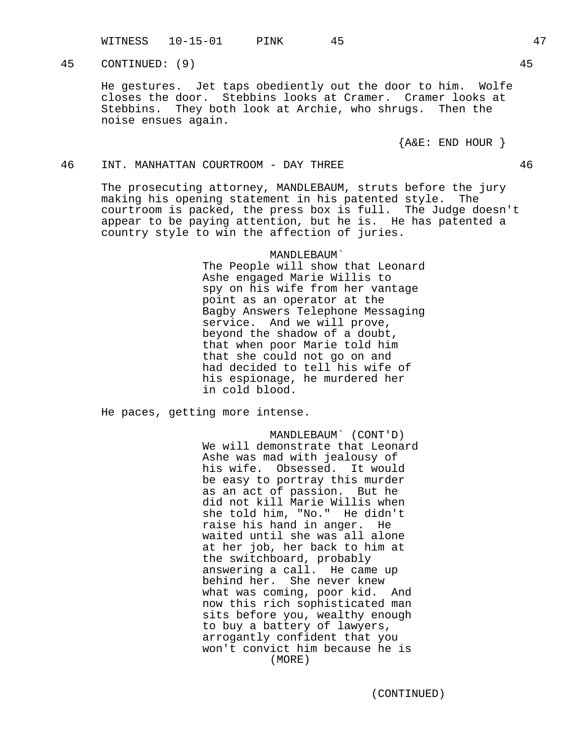WITNESS 10-15-01 PINK 45 47

45 CONTINUED: (9) 45

He gestures. Jet taps obediently out the door to him. Wolfe closes the door. Stebbins looks at Cramer. Cramer looks at Stebbins. They both look at Archie, who shrugs. Then the noise ensues again.

 ${A@E: END HOUR}$ 

# 46 INT. MANHATTAN COURTROOM - DAY THREE 46

The prosecuting attorney, MANDLEBAUM, struts before the jury making his opening statement in his patented style. The courtroom is packed, the press box is full. The Judge doesn't appear to be paying attention, but he is. He has patented a country style to win the affection of juries.

> MANDLEBAUM` The People will show that Leonard Ashe engaged Marie Willis to spy on his wife from her vantage point as an operator at the Bagby Answers Telephone Messaging service. And we will prove, beyond the shadow of a doubt, that when poor Marie told him that she could not go on and had decided to tell his wife of his espionage, he murdered her in cold blood.

He paces, getting more intense.

MANDLEBAUM` (CONT'D) We will demonstrate that Leonard Ashe was mad with jealousy of his wife. Obsessed. It would be easy to portray this murder as an act of passion. But he did not kill Marie Willis when she told him, "No." He didn't raise his hand in anger. He waited until she was all alone at her job, her back to him at the switchboard, probably answering a call. He came up behind her. She never knew what was coming, poor kid. And now this rich sophisticated man sits before you, wealthy enough to buy a battery of lawyers, arrogantly confident that you won't convict him because he is (MORE)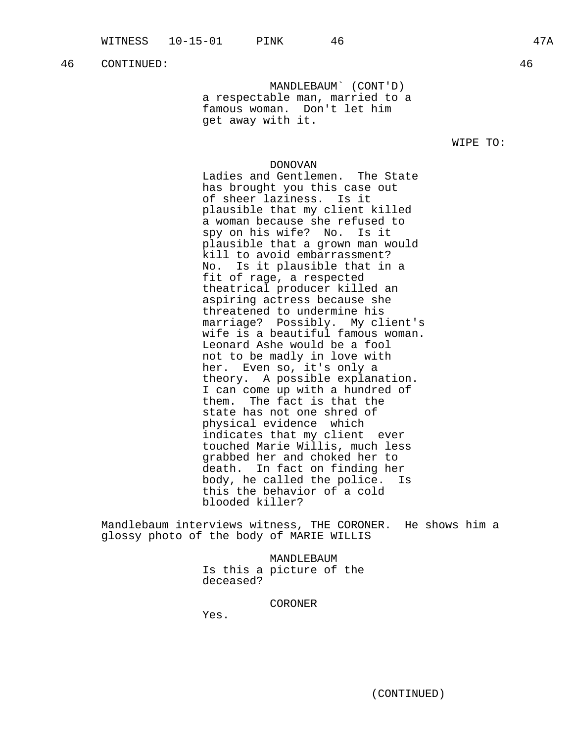MANDLEBAUM` (CONT'D) a respectable man, married to a famous woman. Don't let him get away with it.

WIPE TO:

### DONOVAN

Ladies and Gentlemen. The State has brought you this case out of sheer laziness. Is it plausible that my client killed a woman because she refused to spy on his wife? No. Is it plausible that a grown man would kill to avoid embarrassment? No. Is it plausible that in a fit of rage, a respected theatrical producer killed an aspiring actress because she threatened to undermine his marriage? Possibly. My client's wife is a beautiful famous woman. Leonard Ashe would be a fool not to be madly in love with her. Even so, it's only a theory. A possible explanation. I can come up with a hundred of them. The fact is that the state has not one shred of physical evidence which indicates that my client ever touched Marie Willis, much less grabbed her and choked her to death. In fact on finding her body, he called the police. Is this the behavior of a cold blooded killer?

Mandlebaum interviews witness, THE CORONER. He shows him a glossy photo of the body of MARIE WILLIS

> MANDLEBAUM Is this a picture of the deceased?

> > CORONER

Yes.

(CONTINUED)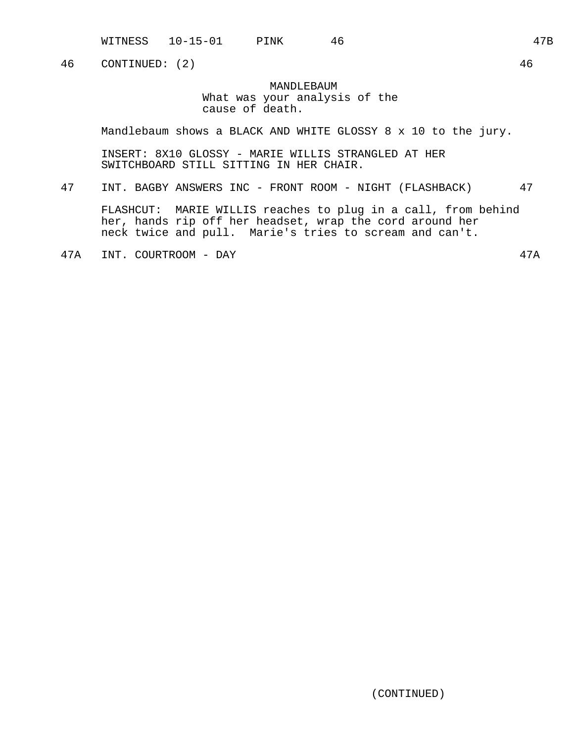WITNESS 10-15-01 PINK 46 47B

46 CONTINUED: (2) 46

MANDLEBAUM What was your analysis of the cause of death.

Mandlebaum shows a BLACK AND WHITE GLOSSY 8 x 10 to the jury.

INSERT: 8X10 GLOSSY - MARIE WILLIS STRANGLED AT HER SWITCHBOARD STILL SITTING IN HER CHAIR.

47 INT. BAGBY ANSWERS INC - FRONT ROOM - NIGHT (FLASHBACK) 47

FLASHCUT: MARIE WILLIS reaches to plug in a call, from behind her, hands rip off her headset, wrap the cord around her neck twice and pull. Marie's tries to scream and can't.

47A INT. COURTROOM - DAY 47A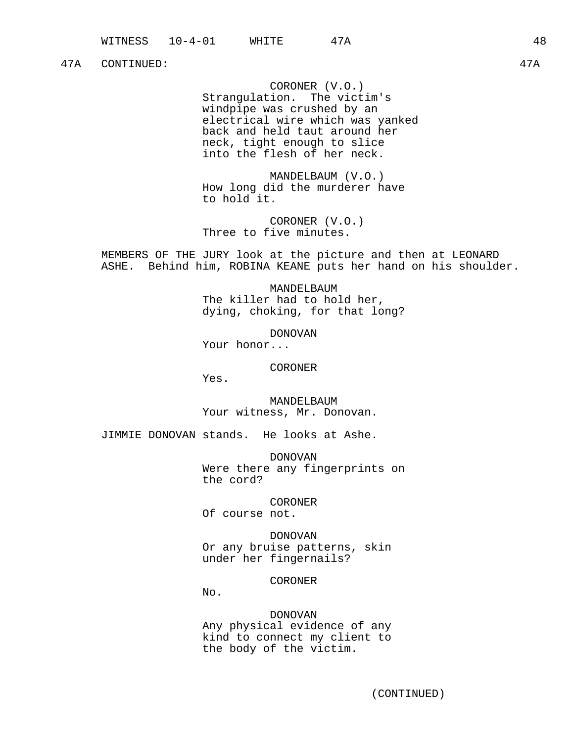### 47A CONTINUED: 47A

CORONER (V.O.)

Strangulation. The victim's windpipe was crushed by an electrical wire which was yanked back and held taut around her neck, tight enough to slice into the flesh of her neck.

MANDELBAUM (V.O.) How long did the murderer have to hold it.

CORONER (V.O.) Three to five minutes.

MEMBERS OF THE JURY look at the picture and then at LEONARD ASHE. Behind him, ROBINA KEANE puts her hand on his shoulder.

> MANDELBAUM The killer had to hold her, dying, choking, for that long?

> > DONOVAN

Your honor...

CORONER

Yes.

MANDELBAUM Your witness, Mr. Donovan.

JIMMIE DONOVAN stands. He looks at Ashe.

DONOVAN Were there any fingerprints on the cord?

CORONER

Of course not.

DONOVAN Or any bruise patterns, skin under her fingernails?

CORONER

No.

DONOVAN Any physical evidence of any kind to connect my client to the body of the victim.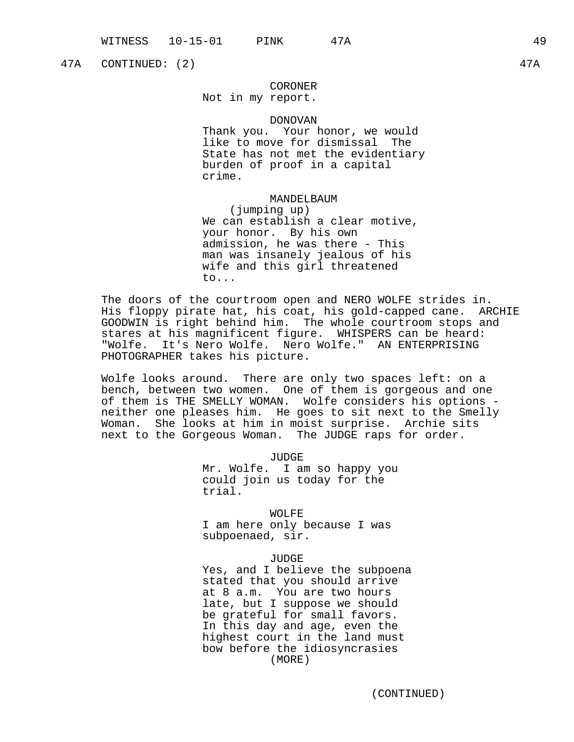47A CONTINUED: (2) 47A

# CORONER

Not in my report.

### DONOVAN

Thank you. Your honor, we would like to move for dismissal The State has not met the evidentiary burden of proof in a capital crime.

MANDELBAUM

(jumping up) We can establish a clear motive, your honor. By his own admission, he was there - This man was insanely jealous of his wife and this girl threatened to...

The doors of the courtroom open and NERO WOLFE strides in. His floppy pirate hat, his coat, his gold-capped cane. ARCHIE GOODWIN is right behind him. The whole courtroom stops and stares at his magnificent figure. WHISPERS can be heard: "Wolfe. It's Nero Wolfe. Nero Wolfe." AN ENTERPRISING PHOTOGRAPHER takes his picture.

Wolfe looks around. There are only two spaces left: on a bench, between two women. One of them is gorgeous and one of them is THE SMELLY WOMAN. Wolfe considers his options neither one pleases him. He goes to sit next to the Smelly Woman. She looks at him in moist surprise. Archie sits next to the Gorgeous Woman. The JUDGE raps for order.

> JUDGE Mr. Wolfe. I am so happy you could join us today for the trial.

WOLFE I am here only because I was subpoenaed, sir.

### JUDGE

Yes, and I believe the subpoena stated that you should arrive at 8 a.m. You are two hours late, but I suppose we should be grateful for small favors. In this day and age, even the highest court in the land must bow before the idiosyncrasies (MORE)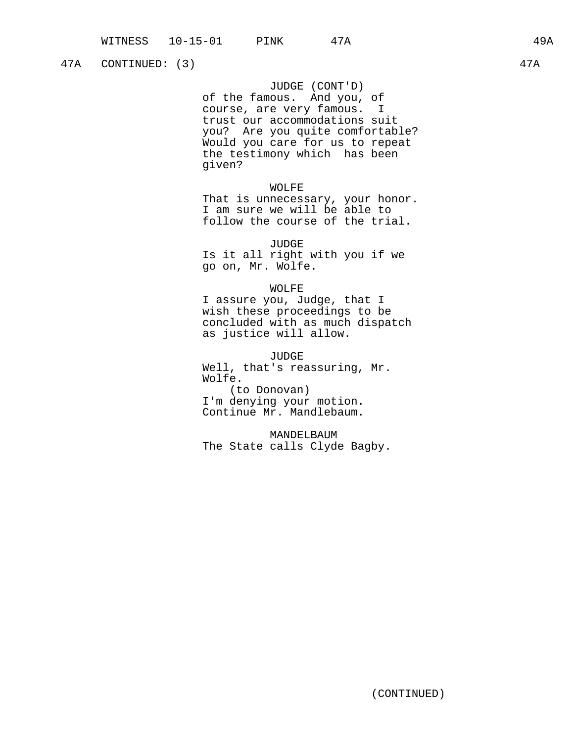# 47A CONTINUED: (3) 47A

JUDGE (CONT'D) of the famous. And you, of course, are very famous. I trust our accommodations suit you? Are you quite comfortable? Would you care for us to repeat the testimony which has been given?

### WOLFE

That is unnecessary, your honor. I am sure we will be able to follow the course of the trial.

JUDGE Is it all right with you if we go on, Mr. Wolfe.

### WOLFE

I assure you, Judge, that I wish these proceedings to be concluded with as much dispatch as justice will allow.

JUDGE

Well, that's reassuring, Mr. Wolfe. (to Donovan) I'm denying your motion. Continue Mr. Mandlebaum.

MANDELBAUM The State calls Clyde Bagby.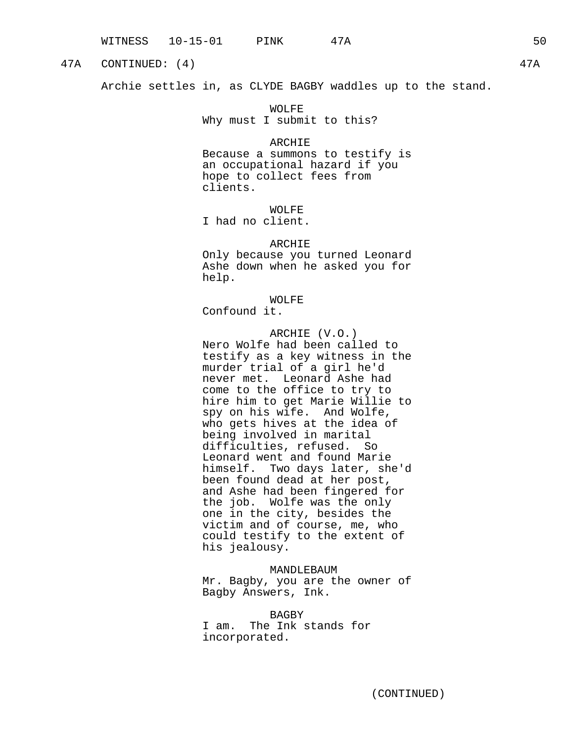# 47A CONTINUED: (4) 47A

Archie settles in, as CLYDE BAGBY waddles up to the stand.

WOLFE Why must I submit to this?

### ARCHIE

Because a summons to testify is an occupational hazard if you hope to collect fees from clients.

WOLFE I had no client.

ARCHIE

Only because you turned Leonard Ashe down when he asked you for help.

WOLFE

Confound it.

ARCHIE (V.O.) Nero Wolfe had been called to testify as a key witness in the murder trial of a girl he'd never met. Leonard Ashe had come to the office to try to hire him to get Marie Willie to spy on his wife. And Wolfe, who gets hives at the idea of being involved in marital difficulties, refused. So Leonard went and found Marie himself. Two days later, she'd been found dead at her post, and Ashe had been fingered for the job. Wolfe was the only one in the city, besides the victim and of course, me, who could testify to the extent of his jealousy.

### MANDLEBAUM

Mr. Bagby, you are the owner of Bagby Answers, Ink.

BAGBY I am. The Ink stands for incorporated.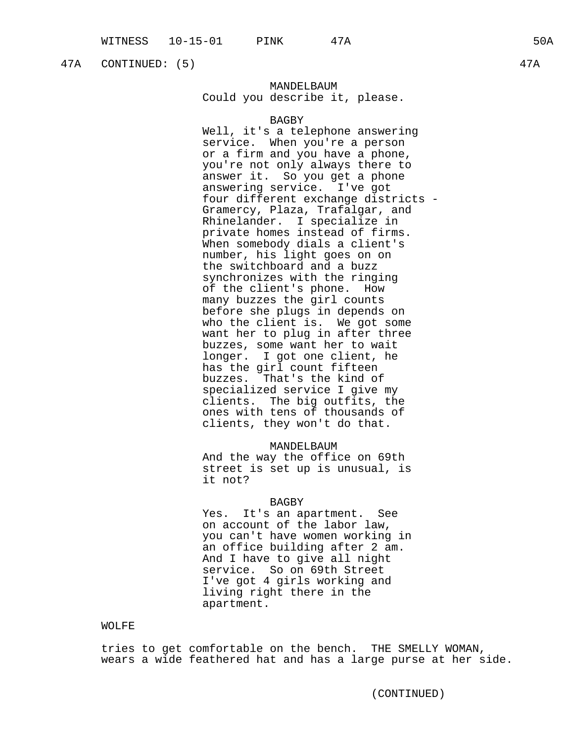47A CONTINUED: (5) 47A

# MANDELBAUM Could you describe it, please.

### BAGBY

Well, it's a telephone answering service. When you're a person or a firm and you have a phone, you're not only always there to answer it. So you get a phone answering service. I've got four different exchange districts - Gramercy, Plaza, Trafalgar, and Rhinelander. I specialize in private homes instead of firms. When somebody dials a client's number, his light goes on on the switchboard and a buzz synchronizes with the ringing of the client's phone. How many buzzes the girl counts before she plugs in depends on who the client is. We got some want her to plug in after three buzzes, some want her to wait longer. I got one client, he has the girl count fifteen buzzes. That's the kind of specialized service I give my clients. The big outfits, the ones with tens of thousands of clients, they won't do that.

### MANDELBAUM

And the way the office on 69th street is set up is unusual, is it not?

### BAGBY

Yes. It's an apartment. See on account of the labor law, you can't have women working in an office building after 2 am. And I have to give all night service. So on 69th Street I've got 4 girls working and living right there in the apartment.

### WOLFE

tries to get comfortable on the bench. THE SMELLY WOMAN, wears a wide feathered hat and has a large purse at her side.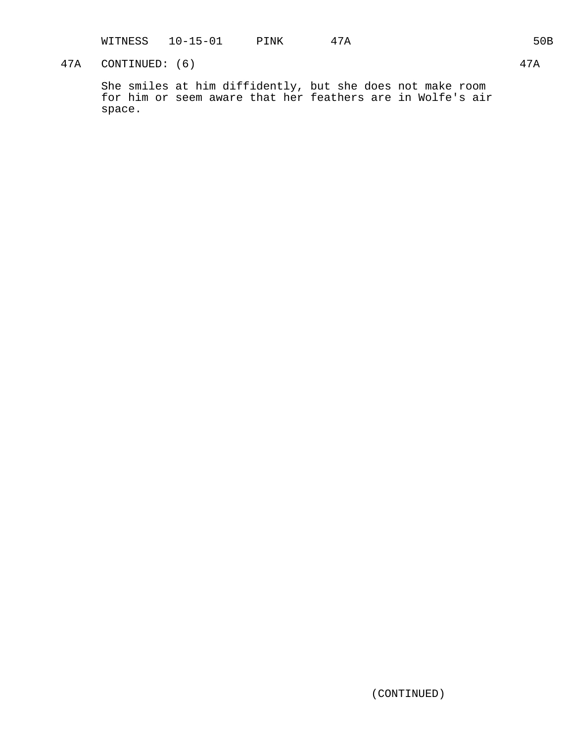WITNESS 10-15-01 PINK 47A 50B

# 47A CONTINUED: (6) 47A

She smiles at him diffidently, but she does not make room for him or seem aware that her feathers are in Wolfe's air space.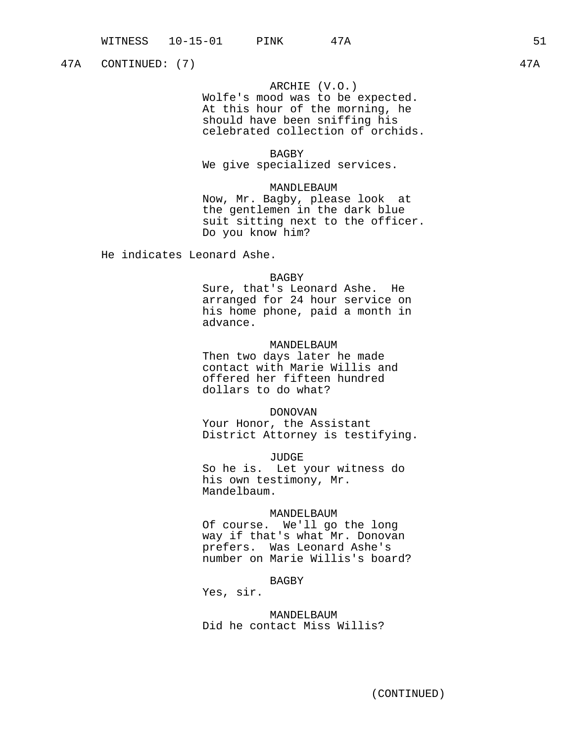47A CONTINUED: (7) 47A

# ARCHIE (V.O.)

Wolfe's mood was to be expected. At this hour of the morning, he should have been sniffing his celebrated collection of orchids.

### BAGBY

We give specialized services.

# MANDLEBAUM

Now, Mr. Bagby, please look at the gentlemen in the dark blue suit sitting next to the officer. Do you know him?

He indicates Leonard Ashe.

# BAGBY

Sure, that's Leonard Ashe. He arranged for 24 hour service on his home phone, paid a month in advance.

# MANDELBAUM

Then two days later he made contact with Marie Willis and offered her fifteen hundred dollars to do what?

### DONOVAN

Your Honor, the Assistant District Attorney is testifying.

JUDGE

So he is. Let your witness do his own testimony, Mr. Mandelbaum.

### MANDELBAUM

Of course. We'll go the long way if that's what Mr. Donovan prefers. Was Leonard Ashe's number on Marie Willis's board?

# BAGBY

Yes, sir.

MANDELBAUM Did he contact Miss Willis?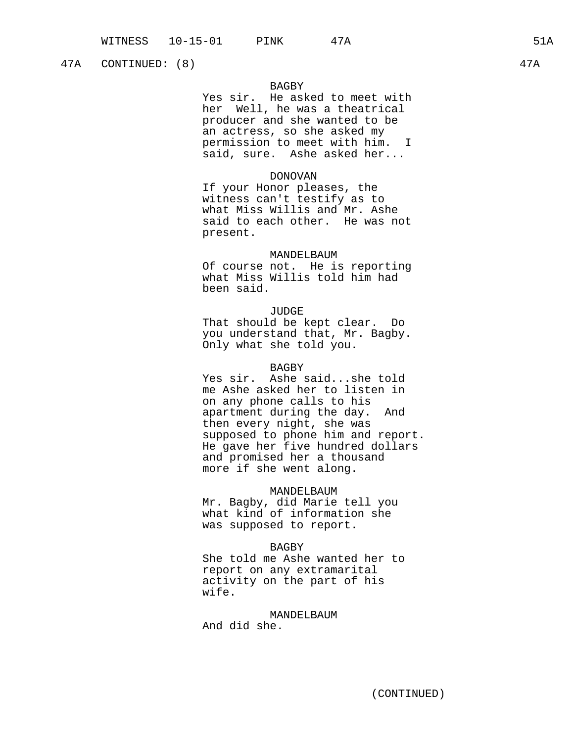47A CONTINUED: (8) 47A

# BAGBY

Yes sir. He asked to meet with her Well, he was a theatrical producer and she wanted to be an actress, so she asked my permission to meet with him. I said, sure. Ashe asked her...

# DONOVAN

If your Honor pleases, the witness can't testify as to what Miss Willis and Mr. Ashe said to each other. He was not present.

### MANDELBAUM

Of course not. He is reporting what Miss Willis told him had been said.

### JUDGE

That should be kept clear. Do you understand that, Mr. Bagby. Only what she told you.

### BAGBY

Yes sir. Ashe said...she told me Ashe asked her to listen in on any phone calls to his apartment during the day. And then every night, she was supposed to phone him and report. He gave her five hundred dollars and promised her a thousand more if she went along.

### MANDELBAUM

Mr. Bagby, did Marie tell you what kind of information she was supposed to report.

# BAGBY

She told me Ashe wanted her to report on any extramarital activity on the part of his wife.

# MANDELBAUM

And did she.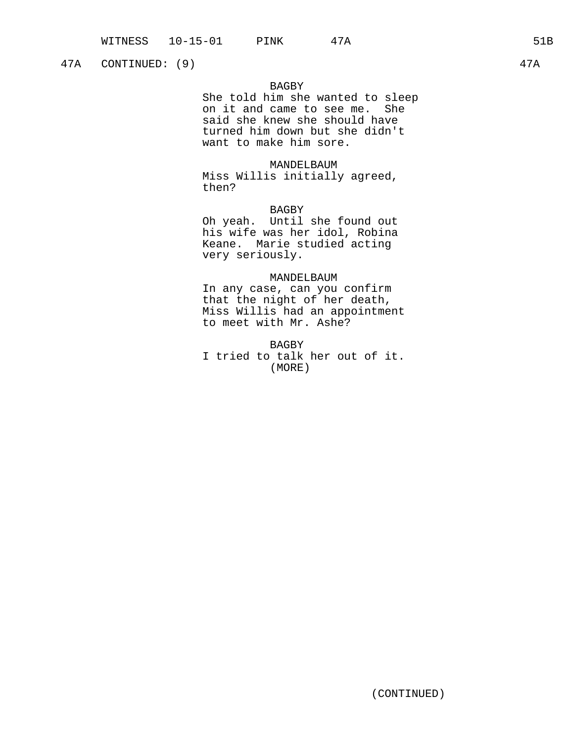47A CONTINUED: (9) 47A

# BAGBY

She told him she wanted to sleep on it and came to see me. She said she knew she should have turned him down but she didn't want to make him sore.

### MANDELBAUM

Miss Willis initially agreed, then?

# BAGBY

Oh yeah. Until she found out his wife was her idol, Robina Keane. Marie studied acting very seriously.

# MANDELBAUM

In any case, can you confirm that the night of her death, Miss Willis had an appointment to meet with Mr. Ashe?

BAGBY I tried to talk her out of it. (MORE)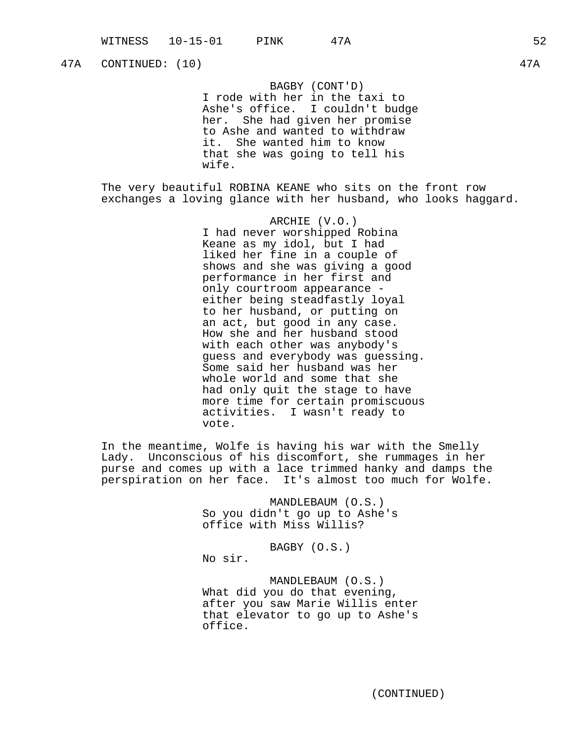# 47A CONTINUED: (10) 47A

BAGBY (CONT'D) I rode with her in the taxi to Ashe's office. I couldn't budge her. She had given her promise to Ashe and wanted to withdraw it. She wanted him to know that she was going to tell his wife.

The very beautiful ROBINA KEANE who sits on the front row exchanges a loving glance with her husband, who looks haggard.

> ARCHIE (V.O.) I had never worshipped Robina Keane as my idol, but I had liked her fine in a couple of shows and she was giving a good performance in her first and only courtroom appearance either being steadfastly loyal to her husband, or putting on an act, but good in any case. How she and her husband stood with each other was anybody's guess and everybody was guessing. Some said her husband was her whole world and some that she had only quit the stage to have more time for certain promiscuous activities. I wasn't ready to vote.

In the meantime, Wolfe is having his war with the Smelly Lady. Unconscious of his discomfort, she rummages in her purse and comes up with a lace trimmed hanky and damps the perspiration on her face. It's almost too much for Wolfe.

> MANDLEBAUM (O.S.) So you didn't go up to Ashe's office with Miss Willis?

BAGBY (O.S.) No sir.

MANDLEBAUM (O.S.) What did you do that evening, after you saw Marie Willis enter that elevator to go up to Ashe's office.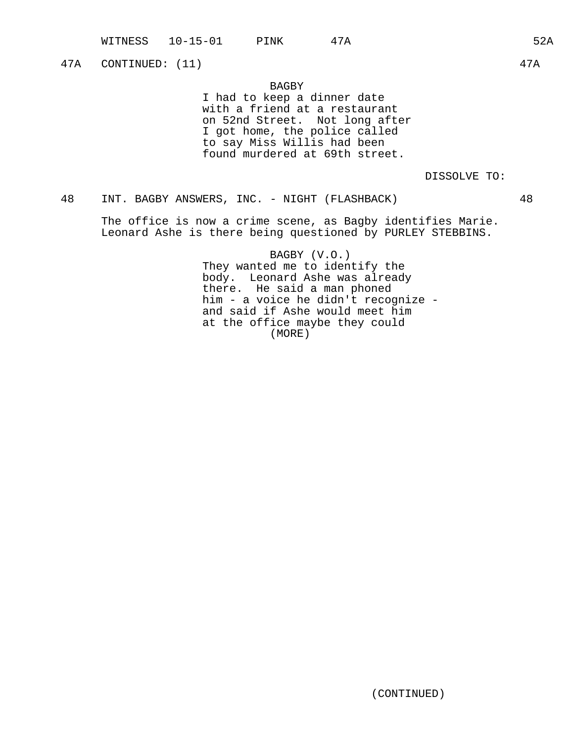47A CONTINUED: (11) 47A

# BAGBY

I had to keep a dinner date with a friend at a restaurant on 52nd Street. Not long after I got home, the police called to say Miss Willis had been found murdered at 69th street.

# DISSOLVE TO:

# 48 INT. BAGBY ANSWERS, INC. - NIGHT (FLASHBACK) 48

The office is now a crime scene, as Bagby identifies Marie. Leonard Ashe is there being questioned by PURLEY STEBBINS.

> BAGBY (V.O.) They wanted me to identify the body. Leonard Ashe was already there. He said a man phoned him - a voice he didn't recognize and said if Ashe would meet him at the office maybe they could (MORE)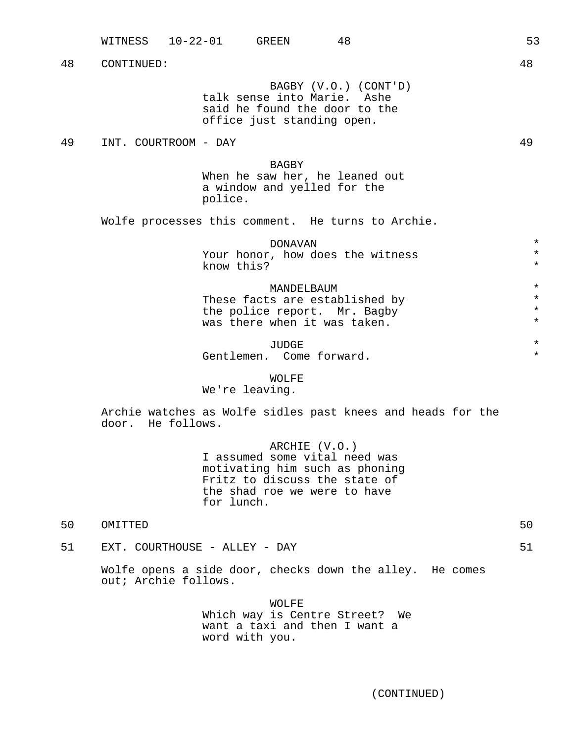BAGBY (V.O.) (CONT'D) talk sense into Marie. Ashe said he found the door to the office just standing open.

49 INT. COURTROOM - DAY 49

BAGBY When he saw her, he leaned out a window and yelled for the police.

Wolfe processes this comment. He turns to Archie.

DONAVAN \* Your honor, how does the witness \* know this?

MANDELBAUM \* These facts are established by  $*$ <br>the police report Mr. Bagby  $*$ the police report. Mr. Bagby \* was there when it was taken.

JUDGE \* Gentlemen. Come forward.

### WOLFE

We're leaving.

Archie watches as Wolfe sidles past knees and heads for the door. He follows.

> ARCHIE (V.O.) I assumed some vital need was motivating him such as phoning Fritz to discuss the state of the shad roe we were to have for lunch.

50 OMITTED 50

51 EXT. COURTHOUSE - ALLEY - DAY 51

Wolfe opens a side door, checks down the alley. He comes out; Archie follows.

> WOLFE Which way is Centre Street? We want a taxi and then I want a word with you.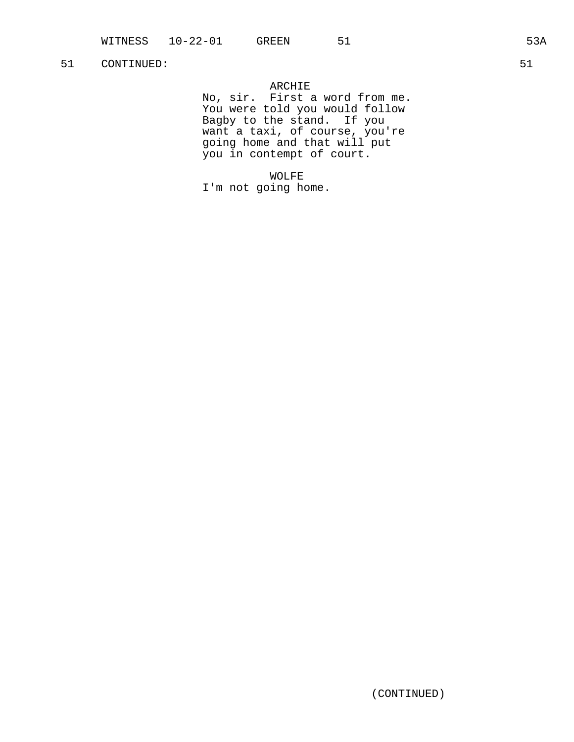# ARCHIE

No, sir. First a word from me. You were told you would follow Bagby to the stand. If you want a taxi, of course, you're going home and that will put you in contempt of court.

WOLFE I'm not going home.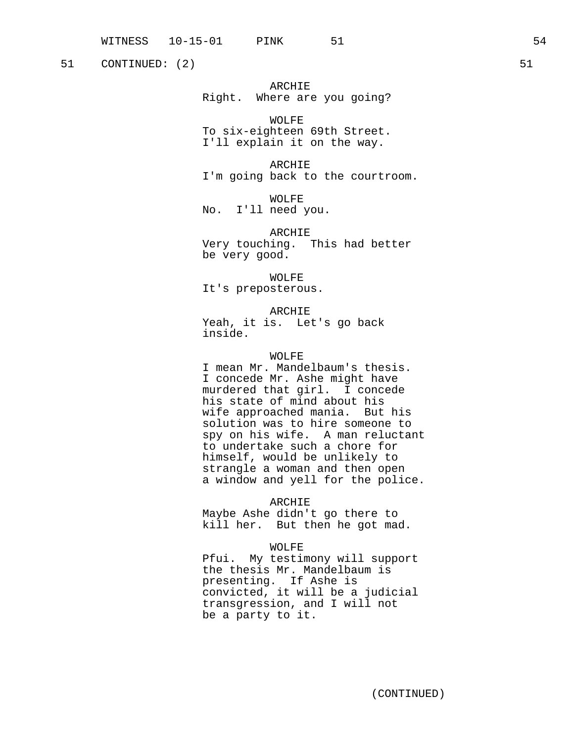51 CONTINUED: (2) 51

ARCHIE Right. Where are you going?

WOLFE To six-eighteen 69th Street. I'll explain it on the way.

ARCHIE I'm going back to the courtroom.

WOLFE No. I'll need you.

ARCHIE Very touching. This had better be very good.

WOLFE It's preposterous.

ARCHIE Yeah, it is. Let's go back inside.

# WOLFE

I mean Mr. Mandelbaum's thesis. I concede Mr. Ashe might have murdered that girl. I concede his state of mind about his wife approached mania. But his solution was to hire someone to spy on his wife. A man reluctant to undertake such a chore for himself, would be unlikely to strangle a woman and then open a window and yell for the police.

ARCHIE

Maybe Ashe didn't go there to kill her. But then he got mad.

WOLFE

Pfui. My testimony will support the thesis Mr. Mandelbaum is presenting. If Ashe is convicted, it will be a judicial transgression, and I will not be a party to it.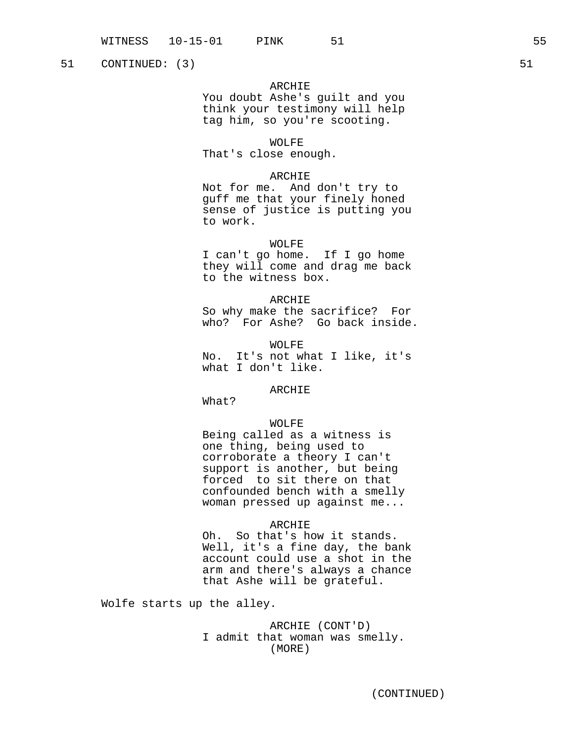51 CONTINUED: (3) 51

# ARCHIE

You doubt Ashe's guilt and you think your testimony will help tag him, so you're scooting.

WOLFE

That's close enough.

# ARCHIE

Not for me. And don't try to guff me that your finely honed sense of justice is putting you to work.

### WOLFE

I can't go home. If I go home they will come and drag me back to the witness box.

# ARCHIE

So why make the sacrifice? For who? For Ashe? Go back inside.

WOLFE No. It's not what I like, it's what I don't like.

### ARCHIE

What?

# WOLFE

Being called as a witness is one thing, being used to corroborate a theory I can't support is another, but being forced to sit there on that confounded bench with a smelly woman pressed up against me...

### ARCHIE

Oh. So that's how it stands. Well, it's a fine day, the bank account could use a shot in the arm and there's always a chance that Ashe will be grateful.

Wolfe starts up the alley.

# ARCHIE (CONT'D) I admit that woman was smelly. (MORE)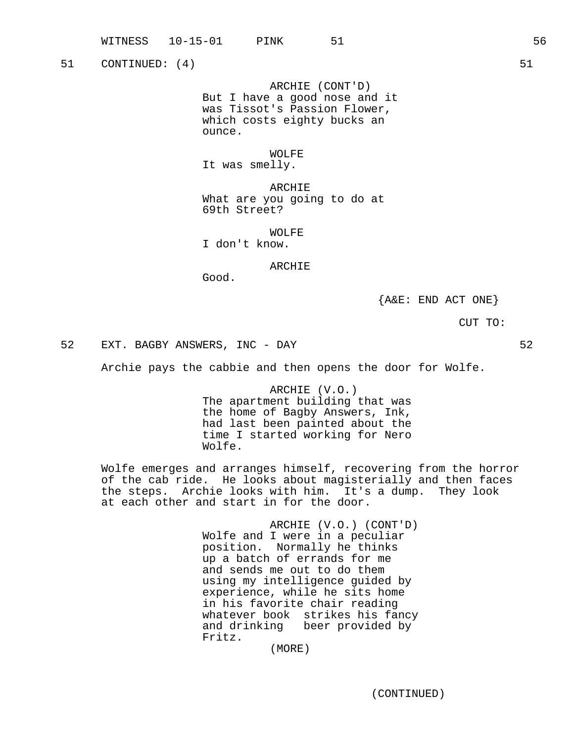51 CONTINUED: (4) 51

ARCHIE (CONT'D) But I have a good nose and it was Tissot's Passion Flower, which costs eighty bucks an ounce.

WOLFE

It was smelly.

ARCHIE What are you going to do at 69th Street?

WOLFE

I don't know.

### ARCHIE

Good.

 ${A&E: END ACT ONE}$ 

CUT TO:

52 EXT. BAGBY ANSWERS, INC - DAY 52

Archie pays the cabbie and then opens the door for Wolfe.

ARCHIE (V.O.) The apartment building that was the home of Bagby Answers, Ink, had last been painted about the time I started working for Nero Wolfe.

Wolfe emerges and arranges himself, recovering from the horror of the cab ride. He looks about magisterially and then faces the steps. Archie looks with him. It's a dump. They look at each other and start in for the door.

> ARCHIE (V.O.) (CONT'D) Wolfe and I were in a peculiar position. Normally he thinks up a batch of errands for me and sends me out to do them using my intelligence guided by experience, while he sits home in his favorite chair reading whatever book strikes his fancy and drinking beer provided by Fritz.

(MORE)

(CONTINUED)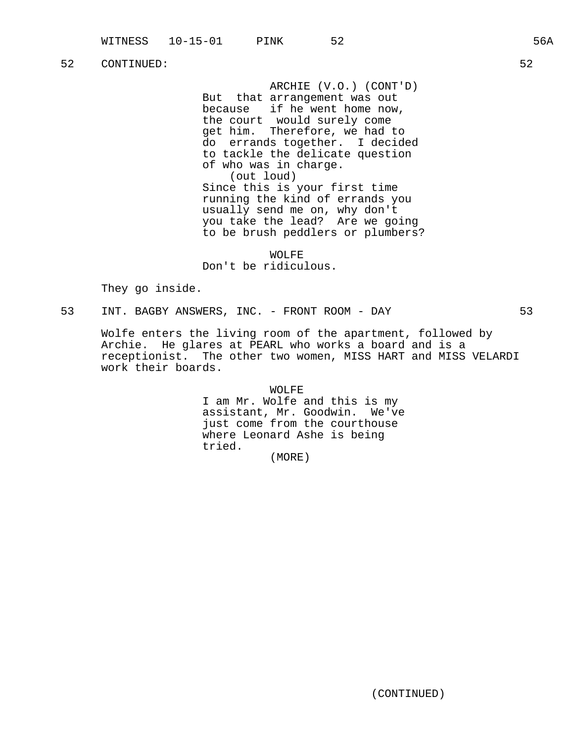ARCHIE (V.O.) (CONT'D) But that arrangement was out because if he went home now, the court would surely come get him. Therefore, we had to do errands together. I decided to tackle the delicate question of who was in charge. (out loud) Since this is your first time running the kind of errands you usually send me on, why don't you take the lead? Are we going to be brush peddlers or plumbers?

WOLFE Don't be ridiculous.

They go inside.

53 INT. BAGBY ANSWERS, INC. - FRONT ROOM - DAY 53

Wolfe enters the living room of the apartment, followed by Archie. He glares at PEARL who works a board and is a receptionist. The other two women, MISS HART and MISS VELARDI work their boards.

> WOLFE I am Mr. Wolfe and this is my assistant, Mr. Goodwin. We've just come from the courthouse where Leonard Ashe is being tried.

(MORE)

(CONTINUED)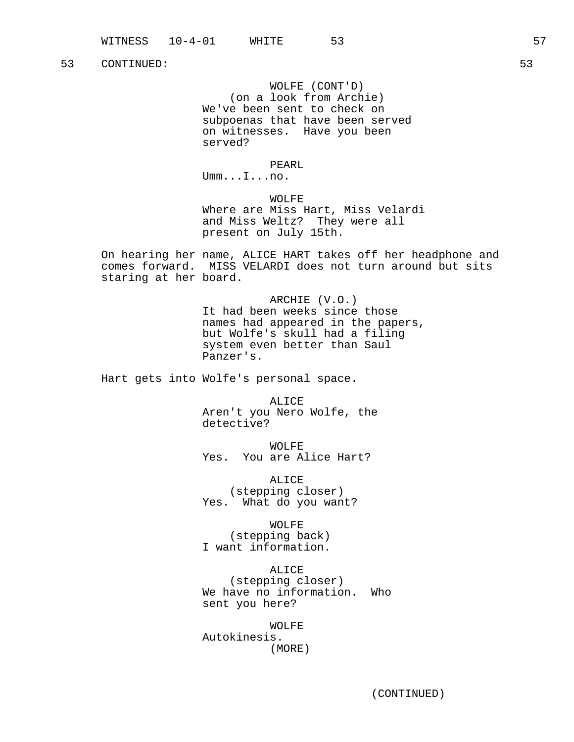WOLFE (CONT'D) (on a look from Archie) We've been sent to check on subpoenas that have been served on witnesses. Have you been served?

PEARL

Umm...I...no.

WOLFE Where are Miss Hart, Miss Velardi and Miss Weltz? They were all present on July 15th.

On hearing her name, ALICE HART takes off her headphone and comes forward. MISS VELARDI does not turn around but sits staring at her board.

> ARCHIE (V.O.) It had been weeks since those names had appeared in the papers, but Wolfe's skull had a filing system even better than Saul Panzer's.

Hart gets into Wolfe's personal space.

ALICE Aren't you Nero Wolfe, the detective?

WOLFE Yes. You are Alice Hart?

ALICE (stepping closer) Yes. What do you want?

WOLFE (stepping back) I want information.

ALICE (stepping closer) We have no information. Who sent you here?

WOLFE Autokinesis. (MORE)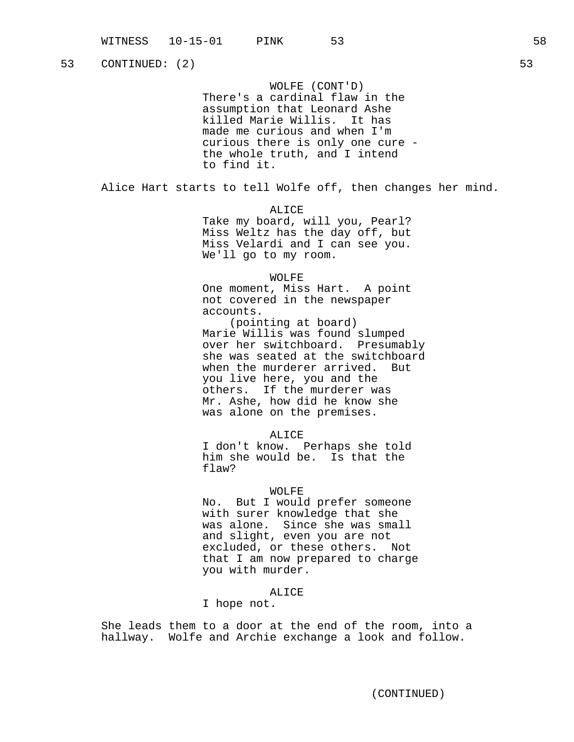WOLFE (CONT'D) There's a cardinal flaw in the assumption that Leonard Ashe killed Marie Willis. It has made me curious and when I'm curious there is only one cure the whole truth, and I intend to find it.

Alice Hart starts to tell Wolfe off, then changes her mind.

ALICE

Take my board, will you, Pearl? Miss Weltz has the day off, but Miss Velardi and I can see you. We'll go to my room.

### WOLFE

One moment, Miss Hart. A point not covered in the newspaper accounts.

(pointing at board) Marie Willis was found slumped over her switchboard. Presumably she was seated at the switchboard when the murderer arrived. But you live here, you and the others. If the murderer was Mr. Ashe, how did he know she was alone on the premises.

#### ALICE

I don't know. Perhaps she told him she would be. Is that the flaw?

#### WOLFE

No. But I would prefer someone with surer knowledge that she was alone. Since she was small and slight, even you are not excluded, or these others. Not that I am now prepared to charge you with murder.

# ALICE

# I hope not.

She leads them to a door at the end of the room, into a hallway. Wolfe and Archie exchange a look and follow.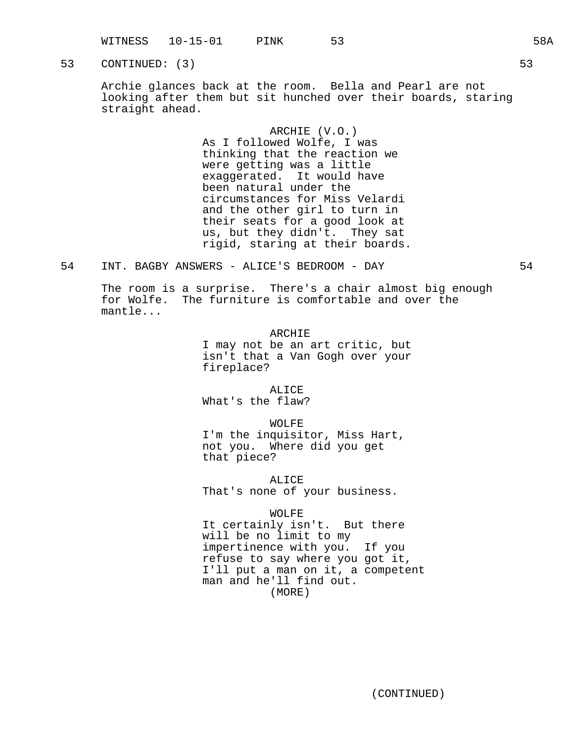WITNESS 10-15-01 PINK 53 58A

53 CONTINUED: (3) 53

Archie glances back at the room. Bella and Pearl are not looking after them but sit hunched over their boards, staring straight ahead.

> ARCHIE (V.O.) As I followed Wolfe, I was thinking that the reaction we were getting was a little exaggerated. It would have been natural under the circumstances for Miss Velardi and the other girl to turn in their seats for a good look at us, but they didn't. They sat rigid, staring at their boards.

54 INT. BAGBY ANSWERS - ALICE'S BEDROOM - DAY 54

The room is a surprise. There's a chair almost big enough for Wolfe. The furniture is comfortable and over the mantle...

> ARCHIE I may not be an art critic, but isn't that a Van Gogh over your fireplace?

ALICE What's the flaw?

WOLFE I'm the inquisitor, Miss Hart, not you. Where did you get that piece?

ALICE That's none of your business.

WOLFE It certainly isn't. But there will be no limit to my impertinence with you. If you refuse to say where you got it, I'll put a man on it, a competent man and he'll find out. (MORE)

(CONTINUED)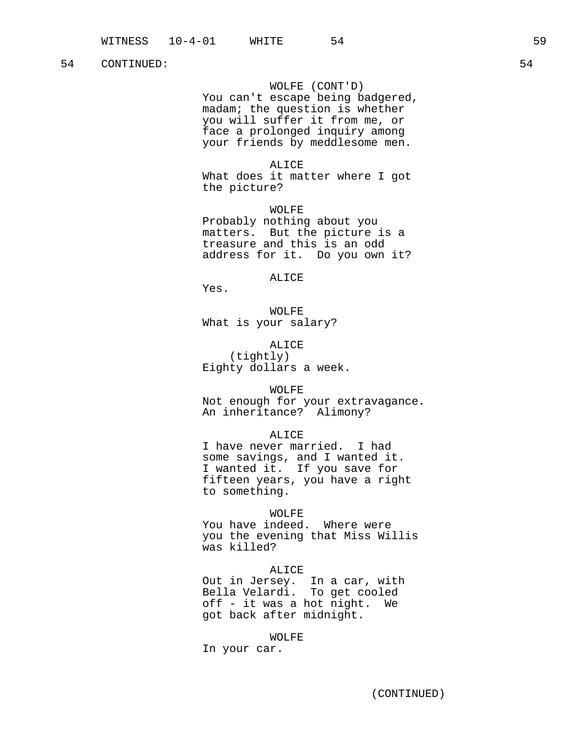# WOLFE (CONT'D)

You can't escape being badgered, madam; the question is whether you will suffer it from me, or face a prolonged inquiry among your friends by meddlesome men.

#### ALICE

What does it matter where I got the picture?

WOLFE Probably nothing about you matters. But the picture is a treasure and this is an odd address for it. Do you own it?

# ALICE

Yes.

WOLFE What is your salary?

ALICE (tightly) Eighty dollars a week.

#### WOLFE

Not enough for your extravagance. An inheritance? Alimony?

### ALICE

I have never married. I had some savings, and I wanted it. I wanted it. If you save for fifteen years, you have a right to something.

### WOLFE

You have indeed. Where were you the evening that Miss Willis was killed?

#### ALICE

Out in Jersey. In a car, with Bella Velardi. To get cooled off - it was a hot night. We got back after midnight.

#### WOLFE

In your car.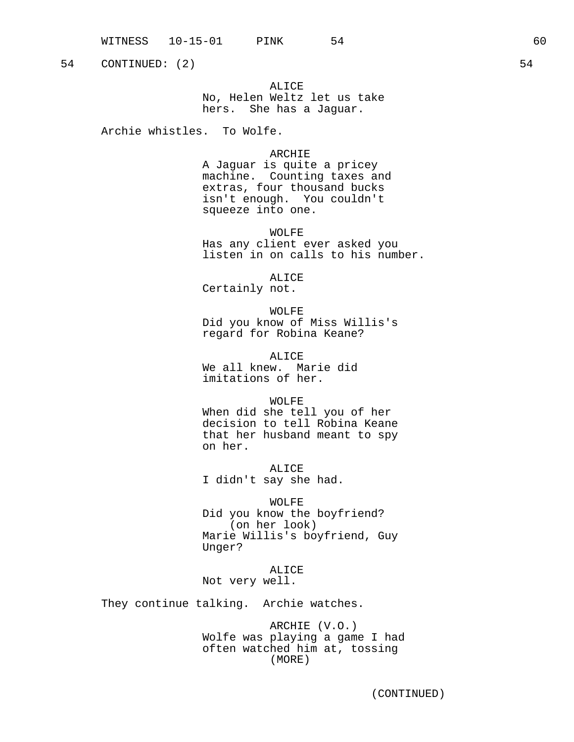ALICE No, Helen Weltz let us take hers. She has a Jaguar.

Archie whistles. To Wolfe.

# ARCHIE

A Jaguar is quite a pricey machine. Counting taxes and extras, four thousand bucks isn't enough. You couldn't squeeze into one.

WOLFE Has any client ever asked you listen in on calls to his number.

ALICE Certainly not.

WOLFE Did you know of Miss Willis's regard for Robina Keane?

ALICE We all knew. Marie did imitations of her.

WOLFE

When did she tell you of her decision to tell Robina Keane that her husband meant to spy on her.

ALICE I didn't say she had.

WOLFE Did you know the boyfriend? (on her look) Marie Willis's boyfriend, Guy Unger?

ALICE Not very well.

They continue talking. Archie watches.

ARCHIE (V.O.) Wolfe was playing a game I had often watched him at, tossing (MORE)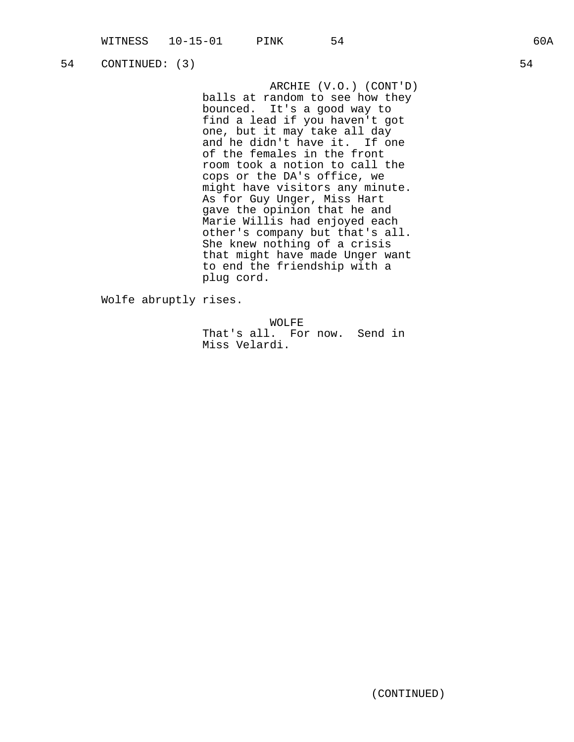ARCHIE (V.O.) (CONT'D) balls at random to see how they bounced. It's a good way to find a lead if you haven't got one, but it may take all day and he didn't have it. If one of the females in the front room took a notion to call the cops or the DA's office, we might have visitors any minute. As for Guy Unger, Miss Hart gave the opinion that he and Marie Willis had enjoyed each other's company but that's all. She knew nothing of a crisis that might have made Unger want to end the friendship with a plug cord.

Wolfe abruptly rises.

WOLFE That's all. For now. Send in Miss Velardi.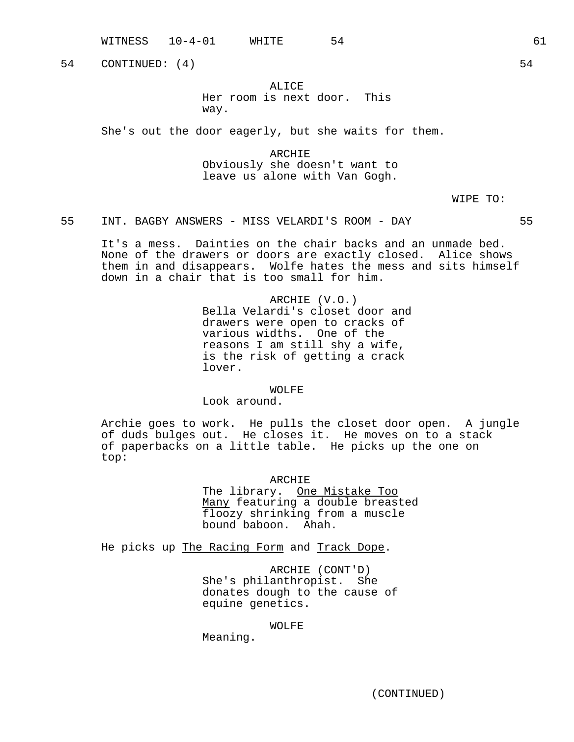WITNESS 10-4-01 WHITE 54 54 54 54

54 CONTINUED: (4) 54

# ALICE

Her room is next door. This way.

She's out the door eagerly, but she waits for them.

ARCHIE Obviously she doesn't want to leave us alone with Van Gogh.

WIPE TO:

55 INT. BAGBY ANSWERS - MISS VELARDI'S ROOM - DAY 55

It's a mess. Dainties on the chair backs and an unmade bed. None of the drawers or doors are exactly closed. Alice shows them in and disappears. Wolfe hates the mess and sits himself down in a chair that is too small for him.

> ARCHIE (V.O.) Bella Velardi's closet door and drawers were open to cracks of various widths. One of the reasons I am still shy a wife, is the risk of getting a crack lover.

#### WOLFE

Look around.

Archie goes to work. He pulls the closet door open. A jungle of duds bulges out. He closes it. He moves on to a stack of paperbacks on a little table. He picks up the one on top:

ARCHIE

The library. One Mistake Too Many featuring a double breasted floozy shrinking from a muscle bound baboon. Ahah.

He picks up The Racing Form and Track Dope.

ARCHIE (CONT'D) She's philanthropist. She donates dough to the cause of equine genetics.

#### WOLFE

Meaning.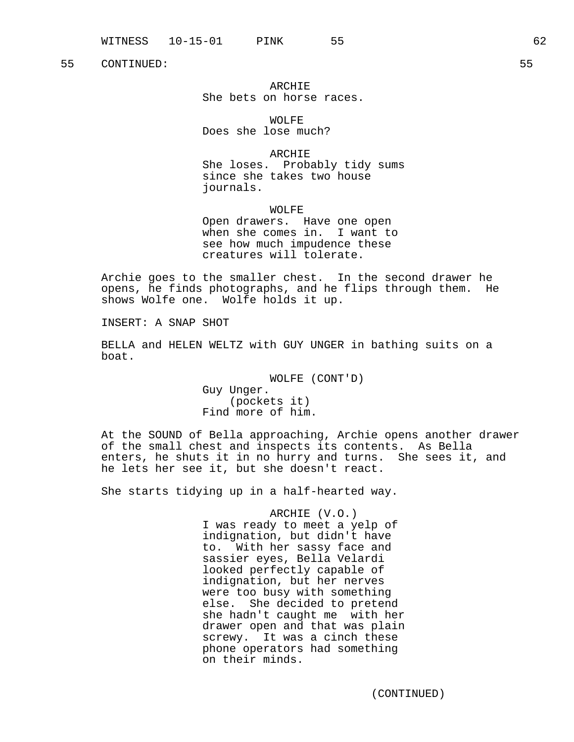ARCHIE She bets on horse races.

WOLFE Does she lose much?

ARCHIE She loses. Probably tidy sums since she takes two house journals.

WOLFE Open drawers. Have one open when she comes in. I want to see how much impudence these creatures will tolerate.

Archie goes to the smaller chest. In the second drawer he opens, he finds photographs, and he flips through them. He shows Wolfe one. Wolfe holds it up.

INSERT: A SNAP SHOT

BELLA and HELEN WELTZ with GUY UNGER in bathing suits on a boat.

> WOLFE (CONT'D) Guy Unger. (pockets it) Find more of him.

At the SOUND of Bella approaching, Archie opens another drawer of the small chest and inspects its contents. As Bella enters, he shuts it in no hurry and turns. She sees it, and he lets her see it, but she doesn't react.

She starts tidying up in a half-hearted way.

ARCHIE (V.O.) I was ready to meet a yelp of indignation, but didn't have to. With her sassy face and sassier eyes, Bella Velardi looked perfectly capable of indignation, but her nerves were too busy with something else. She decided to pretend she hadn't caught me with her drawer open and that was plain screwy. It was a cinch these phone operators had something on their minds.

(CONTINUED)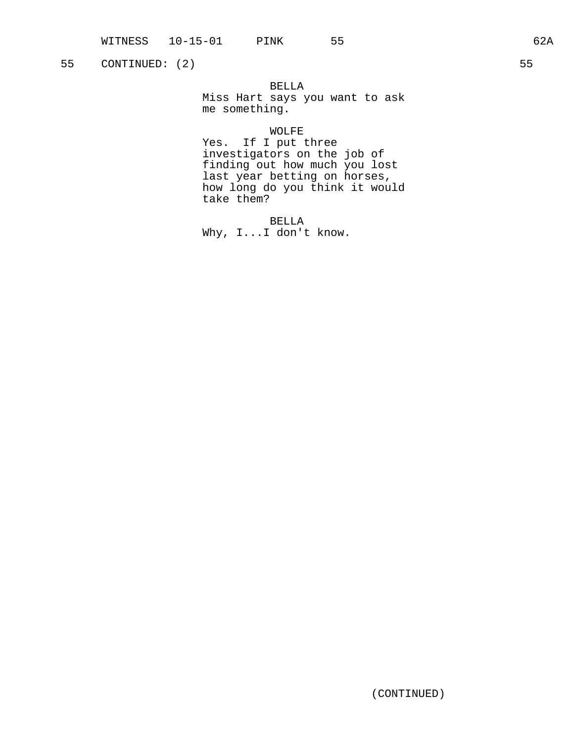BELLA

Miss Hart says you want to ask me something.

### WOLFE

Yes. If I put three investigators on the job of finding out how much you lost last year betting on horses, how long do you think it would take them?

BELLA Why, I...I don't know.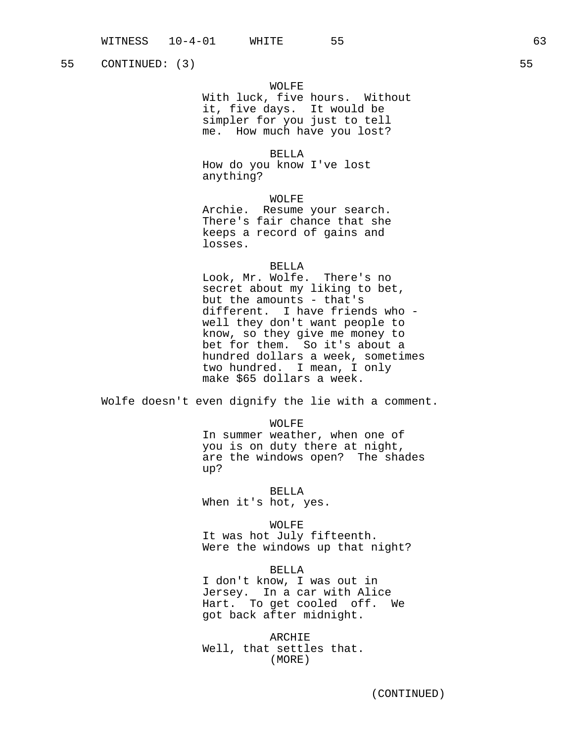# WOLFE

With luck, five hours. Without it, five days. It would be simpler for you just to tell me. How much have you lost?

BELLA

How do you know I've lost anything?

WOLFE

Archie. Resume your search. There's fair chance that she keeps a record of gains and losses.

### BELLA

Look, Mr. Wolfe. There's no secret about my liking to bet, but the amounts - that's different. I have friends who well they don't want people to know, so they give me money to bet for them. So it's about a hundred dollars a week, sometimes two hundred. I mean, I only make \$65 dollars a week.

Wolfe doesn't even dignify the lie with a comment.

WOLFE

In summer weather, when one of you is on duty there at night, are the windows open? The shades up?

BELLA When it's hot, yes.

WOLFE It was hot July fifteenth. Were the windows up that night?

#### BELLA

I don't know, I was out in Jersey. In a car with Alice Hart. To get cooled off. We got back after midnight.

ARCHIE Well, that settles that. (MORE)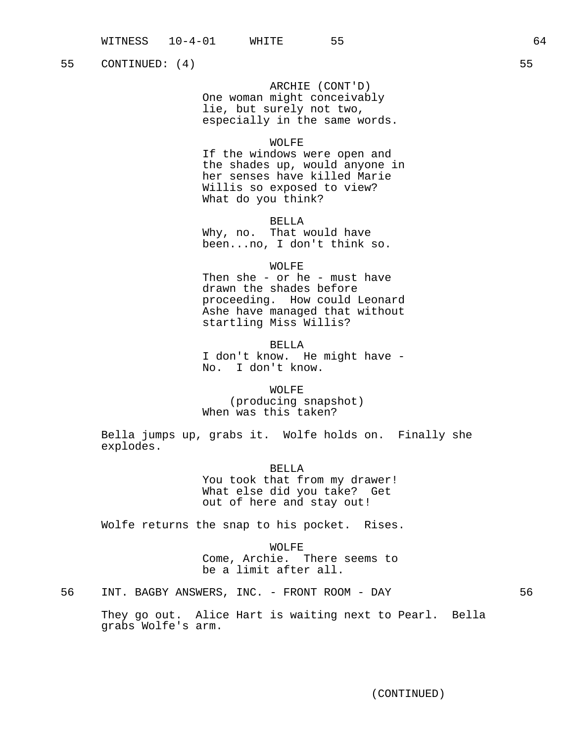ARCHIE (CONT'D)

One woman might conceivably lie, but surely not two, especially in the same words.

### WOLFE

If the windows were open and the shades up, would anyone in her senses have killed Marie Willis so exposed to view? What do you think?

#### BELLA

Why, no. That would have been...no, I don't think so.

### WOLFE

Then she - or he - must have drawn the shades before proceeding. How could Leonard Ashe have managed that without startling Miss Willis?

BELLA I don't know. He might have - No. I don't know.

WOLFE (producing snapshot) When was this taken?

Bella jumps up, grabs it. Wolfe holds on. Finally she explodes.

> BELLA You took that from my drawer! What else did you take? Get out of here and stay out!

Wolfe returns the snap to his pocket. Rises.

WOLFE Come, Archie. There seems to be a limit after all.

56 INT. BAGBY ANSWERS, INC. - FRONT ROOM - DAY 56

They go out. Alice Hart is waiting next to Pearl. Bella grabs Wolfe's arm.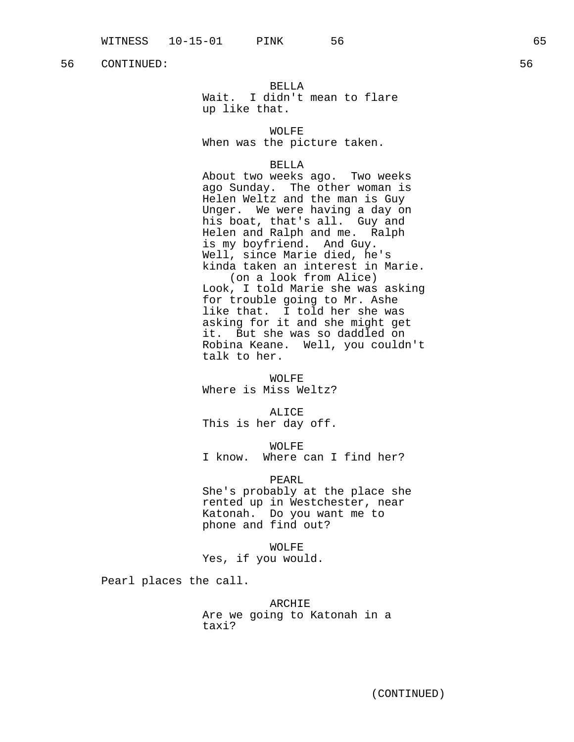# BELLA

Wait. I didn't mean to flare up like that.

WOLFE

When was the picture taken.

### BELLA

About two weeks ago. Two weeks ago Sunday. The other woman is Helen Weltz and the man is Guy Unger. We were having a day on his boat, that's all. Guy and Helen and Ralph and me. Ralph is my boyfriend. And Guy. Well, since Marie died, he's kinda taken an interest in Marie. (on a look from Alice) Look, I told Marie she was asking for trouble going to Mr. Ashe like that. I told her she was asking for it and she might get

it. But she was so daddled on Robina Keane. Well, you couldn't talk to her.

#### WOLFE

Where is Miss Weltz?

# ALICE

This is her day off.

# WOLFE

I know. Where can I find her?

# PEARL

She's probably at the place she rented up in Westchester, near Katonah. Do you want me to phone and find out?

WOLFE

# Yes, if you would.

Pearl places the call.

ARCHIE Are we going to Katonah in a taxi?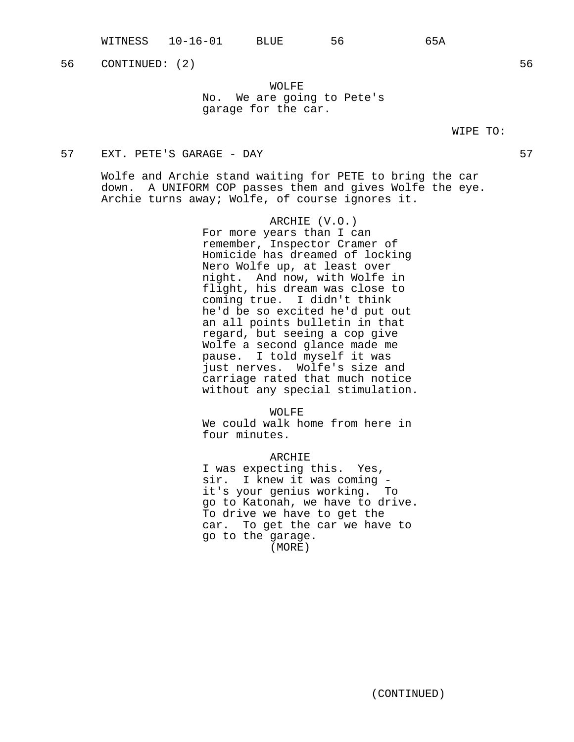WITNESS 10-16-01 BLUE 56 65A

56 CONTINUED: (2) 56

WOLFE No. We are going to Pete's garage for the car.

### WIPE TO:

# 57 EXT. PETE'S GARAGE - DAY 57

Wolfe and Archie stand waiting for PETE to bring the car down. A UNIFORM COP passes them and gives Wolfe the eye. Archie turns away; Wolfe, of course ignores it.

> ARCHIE (V.O.) For more years than I can remember, Inspector Cramer of Homicide has dreamed of locking Nero Wolfe up, at least over night. And now, with Wolfe in flight, his dream was close to coming true. I didn't think he'd be so excited he'd put out an all points bulletin in that regard, but seeing a cop give Wolfe a second glance made me pause. I told myself it was just nerves. Wolfe's size and carriage rated that much notice without any special stimulation.

WOLFE We could walk home from here in four minutes.

ARCHIE I was expecting this. Yes, sir. I knew it was coming it's your genius working. To go to Katonah, we have to drive. To drive we have to get the car. To get the car we have to go to the garage. (MORE)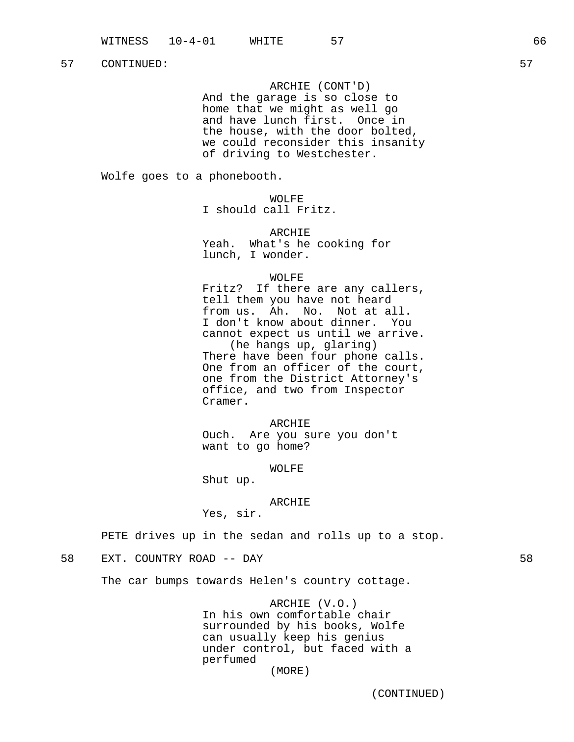ARCHIE (CONT'D)

And the garage is so close to home that we might as well go and have lunch first. Once in the house, with the door bolted, we could reconsider this insanity of driving to Westchester.

Wolfe goes to a phonebooth.

WOLFE I should call Fritz.

ARCHIE Yeah. What's he cooking for lunch, I wonder.

### WOLFE

Fritz? If there are any callers, tell them you have not heard from us. Ah. No. Not at all. I don't know about dinner. You cannot expect us until we arrive. (he hangs up, glaring) There have been four phone calls. One from an officer of the court, one from the District Attorney's office, and two from Inspector Cramer.

ARCHIE Ouch. Are you sure you don't want to go home?

#### WOLFE

Shut up.

#### ARCHIE

Yes, sir.

PETE drives up in the sedan and rolls up to a stop.

# 58 EXT. COUNTRY ROAD -- DAY 58

The car bumps towards Helen's country cottage.

ARCHIE (V.O.) In his own comfortable chair surrounded by his books, Wolfe can usually keep his genius under control, but faced with a perfumed

(MORE)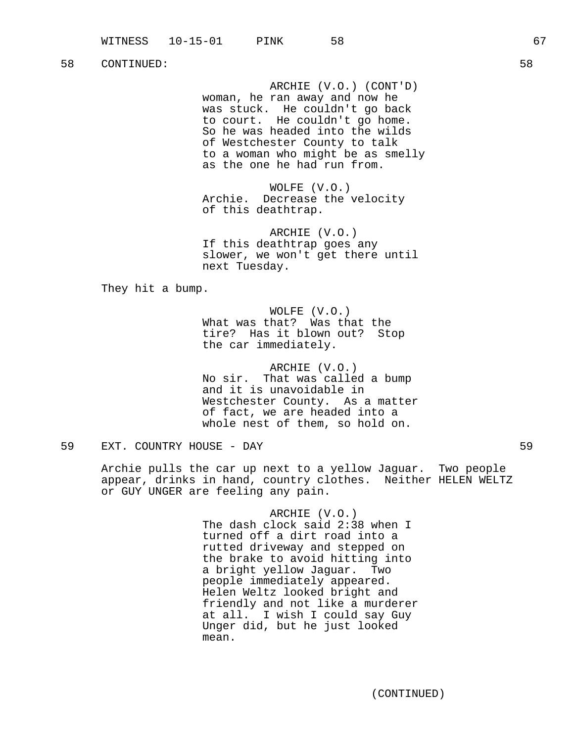ARCHIE (V.O.) (CONT'D) woman, he ran away and now he was stuck. He couldn't go back to court. He couldn't go home. So he was headed into the wilds of Westchester County to talk to a woman who might be as smelly as the one he had run from.

WOLFE (V.O.) Archie. Decrease the velocity of this deathtrap.

ARCHIE (V.O.) If this deathtrap goes any slower, we won't get there until next Tuesday.

They hit a bump.

WOLFE (V.O.) What was that? Was that the tire? Has it blown out? Stop the car immediately.

ARCHIE (V.O.) No sir. That was called a bump and it is unavoidable in Westchester County. As a matter of fact, we are headed into a whole nest of them, so hold on.

59 EXT. COUNTRY HOUSE - DAY 59

Archie pulls the car up next to a yellow Jaguar. Two people appear, drinks in hand, country clothes. Neither HELEN WELTZ or GUY UNGER are feeling any pain.

> ARCHIE (V.O.) The dash clock said 2:38 when I turned off a dirt road into a rutted driveway and stepped on the brake to avoid hitting into a bright yellow Jaguar. Two people immediately appeared. Helen Weltz looked bright and friendly and not like a murderer at all. I wish I could say Guy Unger did, but he just looked mean.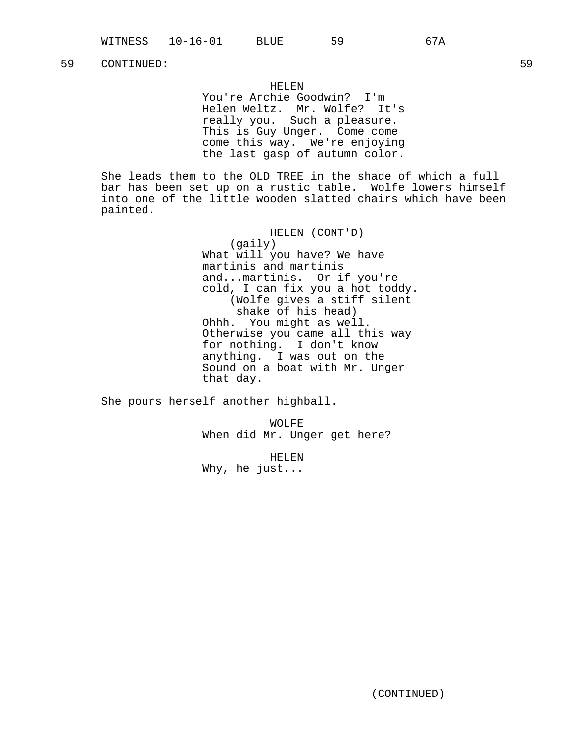# HELEN

You're Archie Goodwin? I'm Helen Weltz. Mr. Wolfe? It's really you. Such a pleasure. This is Guy Unger. Come come come this way. We're enjoying the last gasp of autumn color.

She leads them to the OLD TREE in the shade of which a full bar has been set up on a rustic table. Wolfe lowers himself into one of the little wooden slatted chairs which have been painted.

> HELEN (CONT'D) (gaily) What will you have? We have martinis and martinis and...martinis. Or if you're cold, I can fix you a hot toddy. (Wolfe gives a stiff silent shake of his head) Ohhh. You might as well. Otherwise you came all this way for nothing. I don't know anything. I was out on the Sound on a boat with Mr. Unger that day.

She pours herself another highball.

WOLFE When did Mr. Unger get here?

HELEN Why, he just...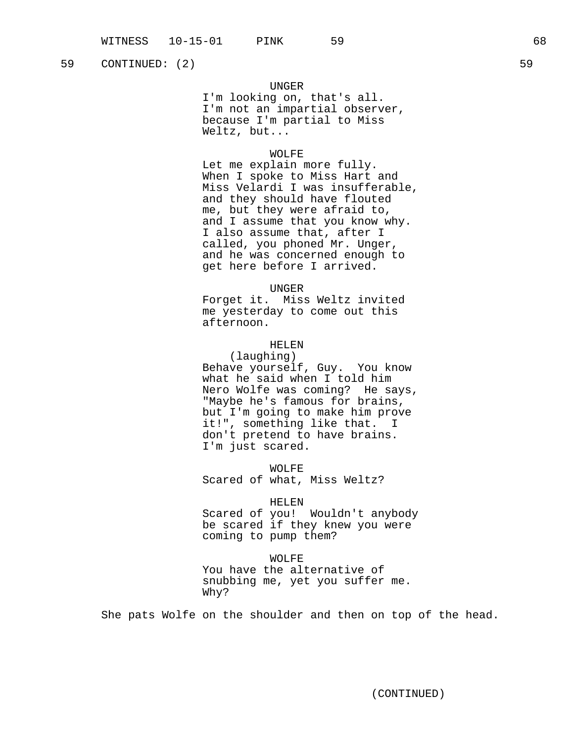# UNGER

I'm looking on, that's all. I'm not an impartial observer, because I'm partial to Miss Weltz, but...

# WOLFE

Let me explain more fully. When I spoke to Miss Hart and Miss Velardi I was insufferable, and they should have flouted me, but they were afraid to, and I assume that you know why. I also assume that, after I called, you phoned Mr. Unger, and he was concerned enough to get here before I arrived.

UNGER

Forget it. Miss Weltz invited me yesterday to come out this afternoon.

# HELEN

(laughing) Behave yourself, Guy. You know what he said when I told him Nero Wolfe was coming? He says, "Maybe he's famous for brains, but I'm going to make him prove it!", something like that. I don't pretend to have brains. I'm just scared.

WOLFE

Scared of what, Miss Weltz?

#### HELEN

Scared of you! Wouldn't anybody be scared if they knew you were coming to pump them?

#### WOLFE

You have the alternative of snubbing me, yet you suffer me. Why?

She pats Wolfe on the shoulder and then on top of the head.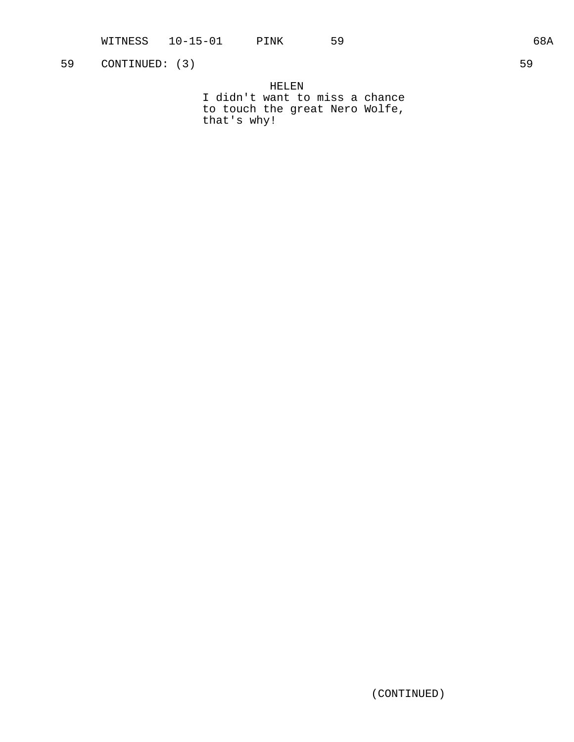HELEN I didn't want to miss a chance to touch the great Nero Wolfe, that's why!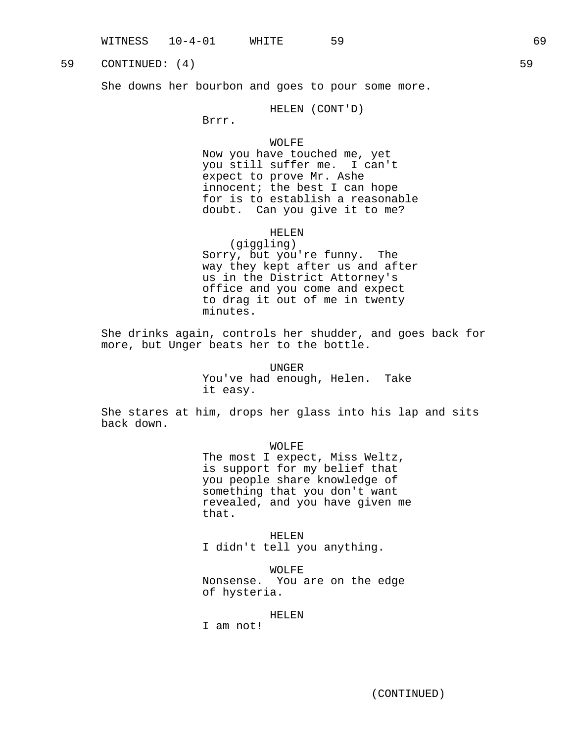She downs her bourbon and goes to pour some more.

HELEN (CONT'D)

Brrr.

### WOLFE

Now you have touched me, yet you still suffer me. I can't expect to prove Mr. Ashe innocent; the best I can hope for is to establish a reasonable doubt. Can you give it to me?

# HELEN

(giggling) Sorry, but you're funny. The way they kept after us and after us in the District Attorney's office and you come and expect to drag it out of me in twenty minutes.

She drinks again, controls her shudder, and goes back for more, but Unger beats her to the bottle.

> UNGER You've had enough, Helen. Take it easy.

She stares at him, drops her glass into his lap and sits back down.

WOLFE

The most I expect, Miss Weltz, is support for my belief that you people share knowledge of something that you don't want revealed, and you have given me that.

HELEN I didn't tell you anything.

WOLFE Nonsense. You are on the edge of hysteria.

#### HELEN

I am not!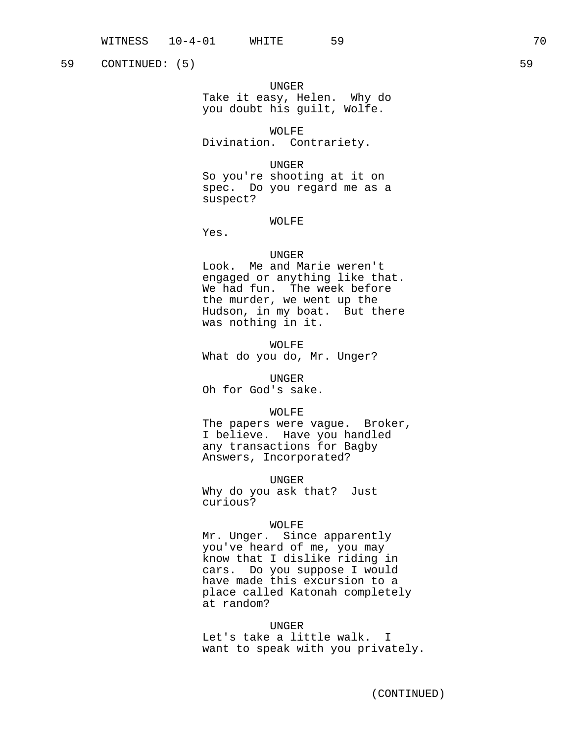59 CONTINUED: (5) 59 S

#### UNGER

Take it easy, Helen. Why do you doubt his guilt, Wolfe.

WOLFE

Divination. Contrariety.

UNGER

So you're shooting at it on spec. Do you regard me as a suspect?

### WOLFE

Yes.

#### UNGER

Look. Me and Marie weren't engaged or anything like that. We had fun. The week before the murder, we went up the Hudson, in my boat. But there was nothing in it.

WOLFE What do you do, Mr. Unger?

UNGER

Oh for God's sake.

WOLFE

The papers were vague. Broker, I believe. Have you handled any transactions for Bagby Answers, Incorporated?

UNGER

Why do you ask that? Just curious?

### WOLFE

Mr. Unger. Since apparently you've heard of me, you may know that I dislike riding in cars. Do you suppose I would have made this excursion to a place called Katonah completely at random?

#### UNGER

Let's take a little walk. I want to speak with you privately.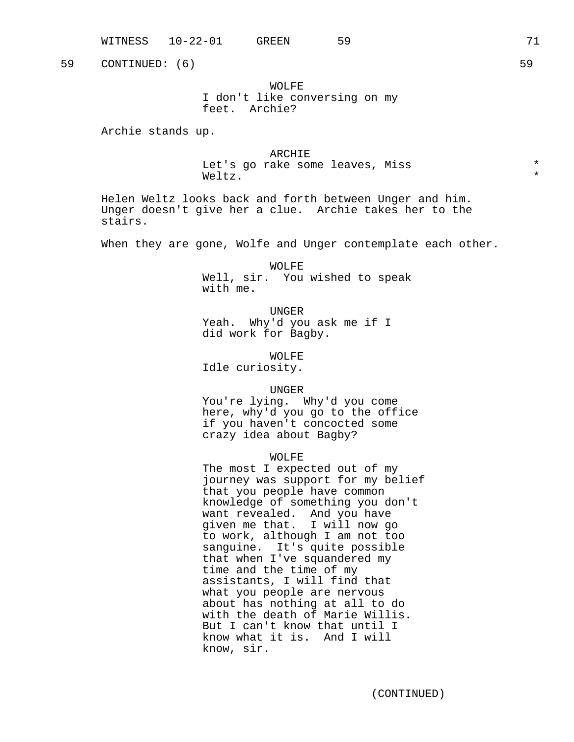WOLFE I don't like conversing on my feet. Archie?

Archie stands up.

ARCHIE Let's go rake some leaves, Miss \* Weltz.  $\star$ 

Helen Weltz looks back and forth between Unger and him. Unger doesn't give her a clue. Archie takes her to the stairs.

When they are gone, Wolfe and Unger contemplate each other.

WOLFE Well, sir. You wished to speak with me.

UNGER Yeah. Why'd you ask me if I did work for Bagby.

WOLFE

Idle curiosity.

UNGER

You're lying. Why'd you come here, why'd you go to the office if you haven't concocted some crazy idea about Bagby?

WOLFE

The most I expected out of my journey was support for my belief that you people have common knowledge of something you don't want revealed. And you have given me that. I will now go to work, although I am not too sanguine. It's quite possible that when I've squandered my time and the time of my assistants, I will find that what you people are nervous about has nothing at all to do with the death of Marie Willis. But I can't know that until I know what it is. And I will know, sir.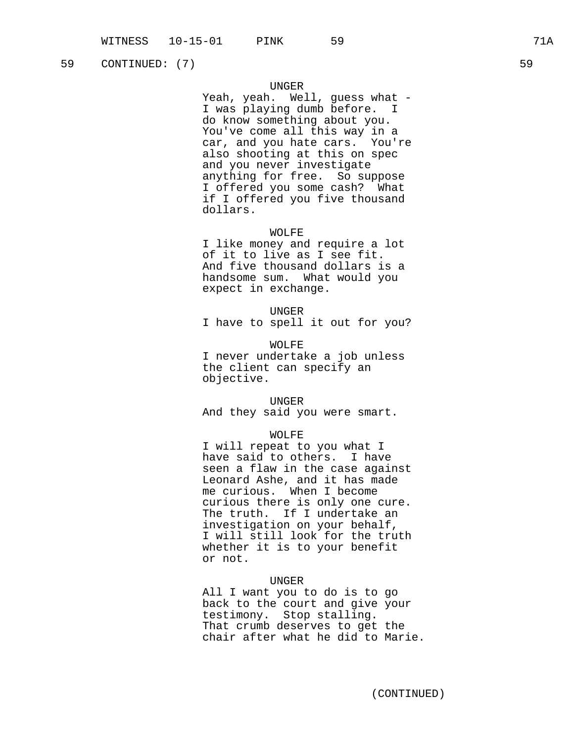# UNGER

Yeah, yeah. Well, guess what -I was playing dumb before. I do know something about you. You've come all this way in a car, and you hate cars. You're also shooting at this on spec and you never investigate anything for free. So suppose I offered you some cash? What if I offered you five thousand dollars.

### WOLFE

I like money and require a lot of it to live as I see fit. And five thousand dollars is a handsome sum. What would you expect in exchange.

UNGER

I have to spell it out for you?

WOLFE I never undertake a job unless the client can specify an objective.

#### UNGER

And they said you were smart.

#### WOLFE

I will repeat to you what I have said to others. I have seen a flaw in the case against Leonard Ashe, and it has made me curious. When I become curious there is only one cure. The truth. If I undertake an investigation on your behalf, I will still look for the truth whether it is to your benefit or not.

# UNGER

All I want you to do is to go back to the court and give your testimony. Stop stalling. That crumb deserves to get the chair after what he did to Marie.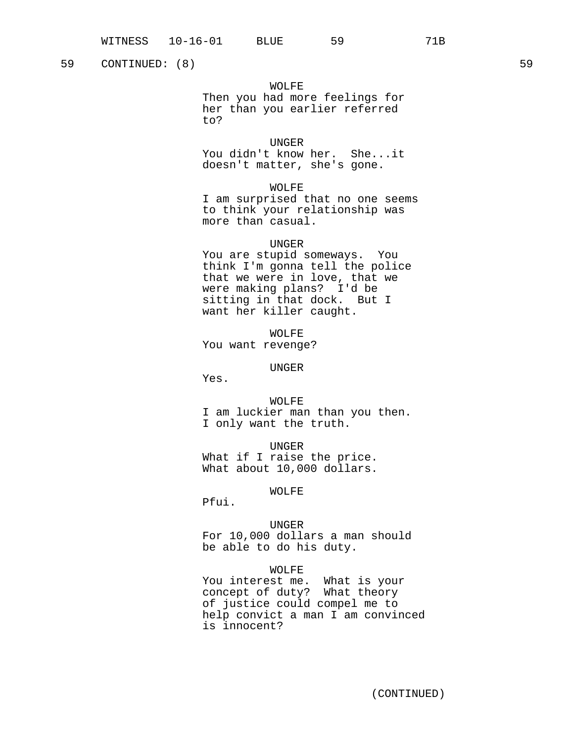### WOLFE

Then you had more feelings for her than you earlier referred to?

# UNGER

You didn't know her. She...it doesn't matter, she's gone.

### WOLFE

I am surprised that no one seems to think your relationship was more than casual.

# UNGER

You are stupid someways. You think I'm gonna tell the police that we were in love, that we were making plans? I'd be sitting in that dock. But I want her killer caught.

WOLFE You want revenge?

#### UNGER

Yes.

# WOLFE I am luckier man than you then. I only want the truth.

UNGER What if I raise the price. What about 10,000 dollars.

#### WOLFE

Pfui.

# UNGER

For 10,000 dollars a man should be able to do his duty.

### WOLFE

You interest me. What is your concept of duty? What theory of justice could compel me to help convict a man I am convinced is innocent?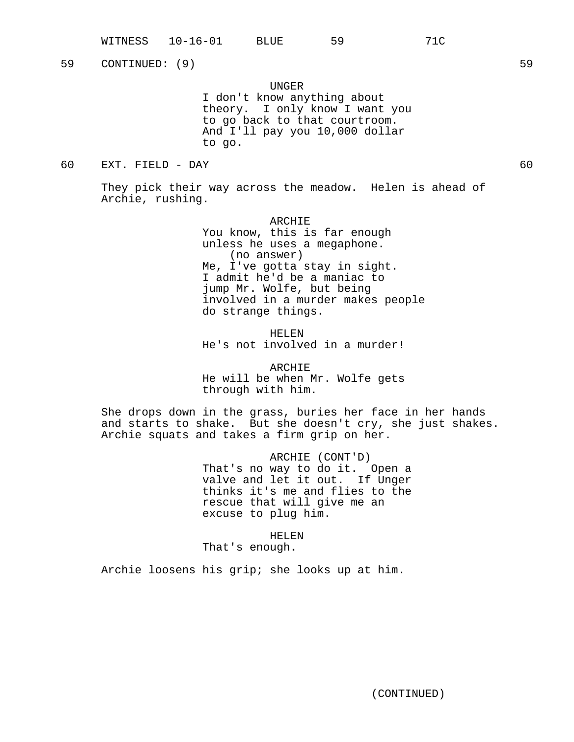UNGER

I don't know anything about theory. I only know I want you to go back to that courtroom. And I'll pay you 10,000 dollar to go.

60 EXT. FIELD - DAY 60

They pick their way across the meadow. Helen is ahead of Archie, rushing.

> ARCHIE You know, this is far enough unless he uses a megaphone. (no answer) Me, I've gotta stay in sight. I admit he'd be a maniac to jump Mr. Wolfe, but being involved in a murder makes people do strange things.

HELEN He's not involved in a murder!

ARCHIE He will be when Mr. Wolfe gets through with him.

She drops down in the grass, buries her face in her hands and starts to shake. But she doesn't cry, she just shakes. Archie squats and takes a firm grip on her.

> ARCHIE (CONT'D) That's no way to do it. Open a valve and let it out. If Unger thinks it's me and flies to the rescue that will give me an excuse to plug him.

> > HELEN

That's enough.

Archie loosens his grip; she looks up at him.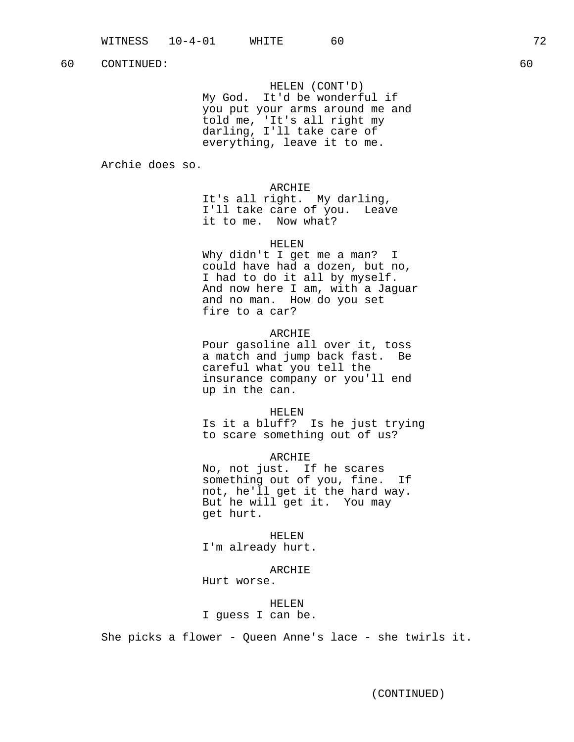HELEN (CONT'D) My God. It'd be wonderful if you put your arms around me and told me, 'It's all right my darling, I'll take care of everything, leave it to me.

Archie does so.

ARCHIE

It's all right. My darling, I'll take care of you. Leave it to me. Now what?

HELEN

Why didn't I get me a man? I could have had a dozen, but no, I had to do it all by myself. And now here I am, with a Jaguar and no man. How do you set fire to a car?

# ARCHIE

Pour gasoline all over it, toss a match and jump back fast. Be careful what you tell the insurance company or you'll end up in the can.

#### HELEN

Is it a bluff? Is he just trying to scare something out of us?

ARCHIE No, not just. If he scares something out of you, fine. If not, he'll get it the hard way. But he will get it. You may get hurt.

HELEN I'm already hurt.

ARCHIE Hurt worse.

HELEN I guess I can be.

She picks a flower - Queen Anne's lace - she twirls it.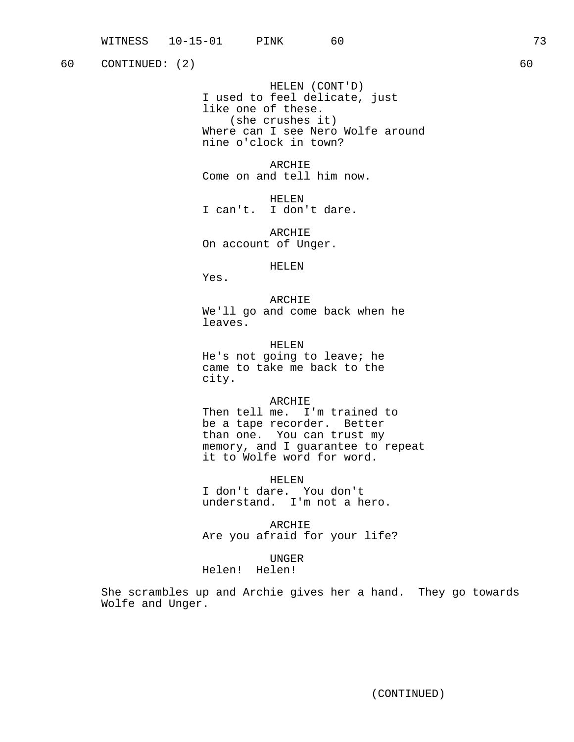HELEN (CONT'D) I used to feel delicate, just like one of these. (she crushes it) Where can I see Nero Wolfe around nine o'clock in town?

ARCHIE Come on and tell him now.

HELEN I can't. I don't dare.

ARCHIE On account of Unger.

HELEN

Yes.

ARCHIE We'll go and come back when he leaves.

HELEN He's not going to leave; he came to take me back to the city.

ARCHIE

Then tell me. I'm trained to be a tape recorder. Better than one. You can trust my memory, and I guarantee to repeat it to Wolfe word for word.

HELEN I don't dare. You don't understand. I'm not a hero.

ARCHIE Are you afraid for your life?

UNGER

Helen! Helen!

She scrambles up and Archie gives her a hand. They go towards Wolfe and Unger.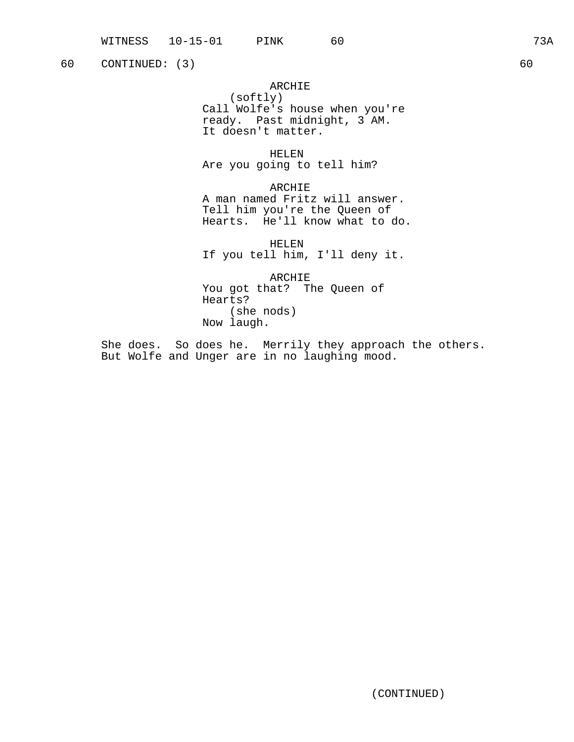# ARCHIE

(softly) Call Wolfe's house when you're ready. Past midnight, 3 AM. It doesn't matter.

HELEN Are you going to tell him?

ARCHIE A man named Fritz will answer. Tell him you're the Queen of Hearts. He'll know what to do.

HELEN If you tell him, I'll deny it.

ARCHIE You got that? The Queen of Hearts? (she nods) Now laugh.

She does. So does he. Merrily they approach the others. But Wolfe and Unger are in no laughing mood.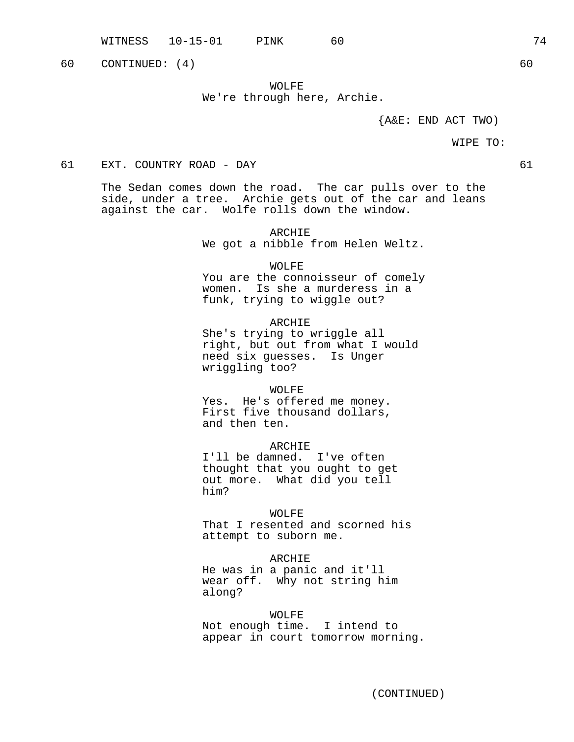WOLFE We're through here, Archie.

 ${A\&E: END ACT TWO}$ 

#### WIPE TO:

# 61 EXT. COUNTRY ROAD - DAY 61

The Sedan comes down the road. The car pulls over to the side, under a tree. Archie gets out of the car and leans against the car. Wolfe rolls down the window.

> ARCHIE We got a nibble from Helen Weltz.

> > WOLFE

You are the connoisseur of comely women. Is she a murderess in a funk, trying to wiggle out?

ARCHIE She's trying to wriggle all right, but out from what I would need six guesses. Is Unger wriggling too?

WOLFE

Yes. He's offered me money. First five thousand dollars, and then ten.

ARCHIE

I'll be damned. I've often thought that you ought to get out more. What did you tell him?

WOLFE

That I resented and scorned his attempt to suborn me.

# ARCHIE

He was in a panic and it'll wear off. Why not string him along?

WOLFE

Not enough time. I intend to appear in court tomorrow morning.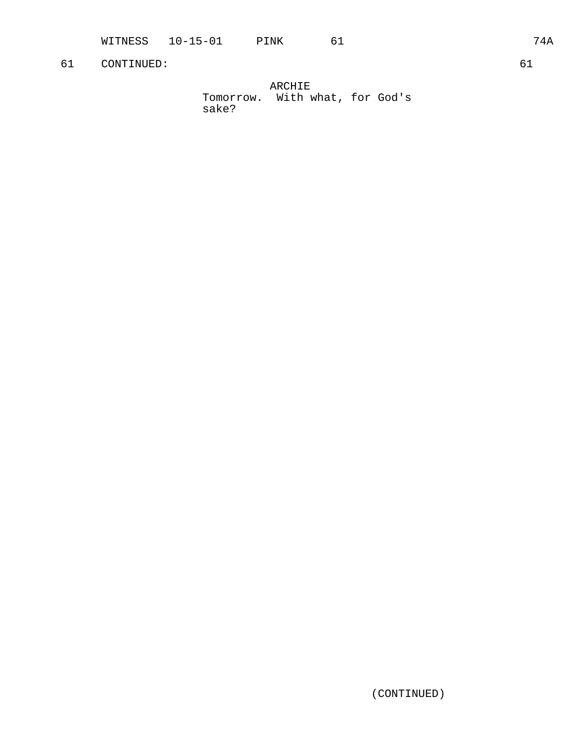| ARCHIE                          |  |  |  |  |  |  |
|---------------------------------|--|--|--|--|--|--|
| Tomorrow.  With what, for God's |  |  |  |  |  |  |
| sake?                           |  |  |  |  |  |  |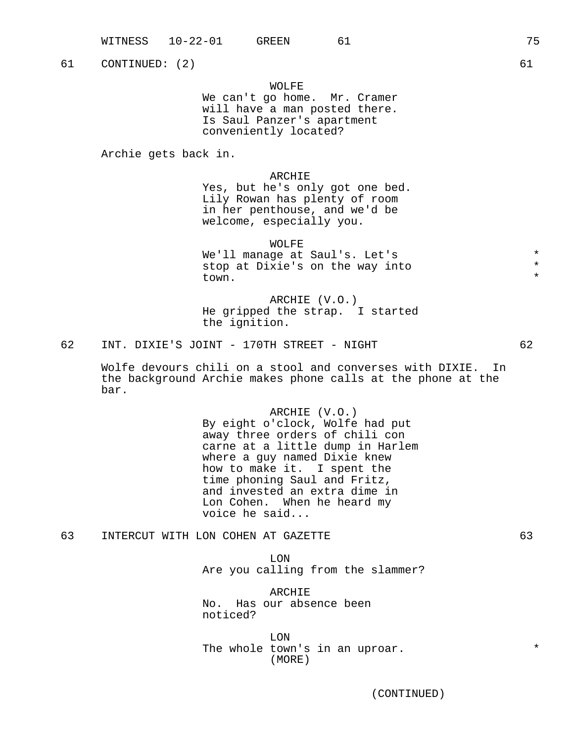# WOLFE

We can't go home. Mr. Cramer will have a man posted there. Is Saul Panzer's apartment conveniently located?

Archie gets back in.

# ARCHIE

Yes, but he's only got one bed. Lily Rowan has plenty of room in her penthouse, and we'd be welcome, especially you.

WOLFE We'll manage at Saul's. Let's  $*$ <br>stop at Divie's on the way into  $*$ stop at Dixie's on the way into \* town.  $\star$ 

ARCHIE (V.O.) He gripped the strap. I started the ignition.

62 INT. DIXIE'S JOINT - 170TH STREET - NIGHT 62

Wolfe devours chili on a stool and converses with DIXIE. In the background Archie makes phone calls at the phone at the bar.

> ARCHIE (V.O.) By eight o'clock, Wolfe had put away three orders of chili con carne at a little dump in Harlem where a guy named Dixie knew how to make it. I spent the time phoning Saul and Fritz, and invested an extra dime in Lon Cohen. When he heard my voice he said...

63 INTERCUT WITH LON COHEN AT GAZETTE 63

LON Are you calling from the slammer?

ARCHIE No. Has our absence been noticed?

LON The whole town's in an uproar.  $*$ (MORE)

(CONTINUED)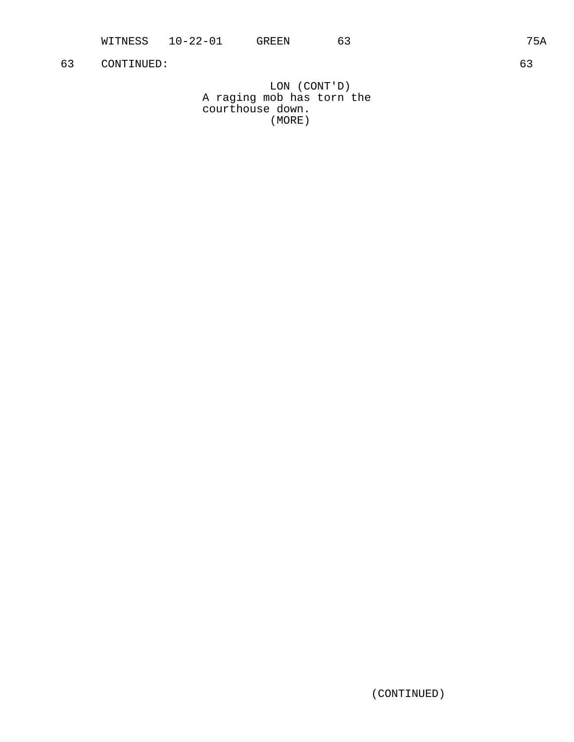LON (CONT'D) A raging mob has torn the courthouse down. (MORE)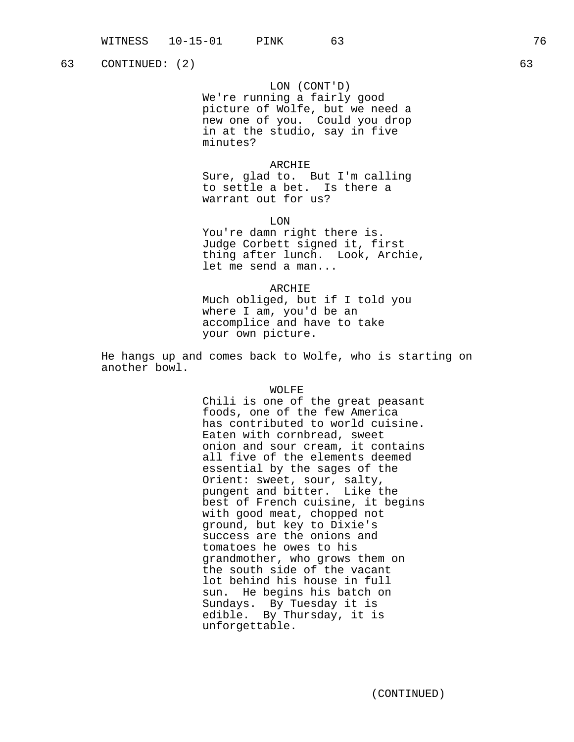LON (CONT'D)

We're running a fairly good picture of Wolfe, but we need a new one of you. Could you drop in at the studio, say in five minutes?

#### ARCHIE

Sure, glad to. But I'm calling to settle a bet. Is there a warrant out for us?

LON

You're damn right there is. Judge Corbett signed it, first thing after lunch. Look, Archie, let me send a man...

ARCHIE Much obliged, but if I told you where I am, you'd be an accomplice and have to take your own picture.

He hangs up and comes back to Wolfe, who is starting on another bowl.

### WOLFE

Chili is one of the great peasant foods, one of the few America has contributed to world cuisine. Eaten with cornbread, sweet onion and sour cream, it contains all five of the elements deemed essential by the sages of the Orient: sweet, sour, salty, pungent and bitter. Like the best of French cuisine, it begins with good meat, chopped not ground, but key to Dixie's success are the onions and tomatoes he owes to his grandmother, who grows them on the south side of the vacant lot behind his house in full sun. He begins his batch on Sundays. By Tuesday it is edible. By Thursday, it is unforgettable.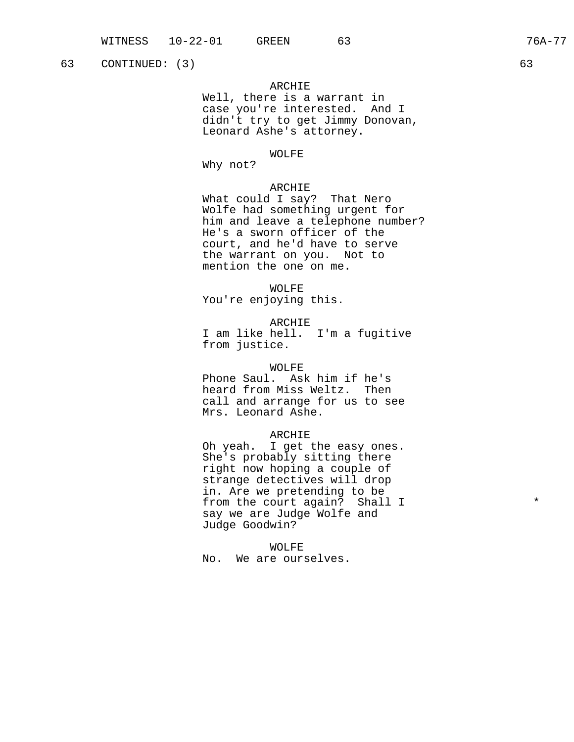# ARCHIE

Well, there is a warrant in case you're interested. And I didn't try to get Jimmy Donovan, Leonard Ashe's attorney.

# WOLFE

Why not?

# ARCHIE

What could I say? That Nero Wolfe had something urgent for him and leave a telephone number? He's a sworn officer of the court, and he'd have to serve the warrant on you. Not to mention the one on me.

WOLFE

You're enjoying this.

ARCHIE

I am like hell. I'm a fugitive from justice.

#### WOLFE

Phone Saul. Ask him if he's heard from Miss Weltz. Then call and arrange for us to see Mrs. Leonard Ashe.

#### ARCHIE

Oh yeah. I get the easy ones. She's probably sitting there right now hoping a couple of strange detectives will drop in. Are we pretending to be from the court again? Shall I  $*$ say we are Judge Wolfe and Judge Goodwin?

WOLFE

No. We are ourselves.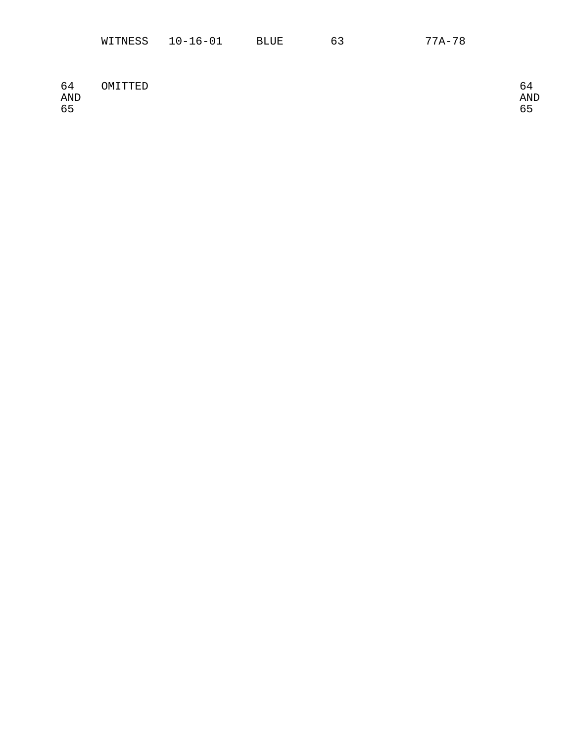|  | WITNESS | $10 - 16 - 01$ | BLUE | h | 77A-78 |
|--|---------|----------------|------|---|--------|
|--|---------|----------------|------|---|--------|

| 64<br><b>AND</b><br>65 | OMITTED | AND<br>oΞ |
|------------------------|---------|-----------|
|                        |         |           |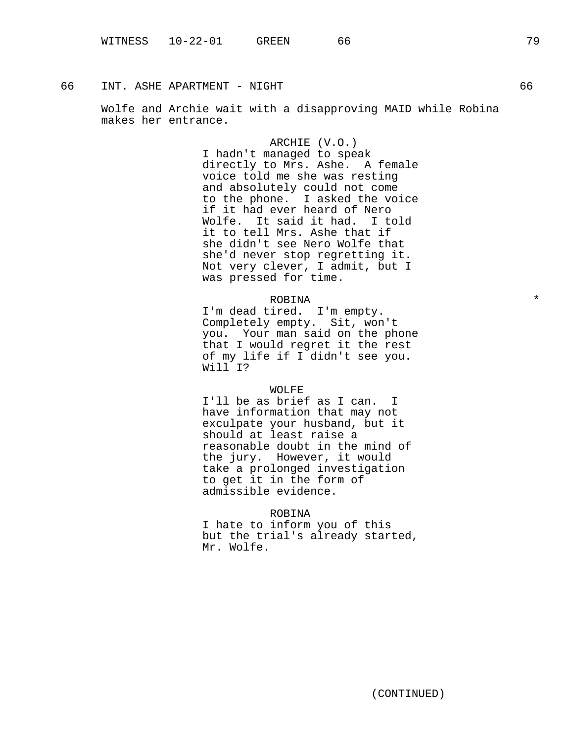66 INT. ASHE APARTMENT - NIGHT 66

Wolfe and Archie wait with a disapproving MAID while Robina makes her entrance.

> ARCHIE (V.O.) I hadn't managed to speak directly to Mrs. Ashe. A female voice told me she was resting and absolutely could not come to the phone. I asked the voice if it had ever heard of Nero Wolfe. It said it had. I told it to tell Mrs. Ashe that if she didn't see Nero Wolfe that she'd never stop regretting it. Not very clever, I admit, but I was pressed for time.

# ROBINA \*

I'm dead tired. I'm empty. Completely empty. Sit, won't you. Your man said on the phone that I would regret it the rest of my life if I didn't see you. Will I?

#### WOLFE

I'll be as brief as I can. I have information that may not exculpate your husband, but it should at least raise a reasonable doubt in the mind of the jury. However, it would take a prolonged investigation to get it in the form of admissible evidence.

# ROBINA

I hate to inform you of this but the trial's already started, Mr. Wolfe.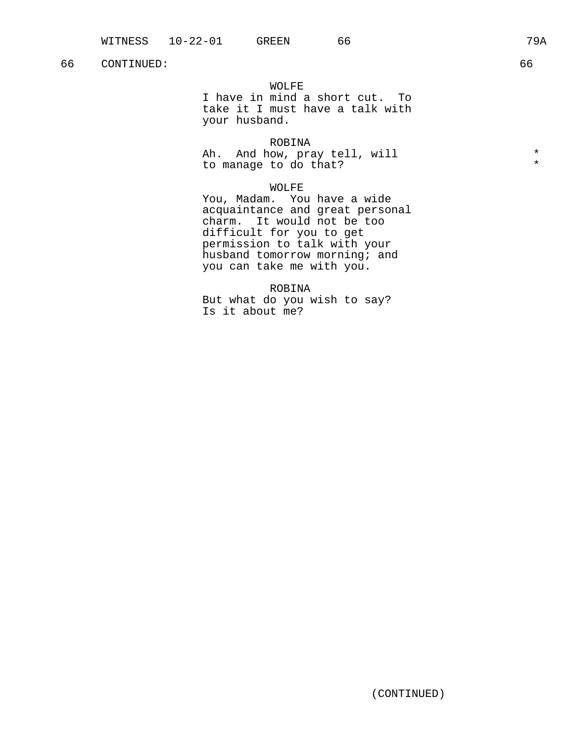## 66 CONTINUED: 66

## WOLFE

I have in mind a short cut. To take it I must have a talk with your husband.

## ROBINA

Ah. And how, pray tell, will  $*$ to manage to do that? \*

## WOLFE

You, Madam. You have a wide acquaintance and great personal charm. It would not be too difficult for you to get permission to talk with your husband tomorrow morning; and you can take me with you.

ROBINA

But what do you wish to say? Is it about me?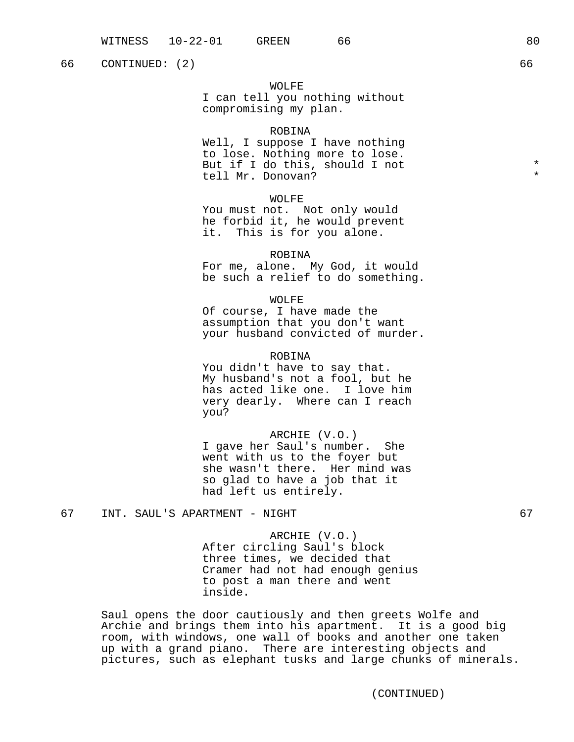66 CONTINUED: (2) 66

## WOLFE

I can tell you nothing without compromising my plan.

#### ROBINA

Well, I suppose I have nothing to lose. Nothing more to lose. But if I do this, should I not \* tell Mr. Donovan?

## WOLFE

You must not. Not only would he forbid it, he would prevent it. This is for you alone.

#### ROBINA

For me, alone. My God, it would be such a relief to do something.

## WOLFE

Of course, I have made the assumption that you don't want your husband convicted of murder.

## ROBINA

You didn't have to say that. My husband's not a fool, but he has acted like one. I love him very dearly. Where can I reach you?

### ARCHIE (V.O.)

I gave her Saul's number. She went with us to the foyer but she wasn't there. Her mind was so glad to have a job that it had left us entirely.

# 67 INT. SAUL'S APARTMENT - NIGHT 67

ARCHIE (V.O.)

After circling Saul's block three times, we decided that Cramer had not had enough genius to post a man there and went inside.

Saul opens the door cautiously and then greets Wolfe and Archie and brings them into his apartment. It is a good big room, with windows, one wall of books and another one taken up with a grand piano. There are interesting objects and pictures, such as elephant tusks and large chunks of minerals.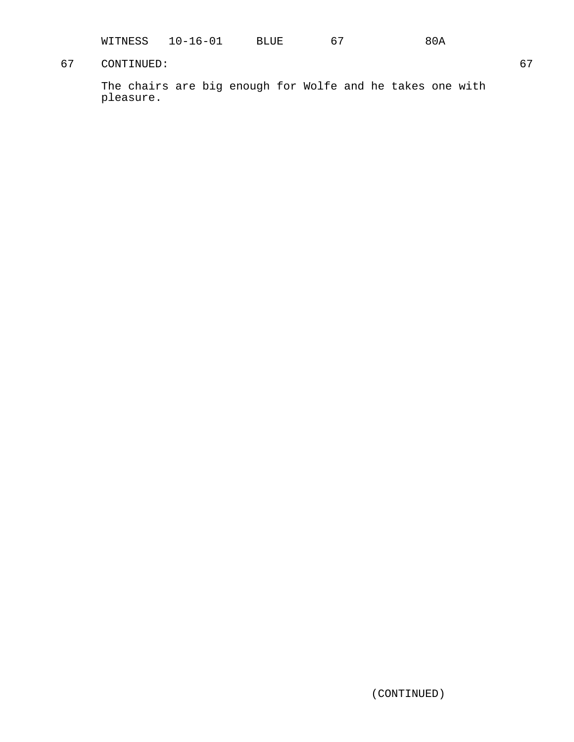| WITNESS | $16 - 01$ | BLUE | n | 80A |
|---------|-----------|------|---|-----|
|---------|-----------|------|---|-----|

# 67 CONTINUED: 67

The chairs are big enough for Wolfe and he takes one with pleasure.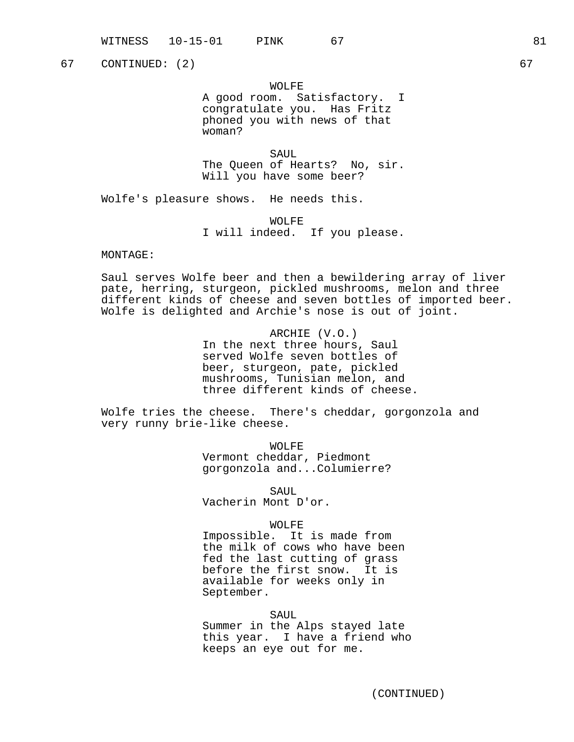67 CONTINUED: (2) 67

WOLFE A good room. Satisfactory. I congratulate you. Has Fritz phoned you with news of that woman?

SAUL The Queen of Hearts? No, sir. Will you have some beer?

Wolfe's pleasure shows. He needs this.

WOLFE I will indeed. If you please.

#### MONTAGE:

Saul serves Wolfe beer and then a bewildering array of liver pate, herring, sturgeon, pickled mushrooms, melon and three different kinds of cheese and seven bottles of imported beer. Wolfe is delighted and Archie's nose is out of joint.

> ARCHIE (V.O.) In the next three hours, Saul served Wolfe seven bottles of beer, sturgeon, pate, pickled mushrooms, Tunisian melon, and three different kinds of cheese.

Wolfe tries the cheese. There's cheddar, gorgonzola and very runny brie-like cheese.

> WOLFE Vermont cheddar, Piedmont gorgonzola and...Columierre?

SAUL Vacherin Mont D'or.

### WOLFE

Impossible. It is made from the milk of cows who have been fed the last cutting of grass before the first snow. It is available for weeks only in September.

SAUL Summer in the Alps stayed late this year. I have a friend who keeps an eye out for me.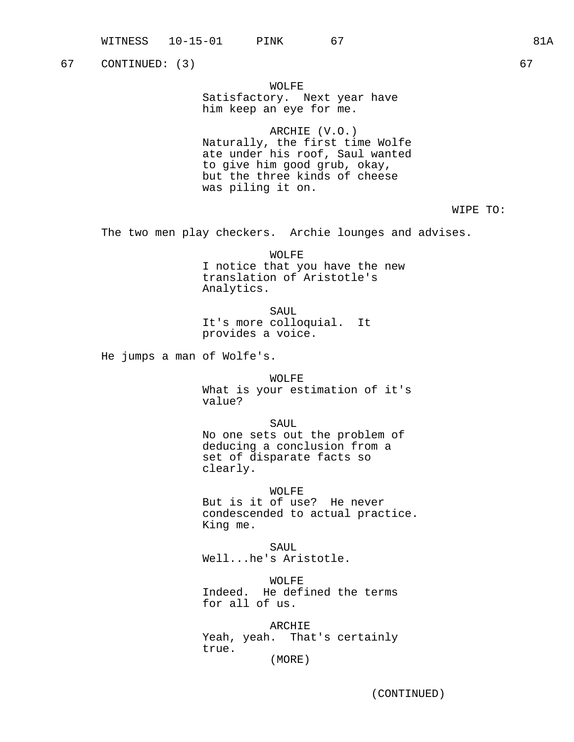67 CONTINUED: (3) 67

WOLFE Satisfactory. Next year have him keep an eye for me.

ARCHIE (V.O.) Naturally, the first time Wolfe ate under his roof, Saul wanted to give him good grub, okay, but the three kinds of cheese was piling it on.

WIPE TO:

The two men play checkers. Archie lounges and advises.

WOLFE I notice that you have the new translation of Aristotle's Analytics.

SAUL It's more colloquial. It provides a voice.

He jumps a man of Wolfe's.

WOLFF. What is your estimation of it's value?

SAUL No one sets out the problem of deducing a conclusion from a set of disparate facts so clearly.

WOLFE But is it of use? He never condescended to actual practice. King me.

SAUL Well...he's Aristotle.

WOLFE Indeed. He defined the terms for all of us.

ARCHIE Yeah, yeah. That's certainly true. (MORE)

(CONTINUED)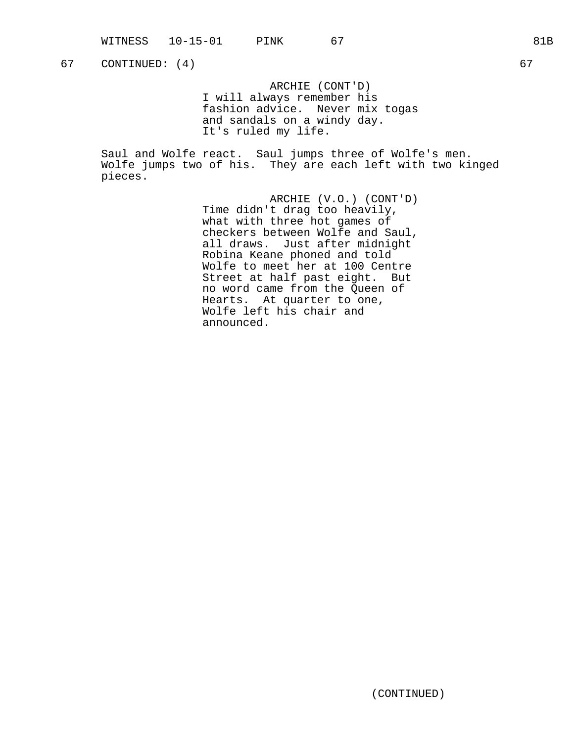67 CONTINUED: (4) 67

ARCHIE (CONT'D) I will always remember his fashion advice. Never mix togas and sandals on a windy day. It's ruled my life.

Saul and Wolfe react. Saul jumps three of Wolfe's men. Wolfe jumps two of his. They are each left with two kinged pieces.

> ARCHIE (V.O.) (CONT'D) Time didn't drag too heavily, what with three hot games of checkers between Wolfe and Saul, all draws. Just after midnight Robina Keane phoned and told Wolfe to meet her at 100 Centre Street at half past eight. But no word came from the Queen of Hearts. At quarter to one, Wolfe left his chair and announced.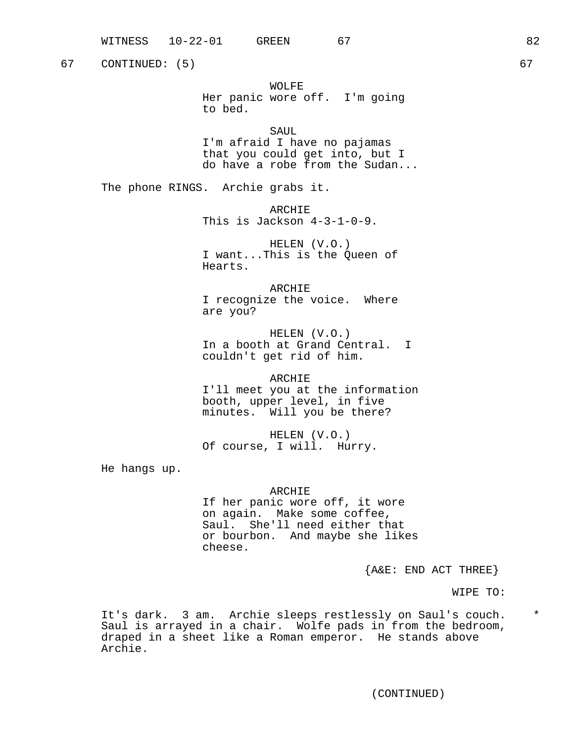67 CONTINUED: (5) 67

WOLFE Her panic wore off. I'm going to bed.

SAUL.

I'm afraid I have no pajamas that you could get into, but I do have a robe from the Sudan...

The phone RINGS. Archie grabs it.

ARCHIE This is Jackson 4-3-1-0-9.

HELEN (V.O.) I want...This is the Queen of Hearts.

ARCHIE I recognize the voice. Where are you?

HELEN (V.O.) In a booth at Grand Central. I couldn't get rid of him.

ARCHIE I'll meet you at the information booth, upper level, in five minutes. Will you be there?

HELEN (V.O.) Of course, I will. Hurry.

He hangs up.

## ARCHIE

If her panic wore off, it wore on again. Make some coffee, Saul. She'll need either that or bourbon. And maybe she likes cheese.

 ${A@E: END ACT THEN}$ 

WIPE TO:

It's dark. 3 am. Archie sleeps restlessly on Saul's couch. \* Saul is arrayed in a chair. Wolfe pads in from the bedroom, draped in a sheet like a Roman emperor. He stands above Archie.

(CONTINUED)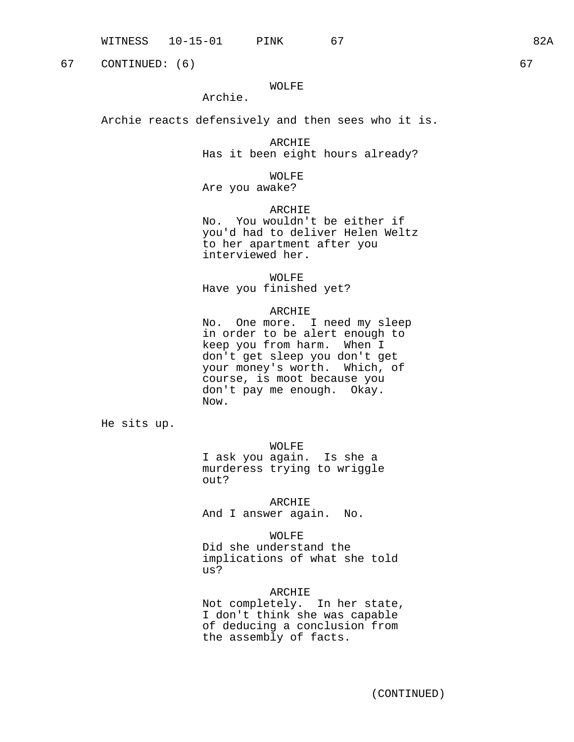67 CONTINUED: (6) 67

## WOLFE

Archie.

Archie reacts defensively and then sees who it is.

ARCHIE Has it been eight hours already?

WOLFE

Are you awake?

## ARCHIE

No. You wouldn't be either if you'd had to deliver Helen Weltz to her apartment after you interviewed her.

WOLFE

Have you finished yet?

#### ARCHIE

No. One more. I need my sleep in order to be alert enough to keep you from harm. When I don't get sleep you don't get your money's worth. Which, of course, is moot because you don't pay me enough. Okay. Now.

He sits up.

WOLFE

I ask you again. Is she a murderess trying to wriggle out?

ARCHIE

And I answer again. No.

WOLFE

Did she understand the implications of what she told us?

ARCHIE

Not completely. In her state, I don't think she was capable of deducing a conclusion from the assembly of facts.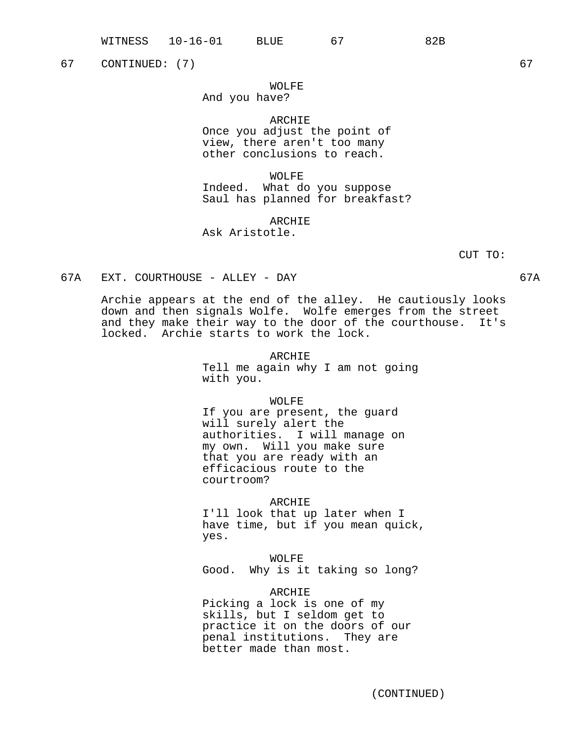(CONTINUED)

# 67 CONTINUED: (7) 67

# WOLFE

And you have?

# ARCHIE

Once you adjust the point of view, there aren't too many other conclusions to reach.

WOLFE

Indeed. What do you suppose Saul has planned for breakfast?

ARCHIE

Ask Aristotle.

CUT TO:

## 67A EXT. COURTHOUSE - ALLEY - DAY 67A

Archie appears at the end of the alley. He cautiously looks down and then signals Wolfe. Wolfe emerges from the street and they make their way to the door of the courthouse. It's locked. Archie starts to work the lock.

## ARCHIE

Tell me again why I am not going with you.

WOLFE

If you are present, the guard will surely alert the authorities. I will manage on my own. Will you make sure that you are ready with an efficacious route to the courtroom?

#### ARCHIE

I'll look that up later when I have time, but if you mean quick, yes.

WOLFE Good. Why is it taking so long?

ARCHIE Picking a lock is one of my skills, but I seldom get to practice it on the doors of our penal institutions. They are better made than most.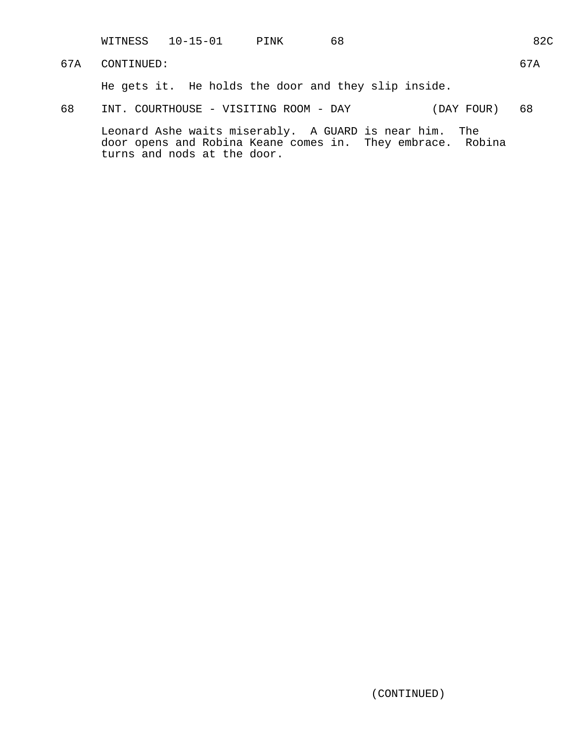WITNESS 10-15-01 PINK 68 82C

67A CONTINUED: 67A

He gets it. He holds the door and they slip inside.

68 INT. COURTHOUSE - VISITING ROOM - DAY (DAY FOUR) 68

Leonard Ashe waits miserably. A GUARD is near him. The door opens and Robina Keane comes in. They embrace. Robina turns and nods at the door.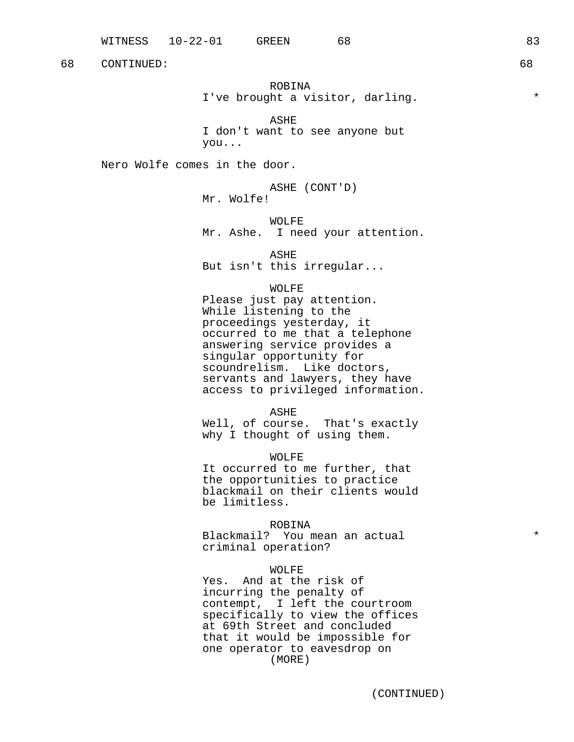68 CONTINUED: 68

ROBINA I've brought a visitor, darling.  $*$ 

ASHE I don't want to see anyone but you...

Nero Wolfe comes in the door.

ASHE (CONT'D) Mr. Wolfe!

WOLFE

Mr. Ashe. I need your attention.

ASHE

But isn't this irregular...

#### WOLFE

Please just pay attention. While listening to the proceedings yesterday, it occurred to me that a telephone answering service provides a singular opportunity for scoundrelism. Like doctors, servants and lawyers, they have access to privileged information.

ASHE

Well, of course. That's exactly why I thought of using them.

WOLFE It occurred to me further, that the opportunities to practice blackmail on their clients would be limitless.

ROBINA Blackmail? You mean an actual  $*$ criminal operation?

## WOLFE

Yes. And at the risk of incurring the penalty of contempt, I left the courtroom specifically to view the offices at 69th Street and concluded that it would be impossible for one operator to eavesdrop on (MORE)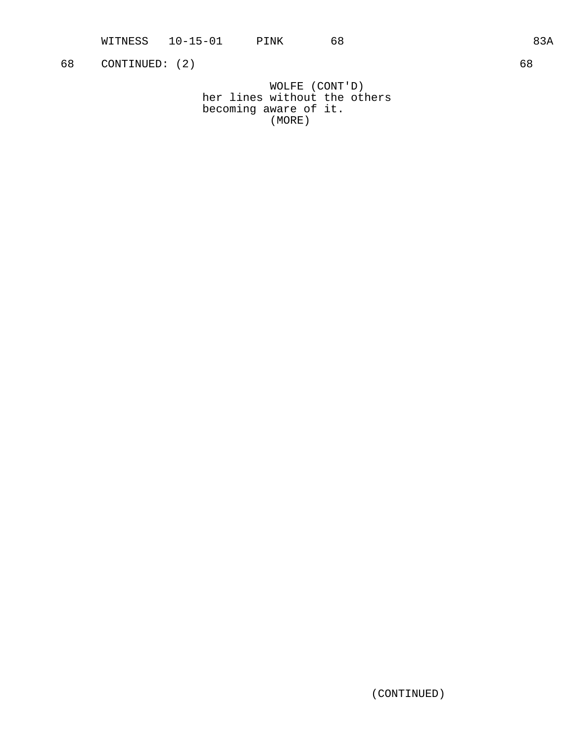WITNESS 10-15-01 PINK 68 83A

68 CONTINUED: (2) 68

WOLFE (CONT'D) her lines without the others becoming aware of it. (MORE)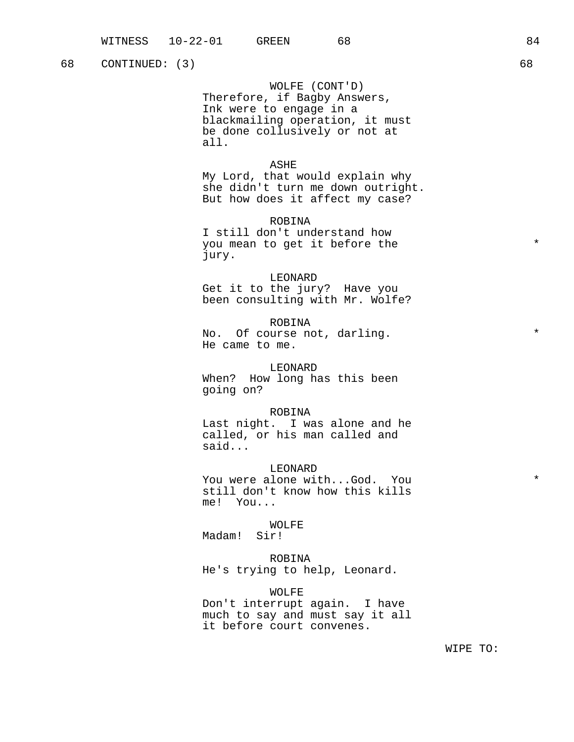68 CONTINUED: (3) 68

WOLFE (CONT'D) Therefore, if Bagby Answers, Ink were to engage in a blackmailing operation, it must be done collusively or not at all.

## ASHE

My Lord, that would explain why she didn't turn me down outright. But how does it affect my case?

ROBINA

I still don't understand how you mean to get it before the  $*$ jury.

LEONARD

Get it to the jury? Have you been consulting with Mr. Wolfe?

ROBINA No. Of course not, darling.  $*$ He came to me.

LEONARD When? How long has this been going on?

#### ROBINA

Last night. I was alone and he called, or his man called and said...

LEONARD

You were alone with...God. You  $*$ still don't know how this kills me! You...

WOLFE Madam! Sir!

ROBINA He's trying to help, Leonard.

WOLFE Don't interrupt again. I have much to say and must say it all it before court convenes.

WIPE TO: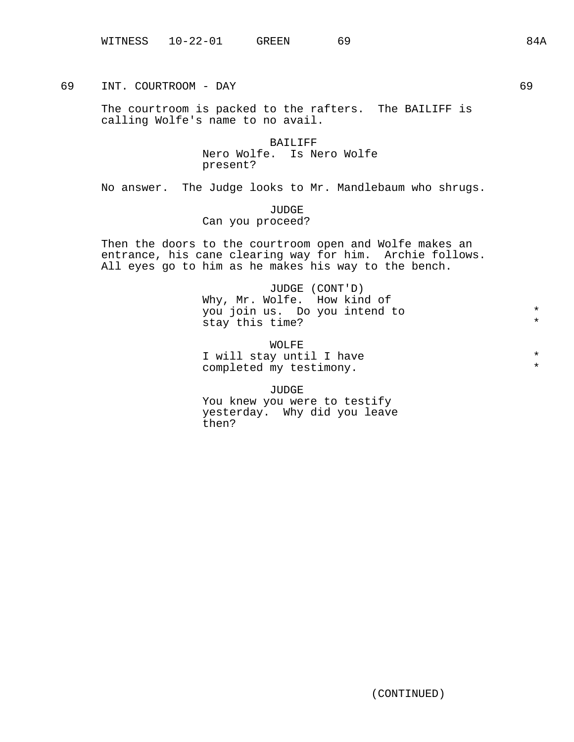69 INT. COURTROOM - DAY 69

The courtroom is packed to the rafters. The BAILIFF is calling Wolfe's name to no avail.

> BAILIFF Nero Wolfe. Is Nero Wolfe present?

No answer. The Judge looks to Mr. Mandlebaum who shrugs.

JUDGE Can you proceed?

Then the doors to the courtroom open and Wolfe makes an entrance, his cane clearing way for him. Archie follows. All eyes go to him as he makes his way to the bench.

> JUDGE (CONT'D) Why, Mr. Wolfe. How kind of you join us. Do you intend to \* stay this time? \*

> WOLFE I will stay until I have  $\begin{array}{ccc}\n\bullet & \bullet & \bullet \\
> \bullet & \bullet & \bullet & \bullet\n\end{array}$ completed my testimony.

JUDGE You knew you were to testify yesterday. Why did you leave then?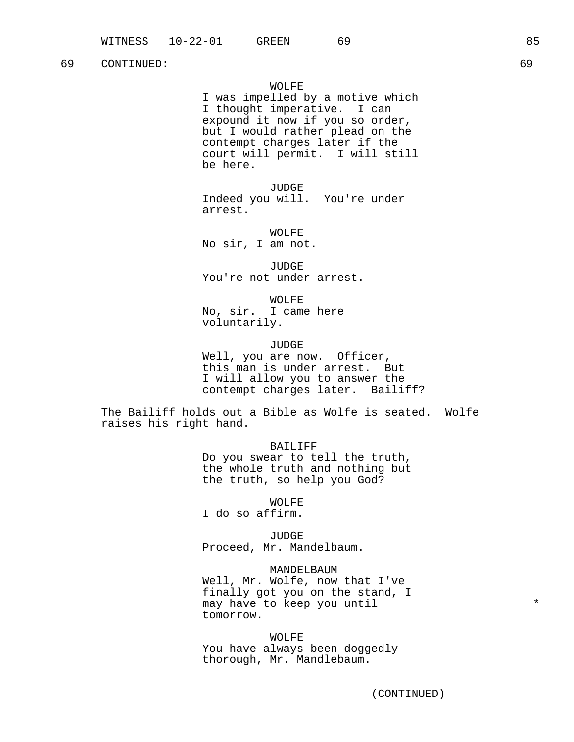## 69 CONTINUED: 69

## WOLFE

I was impelled by a motive which I thought imperative. I can expound it now if you so order, but I would rather plead on the contempt charges later if the court will permit. I will still be here.

JUDGE Indeed you will. You're under arrest.

WOLFE No sir, I am not.

JUDGE You're not under arrest.

WOLFE No, sir. I came here voluntarily.

JUDGE

Well, you are now. Officer, this man is under arrest. But I will allow you to answer the contempt charges later. Bailiff?

The Bailiff holds out a Bible as Wolfe is seated. Wolfe raises his right hand.

BAILIFF

Do you swear to tell the truth, the whole truth and nothing but the truth, so help you God?

WOLFE

I do so affirm.

JUDGE Proceed, Mr. Mandelbaum.

MANDELBAUM Well, Mr. Wolfe, now that I've finally got you on the stand, I may have to keep you until  $*$ tomorrow.

WOLFE You have always been doggedly thorough, Mr. Mandlebaum.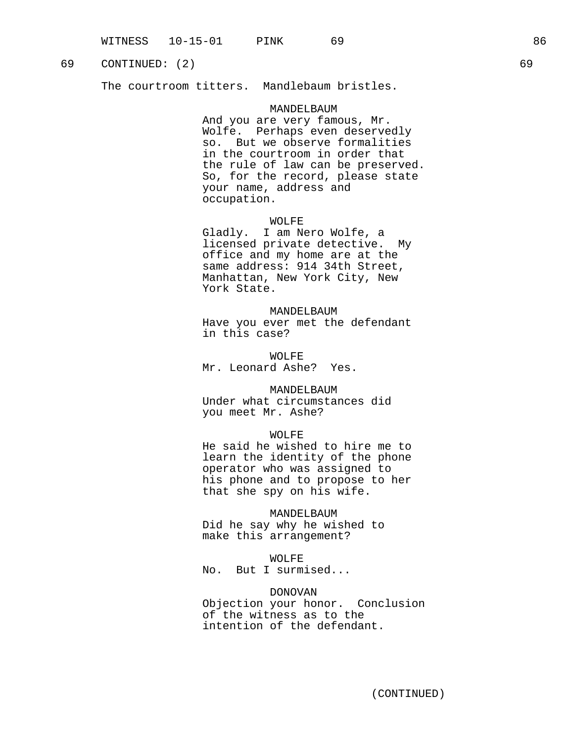# 69 CONTINUED: (2) 69

The courtroom titters. Mandlebaum bristles.

## MANDELBAUM

And you are very famous, Mr. Wolfe. Perhaps even deservedly so. But we observe formalities in the courtroom in order that the rule of law can be preserved. So, for the record, please state your name, address and occupation.

## WOLFE

Gladly. I am Nero Wolfe, a licensed private detective. My office and my home are at the same address: 914 34th Street, Manhattan, New York City, New York State.

#### MANDELBAUM

Have you ever met the defendant in this case?

WOLFE Mr. Leonard Ashe? Yes.

## MANDELBAUM

Under what circumstances did you meet Mr. Ashe?

#### WOLFE

He said he wished to hire me to learn the identity of the phone operator who was assigned to his phone and to propose to her that she spy on his wife.

# MANDELBAUM

Did he say why he wished to make this arrangement?

WOLFE

No. But I surmised...

#### DONOVAN

Objection your honor. Conclusion of the witness as to the intention of the defendant.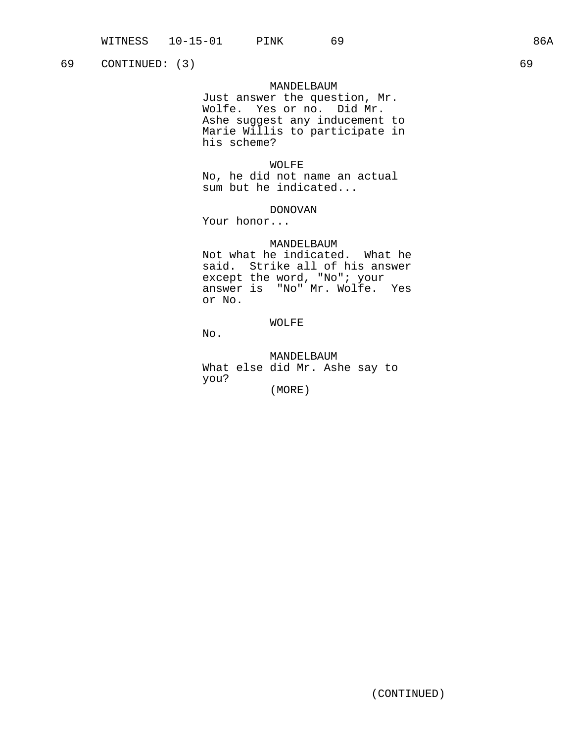69 CONTINUED: (3) 69

### MANDELBAUM

Just answer the question, Mr. Wolfe. Yes or no. Did Mr. Ashe suggest any inducement to Marie Willis to participate in his scheme?

### WOLFE

No, he did not name an actual sum but he indicated...

## DONOVAN

Your honor...

## MANDELBAUM

Not what he indicated. What he said. Strike all of his answer except the word, "No"; your answer is "No" Mr. Wolfe. Yes or No.

# WOLFE

No.

MANDELBAUM What else did Mr. Ashe say to you?

(MORE)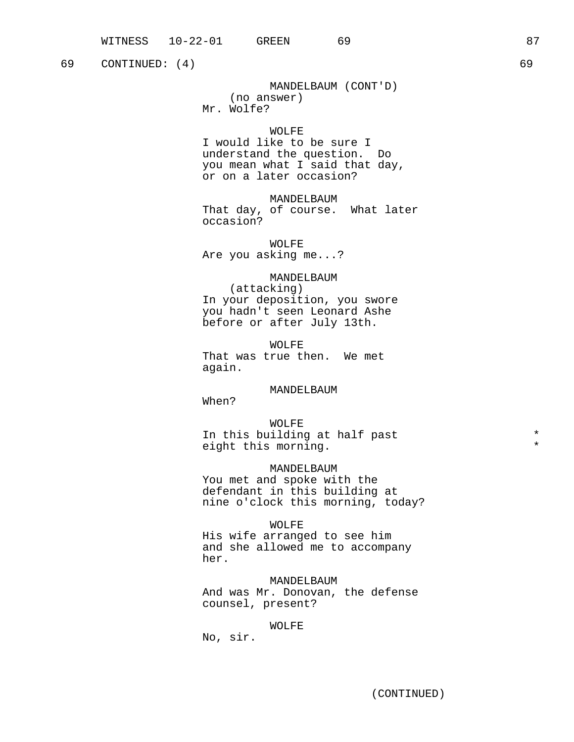69 CONTINUED: (4) 69

MANDELBAUM (CONT'D) (no answer) Mr. Wolfe?

## WOLFE.

I would like to be sure I understand the question. Do you mean what I said that day, or on a later occasion?

MANDELBAUM That day, of course. What later occasion?

WOLFE Are you asking me...?

# MANDELBAUM

(attacking) In your deposition, you swore you hadn't seen Leonard Ashe before or after July 13th.

WOLFE That was true then. We met again.

#### MANDELBAUM

When?

WOLFE In this building at half past  $*$ eight this morning.

MANDELBAUM You met and spoke with the defendant in this building at nine o'clock this morning, today?

#### WOLFE

His wife arranged to see him and she allowed me to accompany her.

MANDELBAUM And was Mr. Donovan, the defense counsel, present?

#### WOLFE

No, sir.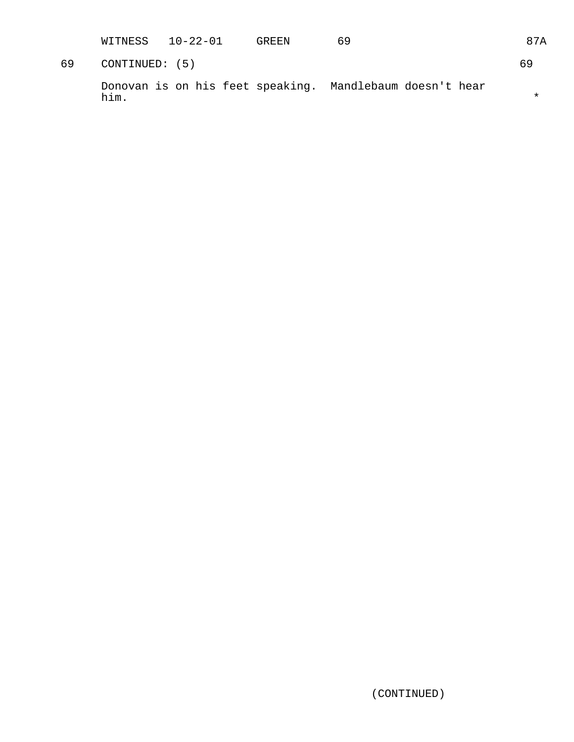WITNESS 10-22-01 GREEN 69 87A

69 CONTINUED: (5) 69

Donovan is on his feet speaking. Mandlebaum doesn't hear him.  $\star$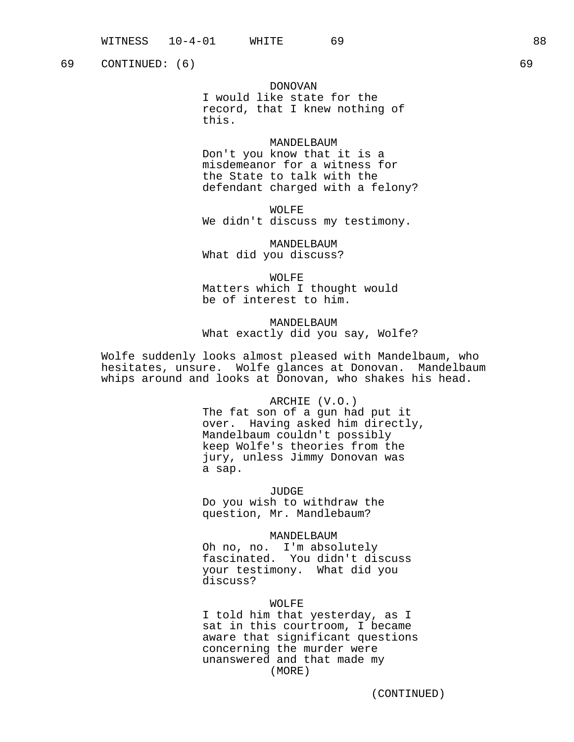69 CONTINUED: (6) 69

DONOVAN I would like state for the record, that I knew nothing of this.

MANDELBAUM Don't you know that it is a misdemeanor for a witness for the State to talk with the defendant charged with a felony?

WOLFE We didn't discuss my testimony.

MANDELBAUM What did you discuss?

WOLFE Matters which I thought would be of interest to him.

MANDELBAUM What exactly did you say, Wolfe?

Wolfe suddenly looks almost pleased with Mandelbaum, who hesitates, unsure. Wolfe glances at Donovan. Mandelbaum whips around and looks at Donovan, who shakes his head.

> ARCHIE (V.O.) The fat son of a gun had put it over. Having asked him directly, Mandelbaum couldn't possibly keep Wolfe's theories from the jury, unless Jimmy Donovan was a sap.

JUDGE Do you wish to withdraw the question, Mr. Mandlebaum?

#### MANDELBAUM

Oh no, no. I'm absolutely fascinated. You didn't discuss your testimony. What did you discuss?

WOLFE

I told him that yesterday, as I sat in this courtroom, I became aware that significant questions concerning the murder were unanswered and that made my (MORE)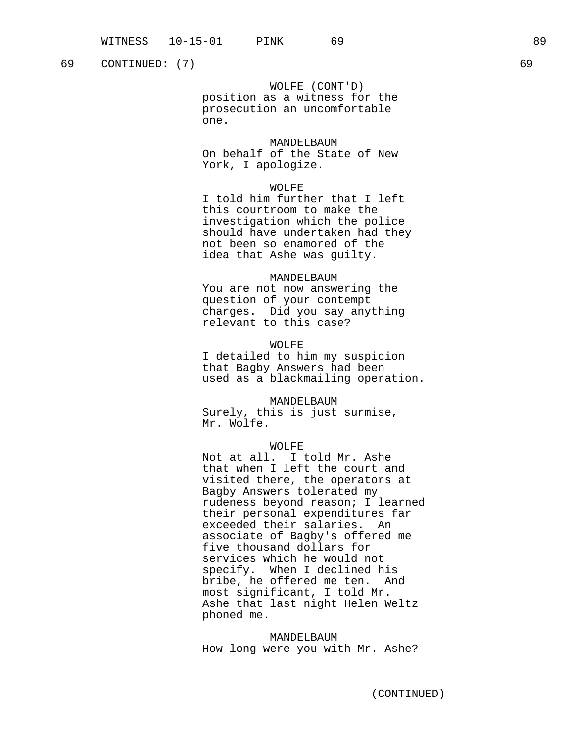69 CONTINUED: (7) 69

WOLFE (CONT'D)

position as a witness for the prosecution an uncomfortable one.

MANDELBAUM

On behalf of the State of New York, I apologize.

### WOLFE

I told him further that I left this courtroom to make the investigation which the police should have undertaken had they not been so enamored of the idea that Ashe was guilty.

#### MANDELBAUM

You are not now answering the question of your contempt charges. Did you say anything relevant to this case?

### WOLFE

I detailed to him my suspicion that Bagby Answers had been used as a blackmailing operation.

## MANDELBAUM

Surely, this is just surmise, Mr. Wolfe.

### WOLFE

Not at all. I told Mr. Ashe that when I left the court and visited there, the operators at Bagby Answers tolerated my rudeness beyond reason; I learned their personal expenditures far exceeded their salaries. An associate of Bagby's offered me five thousand dollars for services which he would not specify. When I declined his bribe, he offered me ten. And most significant, I told Mr. Ashe that last night Helen Weltz phoned me.

MANDELBAUM How long were you with Mr. Ashe?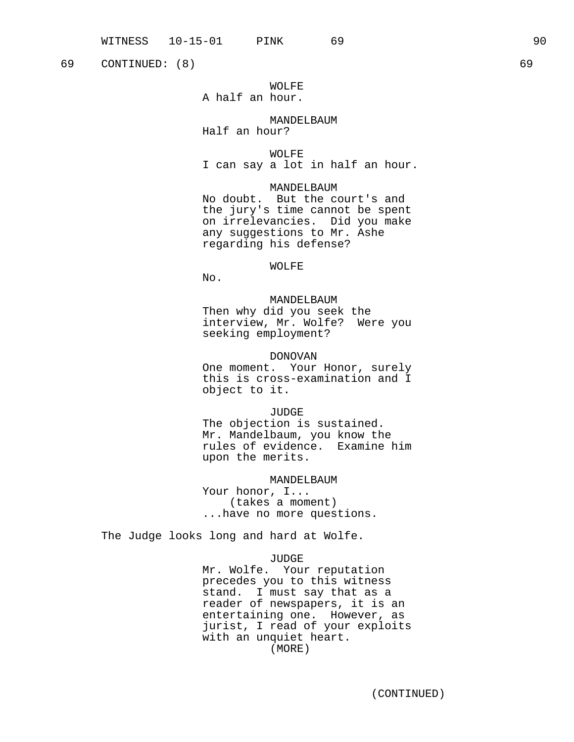69 CONTINUED: (8) 69

# WOLFE A half an hour.

### MANDELBAUM

Half an hour? WOLFE

I can say a lot in half an hour.

## MANDELBAUM

No doubt. But the court's and the jury's time cannot be spent on irrelevancies. Did you make any suggestions to Mr. Ashe regarding his defense?

#### WOLFE

No.

MANDELBAUM Then why did you seek the interview, Mr. Wolfe? Were you seeking employment?

## DONOVAN

One moment. Your Honor, surely this is cross-examination and I object to it.

JUDGE

The objection is sustained. Mr. Mandelbaum, you know the rules of evidence. Examine him upon the merits.

MANDELBAUM

Your honor, I... (takes a moment) ...have no more questions.

The Judge looks long and hard at Wolfe.

#### JUDGE

Mr. Wolfe. Your reputation precedes you to this witness stand. I must say that as a reader of newspapers, it is an entertaining one. However, as jurist, I read of your exploits with an unquiet heart. (MORE)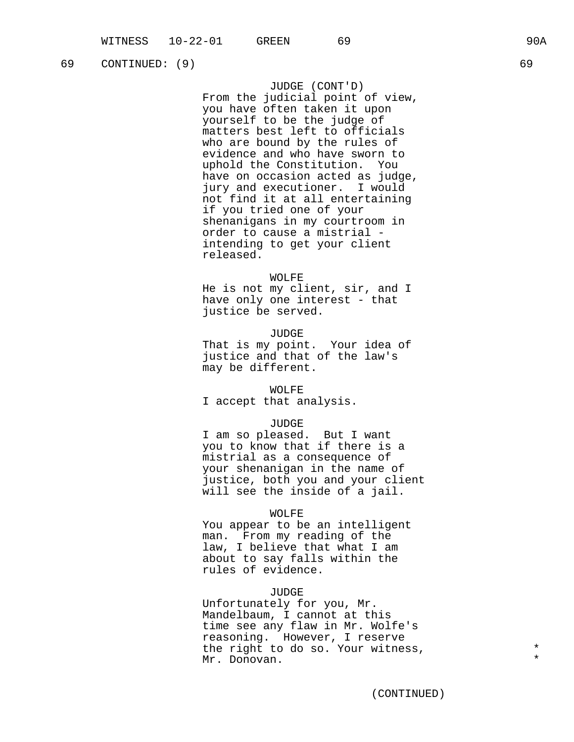JUDGE (CONT'D)

From the judicial point of view, you have often taken it upon yourself to be the judge of matters best left to officials who are bound by the rules of evidence and who have sworn to uphold the Constitution. You have on occasion acted as judge, jury and executioner. I would not find it at all entertaining if you tried one of your shenanigans in my courtroom in order to cause a mistrial intending to get your client released.

## WOLFE

He is not my client, sir, and I have only one interest - that justice be served.

#### JUDGE

That is my point. Your idea of justice and that of the law's may be different.

#### WOLFE

I accept that analysis.

## JUDGE

I am so pleased. But I want you to know that if there is a mistrial as a consequence of your shenanigan in the name of justice, both you and your client will see the inside of a jail.

#### WOLFE

You appear to be an intelligent man. From my reading of the law, I believe that what I am about to say falls within the rules of evidence.

#### JUDGE

Unfortunately for you, Mr. Mandelbaum, I cannot at this time see any flaw in Mr. Wolfe's reasoning. However, I reserve the right to do so. Your witness,  $*$ Mr. Donovan.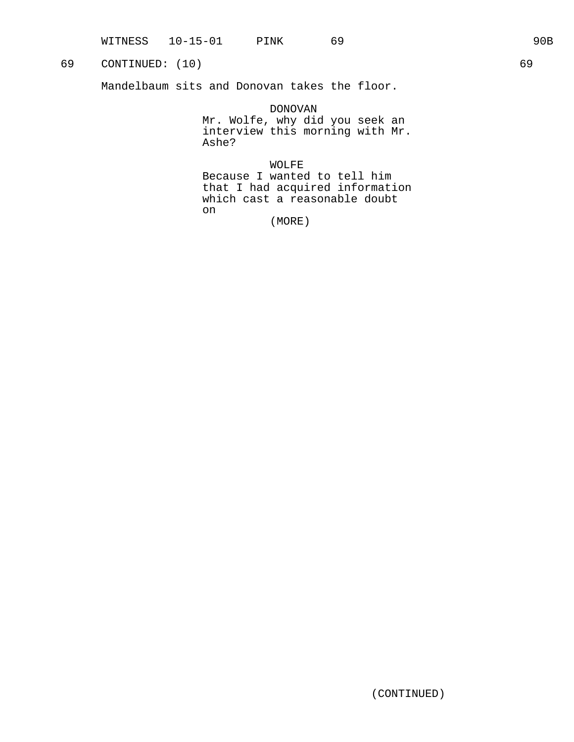# 69 CONTINUED: (10) 69

Mandelbaum sits and Donovan takes the floor.

DONOVAN Mr. Wolfe, why did you seek an interview this morning with Mr. Ashe?

WOLFE Because I wanted to tell him that I had acquired information which cast a reasonable doubt on

(MORE)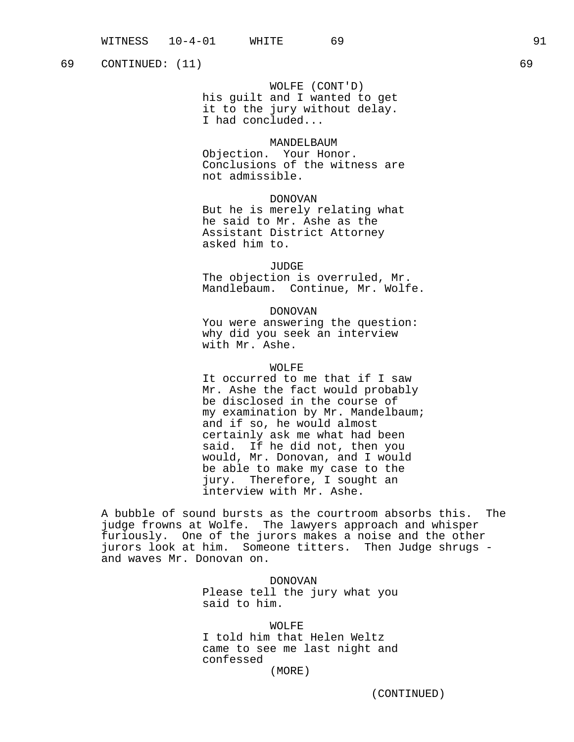69 CONTINUED: (11) 69

#### WOLFE (CONT'D)

his guilt and I wanted to get it to the jury without delay. I had concluded...

### MANDELBAUM

Objection. Your Honor. Conclusions of the witness are not admissible.

## DONOVAN

But he is merely relating what he said to Mr. Ashe as the Assistant District Attorney asked him to.

## JUDGE

The objection is overruled, Mr. Mandlebaum. Continue, Mr. Wolfe.

#### DONOVAN

You were answering the question: why did you seek an interview with Mr. Ashe.

## WOLFE

It occurred to me that if I saw Mr. Ashe the fact would probably be disclosed in the course of my examination by Mr. Mandelbaum; and if so, he would almost certainly ask me what had been said. If he did not, then you would, Mr. Donovan, and I would be able to make my case to the jury. Therefore, I sought an interview with Mr. Ashe.

A bubble of sound bursts as the courtroom absorbs this. The judge frowns at Wolfe. The lawyers approach and whisper furiously. One of the jurors makes a noise and the other jurors look at him. Someone titters. Then Judge shrugs and waves Mr. Donovan on.

> DONOVAN Please tell the jury what you said to him.

#### WOLFF.

I told him that Helen Weltz came to see me last night and confessed

(MORE)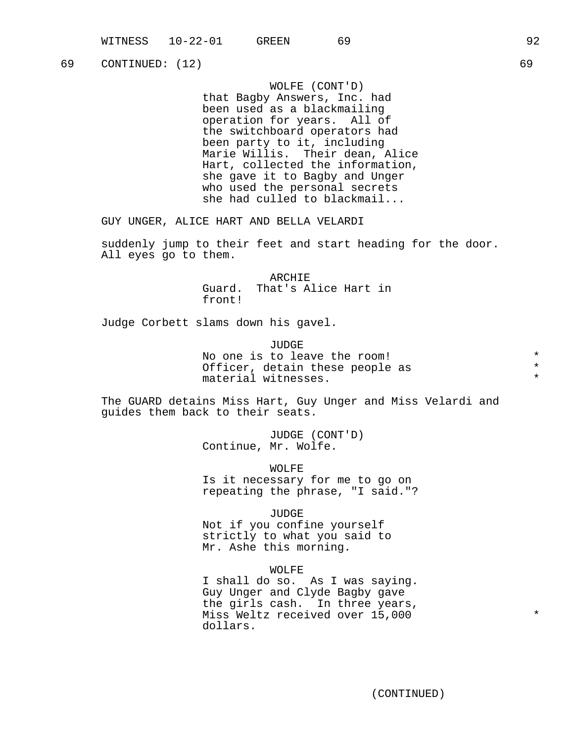69 CONTINUED: (12) 69

WOLFE (CONT'D)

that Bagby Answers, Inc. had been used as a blackmailing operation for years. All of the switchboard operators had been party to it, including Marie Willis. Their dean, Alice Hart, collected the information, she gave it to Bagby and Unger who used the personal secrets she had culled to blackmail...

GUY UNGER, ALICE HART AND BELLA VELARDI

suddenly jump to their feet and start heading for the door. All eyes go to them.

> ARCHIE Guard. That's Alice Hart in front!

Judge Corbett slams down his gavel.

JUDGE No one is to leave the room!<br>Officer detain these people as  $*$ Officer, detain these people as material witnesses.  $*$ 

The GUARD detains Miss Hart, Guy Unger and Miss Velardi and guides them back to their seats.

> JUDGE (CONT'D) Continue, Mr. Wolfe.

WOLFE Is it necessary for me to go on repeating the phrase, "I said."?

JUDGE

Not if you confine yourself strictly to what you said to Mr. Ashe this morning.

WOLFE

I shall do so. As I was saying. Guy Unger and Clyde Bagby gave the girls cash. In three years, Miss Weltz received over 15,000 \* dollars.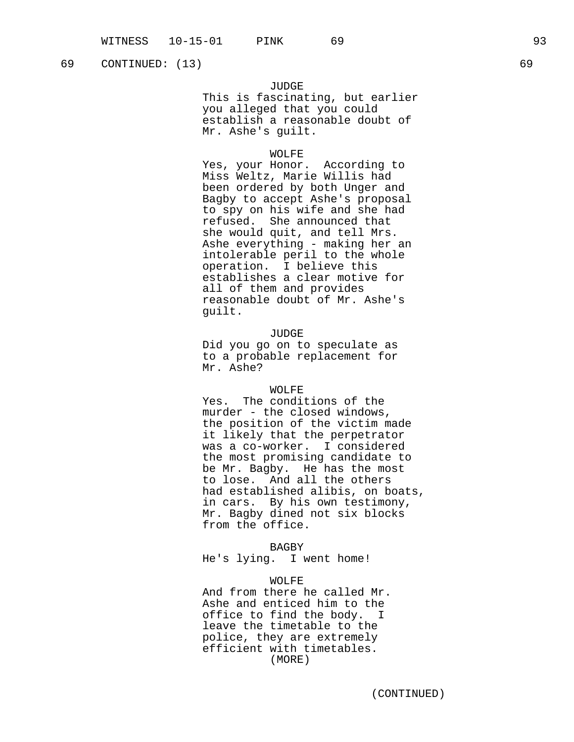69 CONTINUED: (13) 69

## JUDGE

This is fascinating, but earlier you alleged that you could establish a reasonable doubt of Mr. Ashe's guilt.

#### WOLFE

Yes, your Honor. According to Miss Weltz, Marie Willis had been ordered by both Unger and Bagby to accept Ashe's proposal to spy on his wife and she had refused. She announced that she would quit, and tell Mrs. Ashe everything - making her an intolerable peril to the whole operation. I believe this establishes a clear motive for all of them and provides reasonable doubt of Mr. Ashe's guilt.

## JUDGE

Did you go on to speculate as to a probable replacement for Mr. Ashe?

#### WOLFE

Yes. The conditions of the murder - the closed windows, the position of the victim made it likely that the perpetrator was a co-worker. I considered the most promising candidate to be Mr. Bagby. He has the most to lose. And all the others had established alibis, on boats, in cars. By his own testimony, Mr. Bagby dined not six blocks from the office.

BAGBY

He's lying. I went home!

## WOLFE

And from there he called Mr. Ashe and enticed him to the office to find the body. I leave the timetable to the police, they are extremely efficient with timetables. (MORE)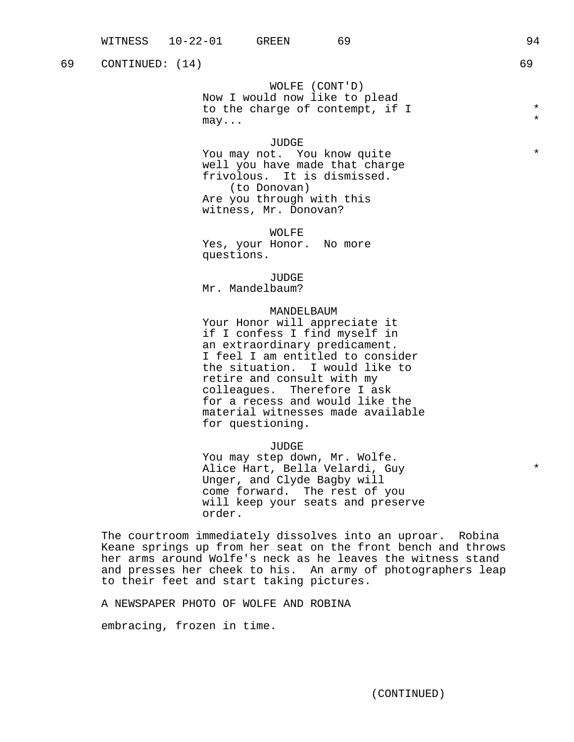# 69 CONTINUED: (14) 69

WOLFE (CONT'D)

Now I would now like to plead to the charge of contempt, if I  $*$  $\mathfrak{m}{\rm a}\mathfrak{y}$ ...  $\qquad \qquad \star$ 

#### JUDGE

You may not. You know quite \* well you have made that charge frivolous. It is dismissed. (to Donovan) Are you through with this witness, Mr. Donovan?

WOLFE Yes, your Honor. No more questions.

JUDGE Mr. Mandelbaum?

### MANDELBAUM

Your Honor will appreciate it if I confess I find myself in an extraordinary predicament. I feel I am entitled to consider the situation. I would like to retire and consult with my colleagues. Therefore I ask for a recess and would like the material witnesses made available for questioning.

JUDGE

You may step down, Mr. Wolfe. Alice Hart, Bella Velardi, Guy  $*$ Unger, and Clyde Bagby will come forward. The rest of you will keep your seats and preserve order.

The courtroom immediately dissolves into an uproar. Robina Keane springs up from her seat on the front bench and throws her arms around Wolfe's neck as he leaves the witness stand and presses her cheek to his. An army of photographers leap to their feet and start taking pictures.

A NEWSPAPER PHOTO OF WOLFE AND ROBINA

embracing, frozen in time.